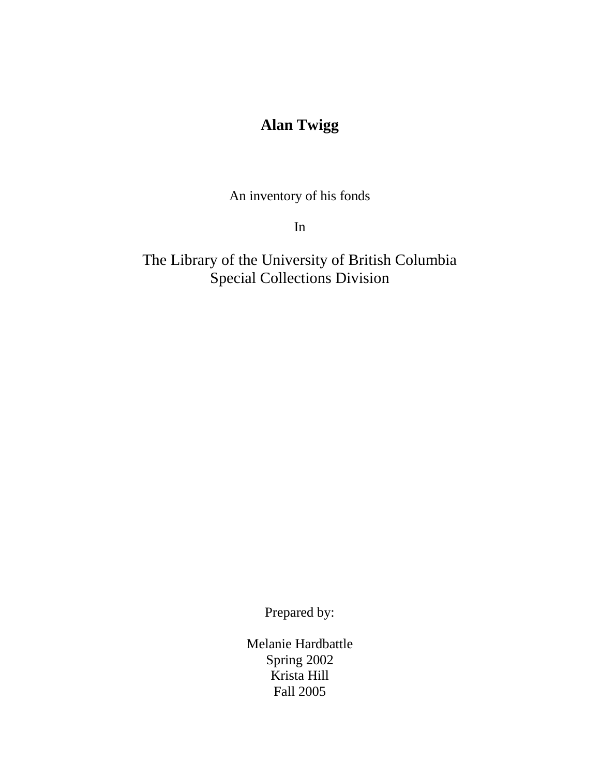# **Alan Twigg**

An inventory of his fonds

In

The Library of the University of British Columbia Special Collections Division

Prepared by:

Melanie Hardbattle Spring 2002 Krista Hill Fall 2005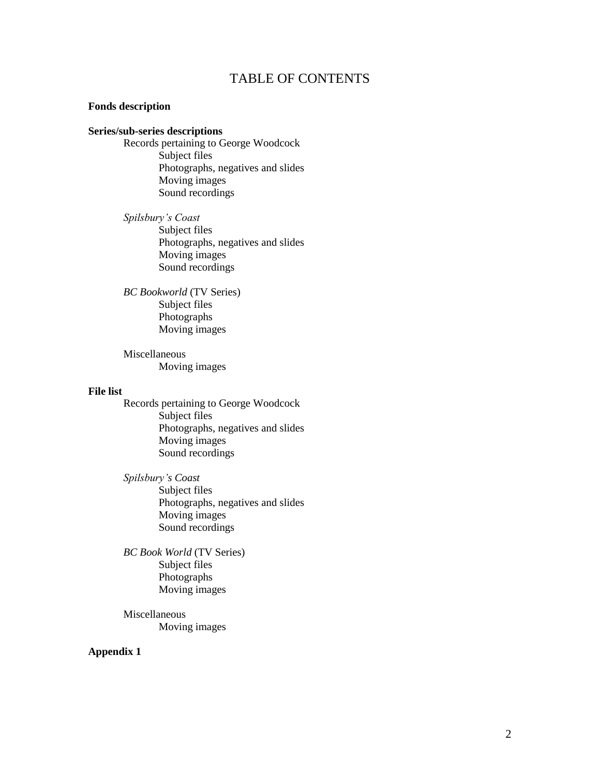### TABLE OF CONTENTS

#### **Fonds description**

#### **Series/sub-series descriptions**

Records pertaining to George Woodcock Subject files Photographs, negatives and slides Moving images Sound recordings

*Spilsbury's Coast*  Subject files Photographs, negatives and slides Moving images Sound recordings

*BC Bookworld* (TV Series) Subject files Photographs Moving images

Miscellaneous Moving images

#### **File list**

Records pertaining to George Woodcock Subject files Photographs, negatives and slides Moving images Sound recordings

*Spilsbury's Coast*  Subject files Photographs, negatives and slides Moving images Sound recordings

*BC Book World* (TV Series) Subject files Photographs Moving images

Miscellaneous Moving images

#### **Appendix 1**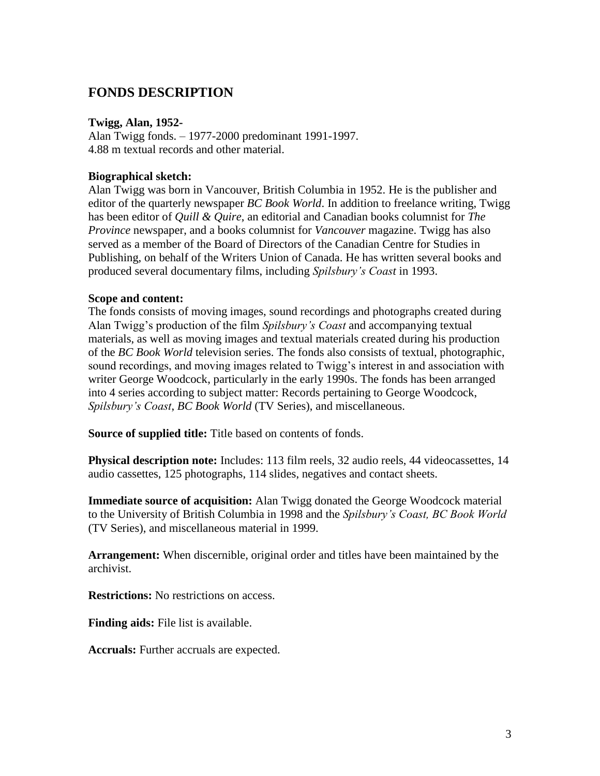# **FONDS DESCRIPTION**

#### **Twigg, Alan, 1952-**

Alan Twigg fonds. – 1977-2000 predominant 1991-1997. 4.88 m textual records and other material.

#### **Biographical sketch:**

Alan Twigg was born in Vancouver, British Columbia in 1952. He is the publisher and editor of the quarterly newspaper *BC Book World*. In addition to freelance writing, Twigg has been editor of *Quill & Quire*, an editorial and Canadian books columnist for *The Province* newspaper, and a books columnist for *Vancouver* magazine. Twigg has also served as a member of the Board of Directors of the Canadian Centre for Studies in Publishing, on behalf of the Writers Union of Canada. He has written several books and produced several documentary films, including *Spilsbury's Coast* in 1993.

#### **Scope and content:**

The fonds consists of moving images, sound recordings and photographs created during Alan Twigg's production of the film *Spilsbury's Coast* and accompanying textual materials, as well as moving images and textual materials created during his production of the *BC Book World* television series. The fonds also consists of textual, photographic, sound recordings, and moving images related to Twigg's interest in and association with writer George Woodcock, particularly in the early 1990s. The fonds has been arranged into 4 series according to subject matter: Records pertaining to George Woodcock, *Spilsbury's Coast*, *BC Book World* (TV Series), and miscellaneous.

**Source of supplied title:** Title based on contents of fonds.

**Physical description note:** Includes: 113 film reels, 32 audio reels, 44 videocassettes, 14 audio cassettes, 125 photographs, 114 slides, negatives and contact sheets.

**Immediate source of acquisition:** Alan Twigg donated the George Woodcock material to the University of British Columbia in 1998 and the *Spilsbury's Coast, BC Book World*  (TV Series), and miscellaneous material in 1999.

**Arrangement:** When discernible, original order and titles have been maintained by the archivist.

**Restrictions:** No restrictions on access.

**Finding aids:** File list is available.

**Accruals:** Further accruals are expected.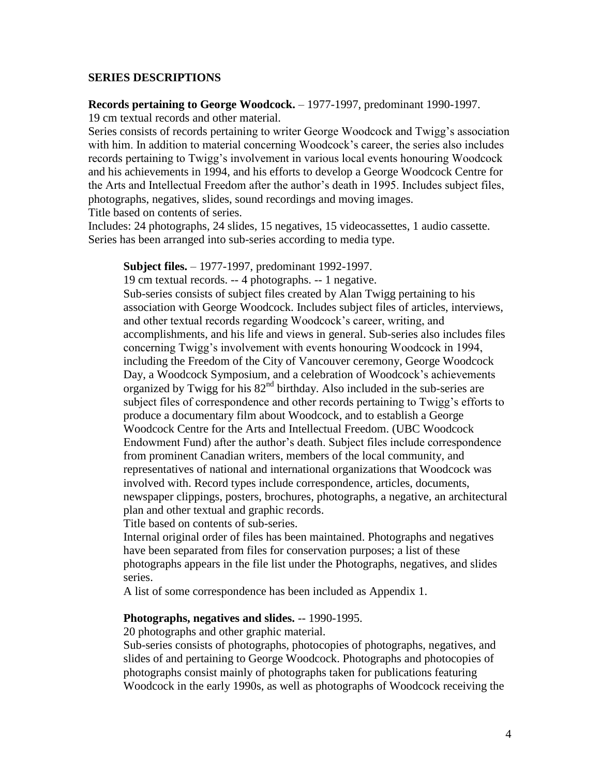#### **SERIES DESCRIPTIONS**

#### **Records pertaining to George Woodcock.** – 1977-1997, predominant 1990-1997.

19 cm textual records and other material.

Series consists of records pertaining to writer George Woodcock and Twigg's association with him. In addition to material concerning Woodcock's career, the series also includes records pertaining to Twigg's involvement in various local events honouring Woodcock and his achievements in 1994, and his efforts to develop a George Woodcock Centre for the Arts and Intellectual Freedom after the author's death in 1995. Includes subject files, photographs, negatives, slides, sound recordings and moving images. Title based on contents of series.

Includes: 24 photographs, 24 slides, 15 negatives, 15 videocassettes, 1 audio cassette. Series has been arranged into sub-series according to media type.

#### **Subject files.** – 1977-1997, predominant 1992-1997.

19 cm textual records. -- 4 photographs. -- 1 negative.

Sub-series consists of subject files created by Alan Twigg pertaining to his association with George Woodcock. Includes subject files of articles, interviews, and other textual records regarding Woodcock's career, writing, and accomplishments, and his life and views in general. Sub-series also includes files concerning Twigg's involvement with events honouring Woodcock in 1994, including the Freedom of the City of Vancouver ceremony, George Woodcock Day, a Woodcock Symposium, and a celebration of Woodcock's achievements organized by Twigg for his 82<sup>nd</sup> birthday. Also included in the sub-series are subject files of correspondence and other records pertaining to Twigg's efforts to produce a documentary film about Woodcock, and to establish a George Woodcock Centre for the Arts and Intellectual Freedom. (UBC Woodcock Endowment Fund) after the author's death. Subject files include correspondence from prominent Canadian writers, members of the local community, and representatives of national and international organizations that Woodcock was involved with. Record types include correspondence, articles, documents, newspaper clippings, posters, brochures, photographs, a negative, an architectural plan and other textual and graphic records.

Title based on contents of sub-series.

Internal original order of files has been maintained. Photographs and negatives have been separated from files for conservation purposes; a list of these photographs appears in the file list under the Photographs, negatives, and slides series.

A list of some correspondence has been included as Appendix 1.

#### **Photographs, negatives and slides.** -- 1990-1995.

20 photographs and other graphic material.

Sub-series consists of photographs, photocopies of photographs, negatives, and slides of and pertaining to George Woodcock. Photographs and photocopies of photographs consist mainly of photographs taken for publications featuring Woodcock in the early 1990s, as well as photographs of Woodcock receiving the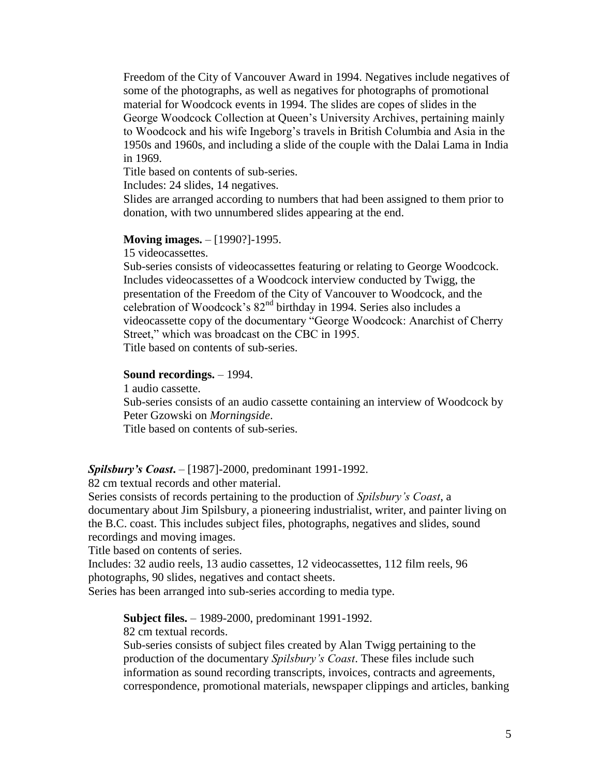Freedom of the City of Vancouver Award in 1994. Negatives include negatives of some of the photographs, as well as negatives for photographs of promotional material for Woodcock events in 1994. The slides are copes of slides in the George Woodcock Collection at Queen's University Archives, pertaining mainly to Woodcock and his wife Ingeborg's travels in British Columbia and Asia in the 1950s and 1960s, and including a slide of the couple with the Dalai Lama in India in 1969.

Title based on contents of sub-series.

Includes: 24 slides, 14 negatives.

Slides are arranged according to numbers that had been assigned to them prior to donation, with two unnumbered slides appearing at the end.

#### **Moving images.** – [1990?]-1995.

15 videocassettes.

Sub-series consists of videocassettes featuring or relating to George Woodcock. Includes videocassettes of a Woodcock interview conducted by Twigg, the presentation of the Freedom of the City of Vancouver to Woodcock, and the celebration of Woodcock's 82nd birthday in 1994. Series also includes a videocassette copy of the documentary "George Woodcock: Anarchist of Cherry Street," which was broadcast on the CBC in 1995. Title based on contents of sub-series.

#### **Sound recordings.** – 1994.

1 audio cassette.

Sub-series consists of an audio cassette containing an interview of Woodcock by Peter Gzowski on *Morningside*.

Title based on contents of sub-series.

#### *Spilsbury's Coast***.** – [1987]-2000, predominant 1991-1992.

82 cm textual records and other material.

Series consists of records pertaining to the production of *Spilsbury's Coast*, a documentary about Jim Spilsbury, a pioneering industrialist, writer, and painter living on the B.C. coast. This includes subject files, photographs, negatives and slides, sound recordings and moving images.

Title based on contents of series.

Includes: 32 audio reels, 13 audio cassettes, 12 videocassettes, 112 film reels, 96 photographs, 90 slides, negatives and contact sheets.

Series has been arranged into sub-series according to media type.

**Subject files.** – 1989-2000, predominant 1991-1992.

82 cm textual records.

Sub-series consists of subject files created by Alan Twigg pertaining to the production of the documentary *Spilsbury's Coast*. These files include such information as sound recording transcripts, invoices, contracts and agreements, correspondence, promotional materials, newspaper clippings and articles, banking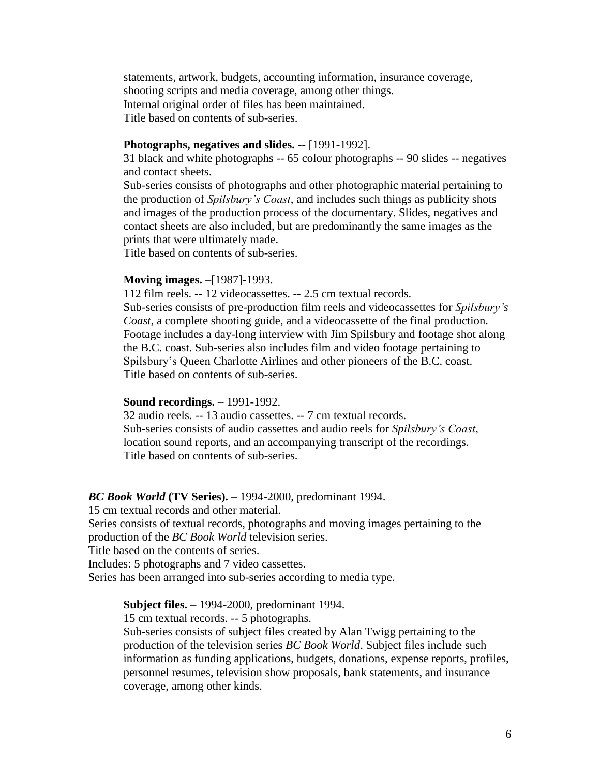statements, artwork, budgets, accounting information, insurance coverage, shooting scripts and media coverage, among other things. Internal original order of files has been maintained. Title based on contents of sub-series.

#### **Photographs, negatives and slides.** -- [1991-1992].

31 black and white photographs -- 65 colour photographs -- 90 slides -- negatives and contact sheets.

Sub-series consists of photographs and other photographic material pertaining to the production of *Spilsbury's Coast*, and includes such things as publicity shots and images of the production process of the documentary. Slides, negatives and contact sheets are also included, but are predominantly the same images as the prints that were ultimately made.

Title based on contents of sub-series.

#### **Moving images.** –[1987]-1993.

112 film reels. -- 12 videocassettes. -- 2.5 cm textual records.

Sub-series consists of pre-production film reels and videocassettes for *Spilsbury's Coast*, a complete shooting guide, and a videocassette of the final production. Footage includes a day-long interview with Jim Spilsbury and footage shot along the B.C. coast. Sub-series also includes film and video footage pertaining to Spilsbury's Queen Charlotte Airlines and other pioneers of the B.C. coast. Title based on contents of sub-series.

#### **Sound recordings.** – 1991-1992.

32 audio reels. -- 13 audio cassettes. -- 7 cm textual records. Sub-series consists of audio cassettes and audio reels for *Spilsbury's Coast*, location sound reports, and an accompanying transcript of the recordings. Title based on contents of sub-series.

#### *BC Book World* **(TV Series).** – 1994-2000, predominant 1994.

15 cm textual records and other material.

Series consists of textual records, photographs and moving images pertaining to the production of the *BC Book World* television series.

Title based on the contents of series.

Includes: 5 photographs and 7 video cassettes.

Series has been arranged into sub-series according to media type.

**Subject files.** – 1994-2000, predominant 1994.

15 cm textual records. -- 5 photographs.

Sub-series consists of subject files created by Alan Twigg pertaining to the production of the television series *BC Book World*. Subject files include such information as funding applications, budgets, donations, expense reports, profiles, personnel resumes, television show proposals, bank statements, and insurance coverage, among other kinds.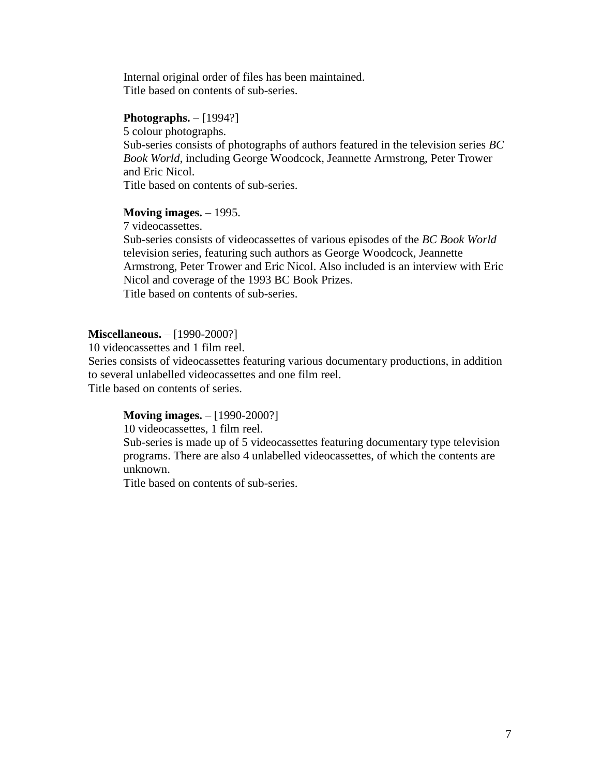Internal original order of files has been maintained. Title based on contents of sub-series.

#### **Photographs.** – [1994?]

5 colour photographs.

Sub-series consists of photographs of authors featured in the television series *BC Book World*, including George Woodcock, Jeannette Armstrong, Peter Trower and Eric Nicol.

Title based on contents of sub-series.

#### **Moving images.** – 1995.

7 videocassettes.

Sub-series consists of videocassettes of various episodes of the *BC Book World*  television series, featuring such authors as George Woodcock, Jeannette Armstrong, Peter Trower and Eric Nicol. Also included is an interview with Eric Nicol and coverage of the 1993 BC Book Prizes. Title based on contents of sub-series.

#### **Miscellaneous.** – [1990-2000?]

10 videocassettes and 1 film reel.

Series consists of videocassettes featuring various documentary productions, in addition to several unlabelled videocassettes and one film reel.

Title based on contents of series.

#### **Moving images.** – [1990-2000?]

10 videocassettes, 1 film reel.

Sub-series is made up of 5 videocassettes featuring documentary type television programs. There are also 4 unlabelled videocassettes, of which the contents are unknown.

Title based on contents of sub-series.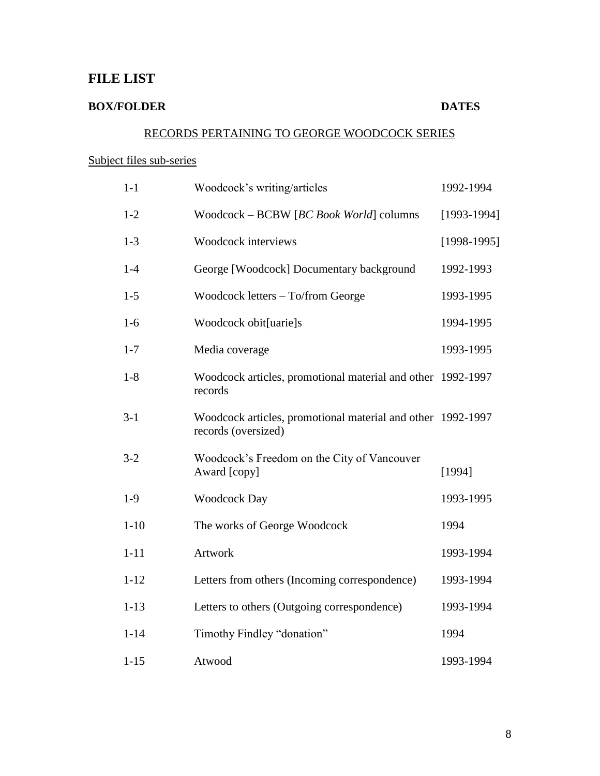# **FILE LIST**

# **BOX/FOLDER DATES**

# RECORDS PERTAINING TO GEORGE WOODCOCK SERIES

## Subject files sub-series

| $1-1$    | Woodcock's writing/articles                                                        | 1992-1994     |
|----------|------------------------------------------------------------------------------------|---------------|
| $1 - 2$  | Woodcock - BCBW [BC Book World] columns                                            | $[1993-1994]$ |
| $1-3$    | Woodcock interviews                                                                | $[1998-1995]$ |
| $1-4$    | George [Woodcock] Documentary background                                           | 1992-1993     |
| $1-5$    | Woodcock letters - To/from George                                                  | 1993-1995     |
| $1-6$    | Woodcock obit[uarie]s                                                              | 1994-1995     |
| $1 - 7$  | Media coverage                                                                     | 1993-1995     |
| $1 - 8$  | Woodcock articles, promotional material and other 1992-1997<br>records             |               |
| $3-1$    | Woodcock articles, promotional material and other 1992-1997<br>records (oversized) |               |
| $3 - 2$  | Woodcock's Freedom on the City of Vancouver<br>Award [copy]                        | [1994]        |
| $1-9$    | <b>Woodcock Day</b>                                                                | 1993-1995     |
| $1 - 10$ | The works of George Woodcock                                                       | 1994          |
| $1 - 11$ | Artwork                                                                            | 1993-1994     |
| $1 - 12$ | Letters from others (Incoming correspondence)                                      | 1993-1994     |
| $1 - 13$ | Letters to others (Outgoing correspondence)                                        | 1993-1994     |
| $1 - 14$ | Timothy Findley "donation"                                                         | 1994          |
| $1 - 15$ | Atwood                                                                             | 1993-1994     |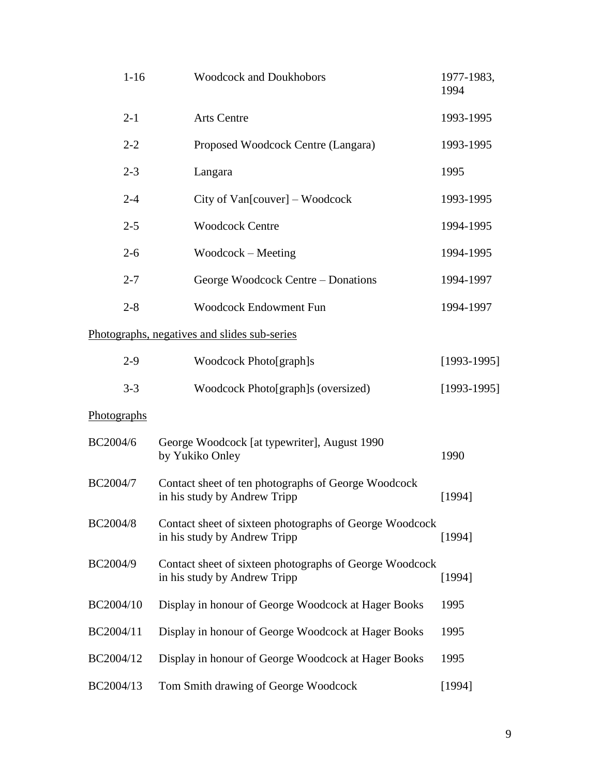| $1 - 16$    | <b>Woodcock and Doukhobors</b>                                                          | 1977-1983,<br>1994 |
|-------------|-----------------------------------------------------------------------------------------|--------------------|
| $2 - 1$     | <b>Arts Centre</b>                                                                      | 1993-1995          |
| $2 - 2$     | Proposed Woodcock Centre (Langara)                                                      | 1993-1995          |
| $2 - 3$     | Langara                                                                                 | 1995               |
| $2 - 4$     | City of Van[couver] – Woodcock                                                          | 1993-1995          |
| $2 - 5$     | <b>Woodcock Centre</b>                                                                  | 1994-1995          |
| $2 - 6$     | $Woodcock - Meeting$                                                                    | 1994-1995          |
| $2 - 7$     | George Woodcock Centre – Donations                                                      | 1994-1997          |
| $2 - 8$     | <b>Woodcock Endowment Fun</b>                                                           | 1994-1997          |
|             | Photographs, negatives and slides sub-series                                            |                    |
| $2-9$       | Woodcock Photo[graph]s                                                                  | $[1993-1995]$      |
| $3 - 3$     | Woodcock Photo[graph]s (oversized)                                                      | $[1993-1995]$      |
| Photographs |                                                                                         |                    |
| BC2004/6    | George Woodcock [at typewriter], August 1990<br>by Yukiko Onley                         | 1990               |
| BC2004/7    | Contact sheet of ten photographs of George Woodcock<br>in his study by Andrew Tripp     | [1994]             |
| BC2004/8    | Contact sheet of sixteen photographs of George Woodcock<br>in his study by Andrew Tripp | [1994]             |
| BC2004/9    | Contact sheet of sixteen photographs of George Woodcock<br>in his study by Andrew Tripp | [1994]             |
| BC2004/10   | Display in honour of George Woodcock at Hager Books                                     | 1995               |
| BC2004/11   | Display in honour of George Woodcock at Hager Books                                     | 1995               |
| BC2004/12   | Display in honour of George Woodcock at Hager Books                                     | 1995               |
| BC2004/13   | Tom Smith drawing of George Woodcock                                                    | [1994]             |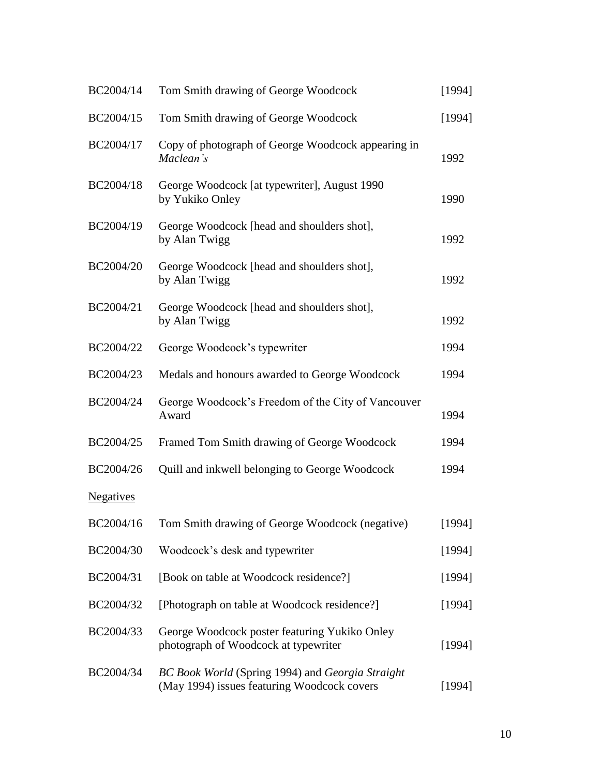| BC2004/14        | Tom Smith drawing of George Woodcock                                                            | [1994] |
|------------------|-------------------------------------------------------------------------------------------------|--------|
| BC2004/15        | Tom Smith drawing of George Woodcock                                                            | [1994] |
| BC2004/17        | Copy of photograph of George Woodcock appearing in<br>Maclean's                                 | 1992   |
| BC2004/18        | George Woodcock [at typewriter], August 1990<br>by Yukiko Onley                                 | 1990   |
| BC2004/19        | George Woodcock [head and shoulders shot],<br>by Alan Twigg                                     | 1992   |
| BC2004/20        | George Woodcock [head and shoulders shot],<br>by Alan Twigg                                     | 1992   |
| BC2004/21        | George Woodcock [head and shoulders shot],<br>by Alan Twigg                                     | 1992   |
| BC2004/22        | George Woodcock's typewriter                                                                    | 1994   |
| BC2004/23        | Medals and honours awarded to George Woodcock                                                   | 1994   |
| BC2004/24        | George Woodcock's Freedom of the City of Vancouver<br>Award                                     | 1994   |
| BC2004/25        | Framed Tom Smith drawing of George Woodcock                                                     | 1994   |
| BC2004/26        | Quill and inkwell belonging to George Woodcock                                                  | 1994   |
| <b>Negatives</b> |                                                                                                 |        |
|                  | BC2004/16 Tom Smith drawing of George Woodcock (negative)                                       | [1994] |
| BC2004/30        | Woodcock's desk and typewriter                                                                  | [1994] |
| BC2004/31        | [Book on table at Woodcock residence?]                                                          | [1994] |
| BC2004/32        | [Photograph on table at Woodcock residence?]                                                    | [1994] |
| BC2004/33        | George Woodcock poster featuring Yukiko Onley<br>photograph of Woodcock at typewriter           | [1994] |
| BC2004/34        | BC Book World (Spring 1994) and Georgia Straight<br>(May 1994) issues featuring Woodcock covers | [1994] |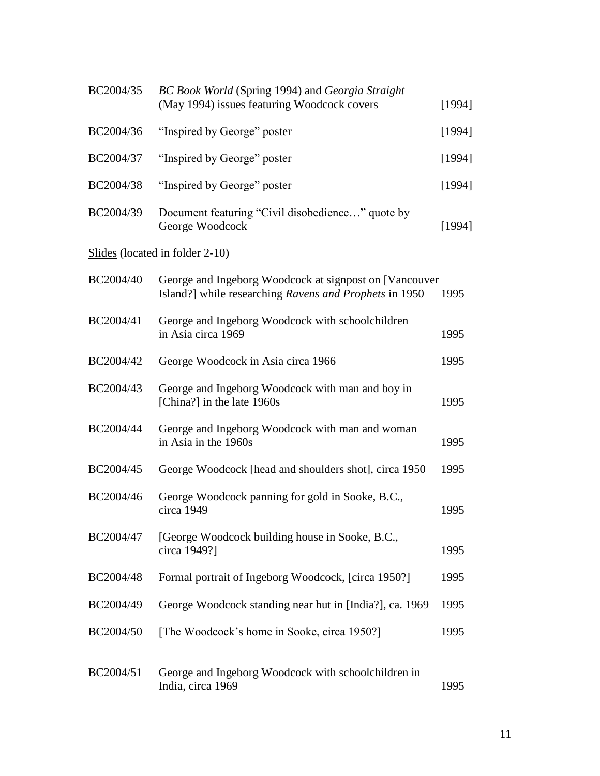| BC2004/35 | BC Book World (Spring 1994) and Georgia Straight<br>(May 1994) issues featuring Woodcock covers                  | [1994] |
|-----------|------------------------------------------------------------------------------------------------------------------|--------|
| BC2004/36 | "Inspired by George" poster                                                                                      | [1994] |
| BC2004/37 | "Inspired by George" poster                                                                                      | [1994] |
| BC2004/38 | "Inspired by George" poster                                                                                      | [1994] |
| BC2004/39 | Document featuring "Civil disobedience" quote by<br>George Woodcock                                              | [1994] |
|           | Slides (located in folder 2-10)                                                                                  |        |
| BC2004/40 | George and Ingeborg Woodcock at signpost on [Vancouver<br>Island?] while researching Ravens and Prophets in 1950 | 1995   |
| BC2004/41 | George and Ingeborg Woodcock with schoolchildren<br>in Asia circa 1969                                           | 1995   |
| BC2004/42 | George Woodcock in Asia circa 1966                                                                               | 1995   |
| BC2004/43 | George and Ingeborg Woodcock with man and boy in<br>[China?] in the late 1960s                                   | 1995   |
| BC2004/44 | George and Ingeborg Woodcock with man and woman<br>in Asia in the 1960s                                          | 1995   |
| BC2004/45 | George Woodcock [head and shoulders shot], circa 1950                                                            | 1995   |
| BC2004/46 | George Woodcock panning for gold in Sooke, B.C.,<br>circa 1949                                                   | 1995   |
| BC2004/47 | [George Woodcock building house in Sooke, B.C.,<br>circa 1949?]                                                  | 1995   |
| BC2004/48 | Formal portrait of Ingeborg Woodcock, [circa 1950?]                                                              | 1995   |
| BC2004/49 | George Woodcock standing near hut in [India?], ca. 1969                                                          | 1995   |
| BC2004/50 | [The Woodcock's home in Sooke, circa 1950?]                                                                      | 1995   |
| BC2004/51 | George and Ingeborg Woodcock with schoolchildren in<br>India, circa 1969                                         | 1995   |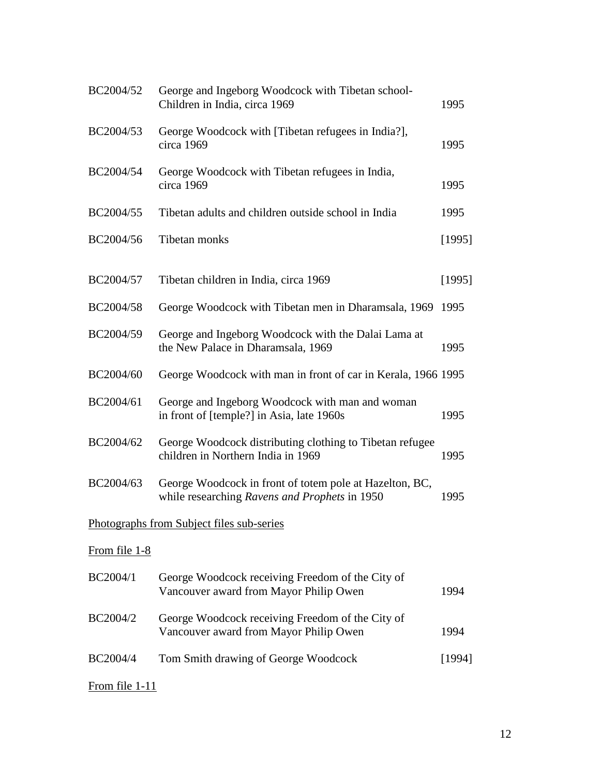| BC2004/52        | George and Ingeborg Woodcock with Tibetan school-<br>Children in India, circa 1969                       | 1995   |
|------------------|----------------------------------------------------------------------------------------------------------|--------|
| BC2004/53        | George Woodcock with [Tibetan refugees in India?],<br>circa 1969                                         | 1995   |
| BC2004/54        | George Woodcock with Tibetan refugees in India,<br>circa 1969                                            | 1995   |
| BC2004/55        | Tibetan adults and children outside school in India                                                      | 1995   |
| BC2004/56        | Tibetan monks                                                                                            | [1995] |
| BC2004/57        | Tibetan children in India, circa 1969                                                                    | [1995] |
| BC2004/58        | George Woodcock with Tibetan men in Dharamsala, 1969                                                     | 1995   |
| BC2004/59        | George and Ingeborg Woodcock with the Dalai Lama at<br>the New Palace in Dharamsala, 1969                | 1995   |
| BC2004/60        | George Woodcock with man in front of car in Kerala, 1966 1995                                            |        |
| BC2004/61        | George and Ingeborg Woodcock with man and woman<br>in front of [temple?] in Asia, late 1960s             | 1995   |
| BC2004/62        | George Woodcock distributing clothing to Tibetan refugee<br>children in Northern India in 1969           | 1995   |
| BC2004/63        | George Woodcock in front of totem pole at Hazelton, BC,<br>while researching Ravens and Prophets in 1950 | 1995   |
|                  | Photographs from Subject files sub-series                                                                |        |
| From file 1-8    |                                                                                                          |        |
| BC2004/1         | George Woodcock receiving Freedom of the City of<br>Vancouver award from Mayor Philip Owen               | 1994   |
| BC2004/2         | George Woodcock receiving Freedom of the City of<br>Vancouver award from Mayor Philip Owen               | 1994   |
| BC2004/4         | Tom Smith drawing of George Woodcock                                                                     | [1994] |
| From file $1-11$ |                                                                                                          |        |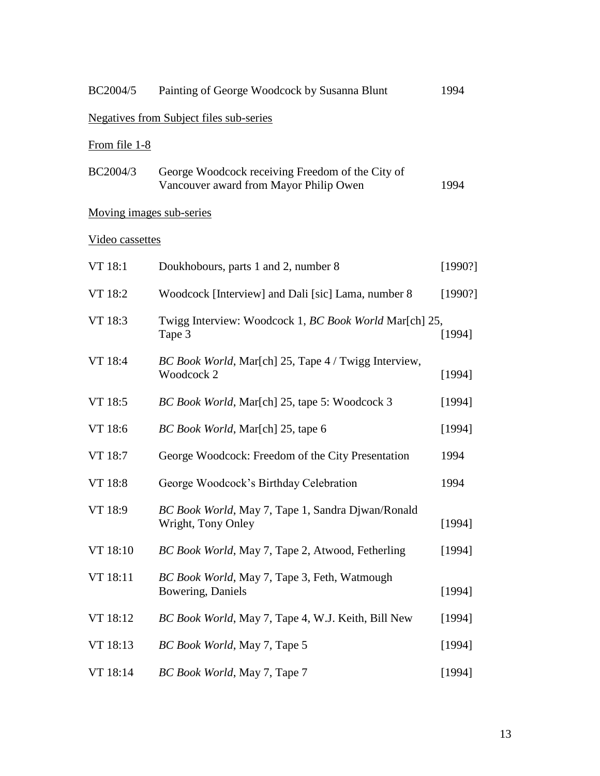| BC2004/5                 | Painting of George Woodcock by Susanna Blunt                                               | 1994    |
|--------------------------|--------------------------------------------------------------------------------------------|---------|
|                          | <b>Negatives from Subject files sub-series</b>                                             |         |
| From file 1-8            |                                                                                            |         |
| BC2004/3                 | George Woodcock receiving Freedom of the City of<br>Vancouver award from Mayor Philip Owen | 1994    |
| Moving images sub-series |                                                                                            |         |
| Video cassettes          |                                                                                            |         |
| VT 18:1                  | Doukhobours, parts 1 and 2, number 8                                                       | [1990?] |
| VT 18:2                  | Woodcock [Interview] and Dali [sic] Lama, number 8                                         | [1990?] |
| VT 18:3                  | Twigg Interview: Woodcock 1, BC Book World Mar[ch] 25,<br>Tape 3                           | [1994]  |
| VT 18:4                  | BC Book World, Mar[ch] 25, Tape 4 / Twigg Interview,<br>Woodcock 2                         | [1994]  |
| VT 18:5                  | BC Book World, Mar[ch] 25, tape 5: Woodcock 3                                              | [1994]  |
| VT 18:6                  | BC Book World, Mar[ch] 25, tape 6                                                          | [1994]  |
| VT 18:7                  | George Woodcock: Freedom of the City Presentation                                          | 1994    |
| VT 18:8                  | George Woodcock's Birthday Celebration                                                     | 1994    |
| VT 18:9                  | BC Book World, May 7, Tape 1, Sandra Djwan/Ronald<br>Wright, Tony Onley                    | [1994]  |
| VT 18:10                 | BC Book World, May 7, Tape 2, Atwood, Fetherling                                           | [1994]  |
| VT 18:11                 | BC Book World, May 7, Tape 3, Feth, Watmough<br>Bowering, Daniels                          | [1994]  |
| VT 18:12                 | BC Book World, May 7, Tape 4, W.J. Keith, Bill New                                         | [1994]  |
| VT 18:13                 | BC Book World, May 7, Tape 5                                                               | [1994]  |
| VT 18:14                 | BC Book World, May 7, Tape 7                                                               | [1994]  |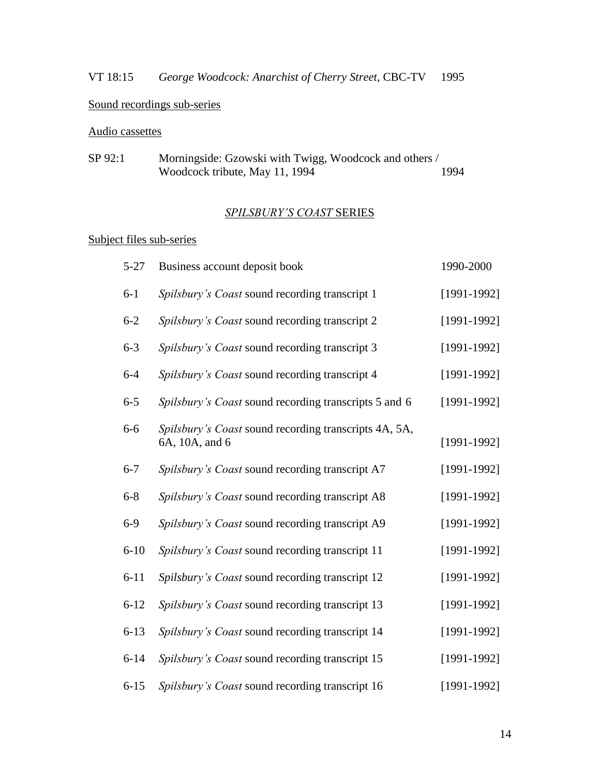# VT 18:15 *George Woodcock: Anarchist of Cherry Street*, CBC-TV 1995

# Sound recordings sub-series

# Audio cassettes

| SP 92:1 | Morningside: Gzowski with Twigg, Woodcock and others / |      |
|---------|--------------------------------------------------------|------|
|         | Woodcock tribute, May 11, 1994                         | 1994 |

# *SPILSBURY'S COAST* SERIES

# Subject files sub-series

| $5 - 27$ | Business account deposit book                                           | 1990-2000       |
|----------|-------------------------------------------------------------------------|-----------------|
| $6 - 1$  | Spilsbury's Coast sound recording transcript 1                          | $[1991-1992]$   |
| $6 - 2$  | Spilsbury's Coast sound recording transcript 2                          | $[1991 - 1992]$ |
| $6 - 3$  | Spilsbury's Coast sound recording transcript 3                          | $[1991-1992]$   |
| $6 - 4$  | Spilsbury's Coast sound recording transcript 4                          | $[1991-1992]$   |
| $6 - 5$  | Spilsbury's Coast sound recording transcripts 5 and 6                   | $[1991-1992]$   |
| $6 - 6$  | Spilsbury's Coast sound recording transcripts 4A, 5A,<br>6A, 10A, and 6 | $[1991-1992]$   |
| $6 - 7$  | Spilsbury's Coast sound recording transcript A7                         | $[1991-1992]$   |
| $6 - 8$  | Spilsbury's Coast sound recording transcript A8                         | $[1991 - 1992]$ |
| $6-9$    | Spilsbury's Coast sound recording transcript A9                         | $[1991-1992]$   |
| $6 - 10$ | Spilsbury's Coast sound recording transcript 11                         | $[1991 - 1992]$ |
| $6 - 11$ | Spilsbury's Coast sound recording transcript 12                         | $[1991 - 1992]$ |
| $6 - 12$ | Spilsbury's Coast sound recording transcript 13                         | $[1991-1992]$   |
| $6 - 13$ | Spilsbury's Coast sound recording transcript 14                         | $[1991 - 1992]$ |
| $6 - 14$ | Spilsbury's Coast sound recording transcript 15                         | $[1991-1992]$   |
| $6 - 15$ | Spilsbury's Coast sound recording transcript 16                         | $[1991-1992]$   |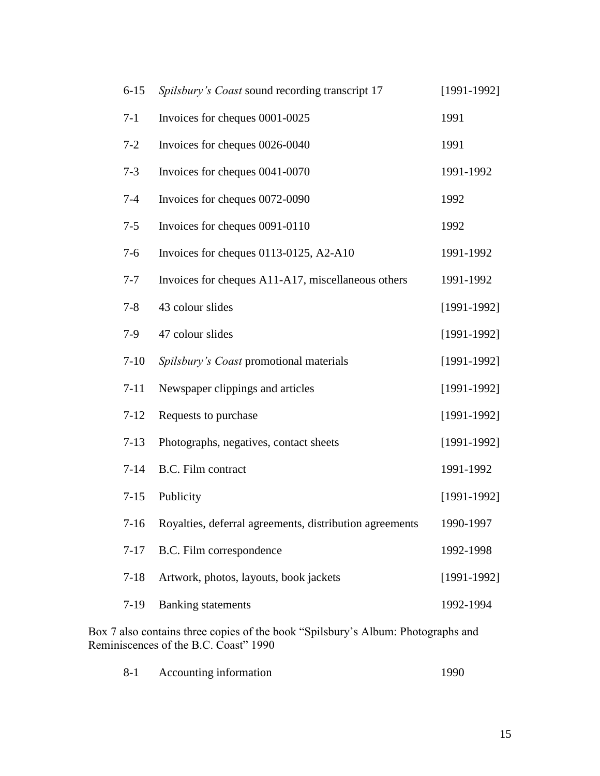| $6 - 15$ | Spilsbury's Coast sound recording transcript 17              | $[1991-1992]$   |
|----------|--------------------------------------------------------------|-----------------|
| $7-1$    | Invoices for cheques 0001-0025                               | 1991            |
| $7 - 2$  | Invoices for cheques 0026-0040                               | 1991            |
| $7 - 3$  | Invoices for cheques 0041-0070                               | 1991-1992       |
| $7 - 4$  | Invoices for cheques 0072-0090                               | 1992            |
| $7 - 5$  | Invoices for cheques 0091-0110                               | 1992            |
| $7-6$    | Invoices for cheques 0113-0125, A2-A10                       | 1991-1992       |
| $7 - 7$  | Invoices for cheques A11-A17, miscellaneous others           | 1991-1992       |
| $7 - 8$  | 43 colour slides                                             | $[1991-1992]$   |
| $7-9$    | 47 colour slides                                             | $[1991-1992]$   |
| $7-10$   | Spilsbury's Coast promotional materials                      | $[1991-1992]$   |
| $7 - 11$ | Newspaper clippings and articles                             | $[1991-1992]$   |
| $7 - 12$ | Requests to purchase                                         | $[1991 - 1992]$ |
| $7-13$   | Photographs, negatives, contact sheets                       | $[1991-1992]$   |
| $7 - 14$ | B.C. Film contract                                           | 1991-1992       |
| $7 - 15$ | Publicity                                                    | $[1991-1992]$   |
|          | 7-16 Royalties, deferral agreements, distribution agreements | 1990-1997       |
| $7 - 17$ | B.C. Film correspondence                                     | 1992-1998       |
| $7 - 18$ | Artwork, photos, layouts, book jackets                       | $[1991-1992]$   |
| $7-19$   | <b>Banking</b> statements                                    | 1992-1994       |
|          |                                                              |                 |

Box 7 also contains three copies of the book "Spilsbury's Album: Photographs and Reminiscences of the B.C. Coast" 1990

| $8 - 1$ | Accounting information | 1990 |
|---------|------------------------|------|
|---------|------------------------|------|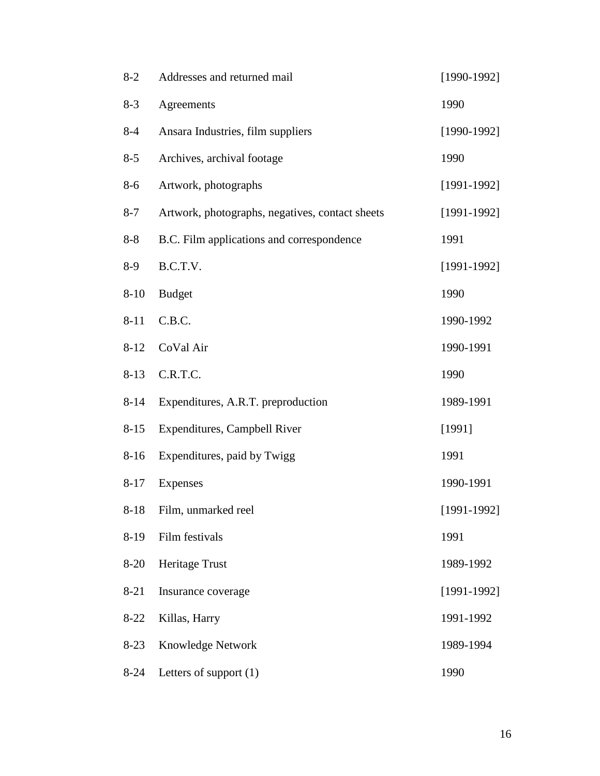| $8 - 2$  | Addresses and returned mail                     | $[1990-1992]$ |
|----------|-------------------------------------------------|---------------|
| $8 - 3$  | Agreements                                      | 1990          |
| $8-4$    | Ansara Industries, film suppliers               | $[1990-1992]$ |
| $8 - 5$  | Archives, archival footage                      | 1990          |
| $8 - 6$  | Artwork, photographs                            | $[1991-1992]$ |
| $8 - 7$  | Artwork, photographs, negatives, contact sheets | $[1991-1992]$ |
| $8 - 8$  | B.C. Film applications and correspondence       | 1991          |
| $8-9$    | B.C.T.V.                                        | $[1991-1992]$ |
| $8 - 10$ | <b>Budget</b>                                   | 1990          |
| $8 - 11$ | C.B.C.                                          | 1990-1992     |
| $8 - 12$ | CoVal Air                                       | 1990-1991     |
| $8 - 13$ | C.R.T.C.                                        | 1990          |
| $8 - 14$ | Expenditures, A.R.T. preproduction              | 1989-1991     |
| $8 - 15$ | Expenditures, Campbell River                    | [1991]        |
| $8 - 16$ | Expenditures, paid by Twigg                     | 1991          |
| $8 - 17$ | Expenses                                        | 1990-1991     |
| $8 - 18$ | Film, unmarked reel                             | $[1991-1992]$ |
| $8-19$   | Film festivals                                  | 1991          |
| $8-20$   | Heritage Trust                                  | 1989-1992     |
| $8 - 21$ | Insurance coverage                              | $[1991-1992]$ |
| $8-22$   | Killas, Harry                                   | 1991-1992     |
| $8-23$   | <b>Knowledge Network</b>                        | 1989-1994     |
| $8 - 24$ | Letters of support $(1)$                        | 1990          |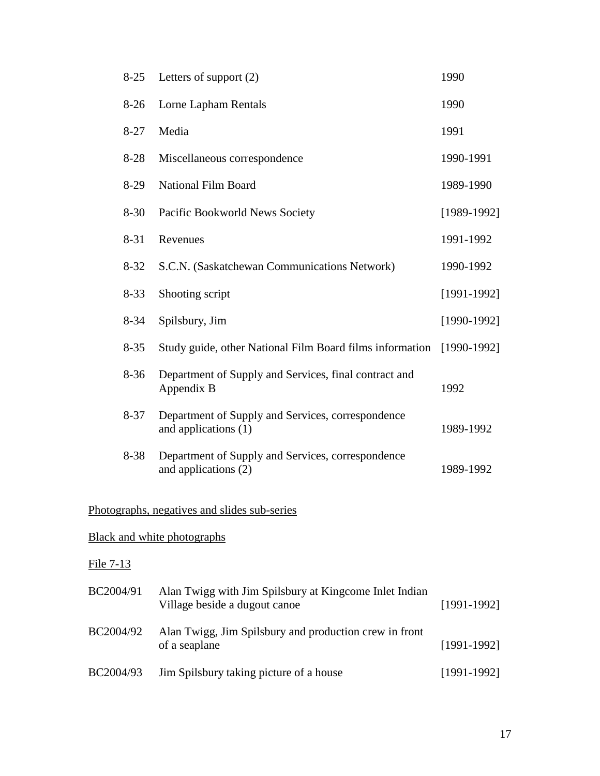| $8-25$           | Letters of support $(2)$                                                                | 1990            |
|------------------|-----------------------------------------------------------------------------------------|-----------------|
| $8-26$           | Lorne Lapham Rentals                                                                    | 1990            |
| $8 - 27$         | Media                                                                                   | 1991            |
| $8 - 28$         | Miscellaneous correspondence                                                            | 1990-1991       |
| $8-29$           | <b>National Film Board</b>                                                              | 1989-1990       |
| $8 - 30$         | Pacific Bookworld News Society                                                          | $[1989-1992]$   |
| $8 - 31$         | Revenues                                                                                | 1991-1992       |
| $8 - 32$         | S.C.N. (Saskatchewan Communications Network)                                            | 1990-1992       |
| $8 - 33$         | Shooting script                                                                         | $[1991 - 1992]$ |
| $8 - 34$         | Spilsbury, Jim                                                                          | $[1990-1992]$   |
| $8 - 35$         | Study guide, other National Film Board films information                                | $[1990-1992]$   |
| $8 - 36$         | Department of Supply and Services, final contract and<br>Appendix B                     | 1992            |
| $8 - 37$         | Department of Supply and Services, correspondence<br>and applications (1)               | 1989-1992       |
| 8-38             | Department of Supply and Services, correspondence<br>and applications (2)               | 1989-1992       |
|                  | Photographs, negatives and slides sub-series                                            |                 |
|                  | <b>Black and white photographs</b>                                                      |                 |
| <u>File 7-13</u> |                                                                                         |                 |
| BC2004/91        | Alan Twigg with Jim Spilsbury at Kingcome Inlet Indian<br>Village beside a dugout canoe | $[1991-1992]$   |
| BC2004/92        | Alan Twigg, Jim Spilsbury and production crew in front<br>of a seaplane                 | $[1991 - 1992]$ |
| BC2004/93        | Jim Spilsbury taking picture of a house                                                 | $[1991-1992]$   |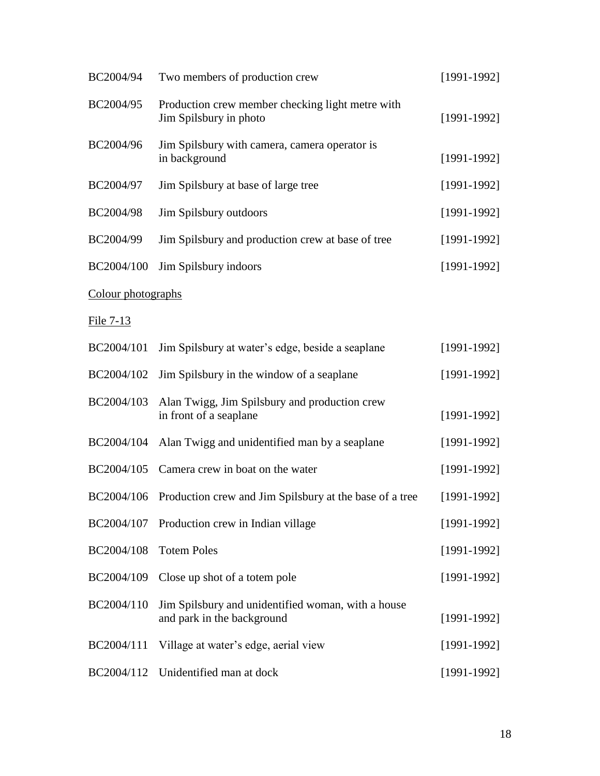| BC2004/94          | Two members of production crew                                                   | $[1991-1992]$ |
|--------------------|----------------------------------------------------------------------------------|---------------|
| BC2004/95          | Production crew member checking light metre with<br>Jim Spilsbury in photo       | $[1991-1992]$ |
| BC2004/96          | Jim Spilsbury with camera, camera operator is<br>in background                   | $[1991-1992]$ |
| BC2004/97          | Jim Spilsbury at base of large tree                                              | $[1991-1992]$ |
| BC2004/98          | Jim Spilsbury outdoors                                                           | $[1991-1992]$ |
| BC2004/99          | Jim Spilsbury and production crew at base of tree                                | $[1991-1992]$ |
| BC2004/100         | Jim Spilsbury indoors                                                            | $[1991-1992]$ |
| Colour photographs |                                                                                  |               |
| $File 7-13$        |                                                                                  |               |
| BC2004/101         | Jim Spilsbury at water's edge, beside a seaplane                                 | $[1991-1992]$ |
| BC2004/102         | Jim Spilsbury in the window of a seaplane                                        | $[1991-1992]$ |
| BC2004/103         | Alan Twigg, Jim Spilsbury and production crew<br>in front of a seaplane          | $[1991-1992]$ |
| BC2004/104         | Alan Twigg and unidentified man by a seaplane                                    | $[1991-1992]$ |
| BC2004/105         | Camera crew in boat on the water                                                 | $[1991-1992]$ |
|                    | BC2004/106 Production crew and Jim Spilsbury at the base of a tree               | $[1991-1992]$ |
|                    | BC2004/107 Production crew in Indian village                                     | $[1991-1992]$ |
| BC2004/108         | <b>Totem Poles</b>                                                               | $[1991-1992]$ |
| BC2004/109         | Close up shot of a totem pole                                                    | $[1991-1992]$ |
| BC2004/110         | Jim Spilsbury and unidentified woman, with a house<br>and park in the background | $[1991-1992]$ |
| BC2004/111         | Village at water's edge, aerial view                                             | $[1991-1992]$ |
|                    | BC2004/112 Unidentified man at dock                                              | $[1991-1992]$ |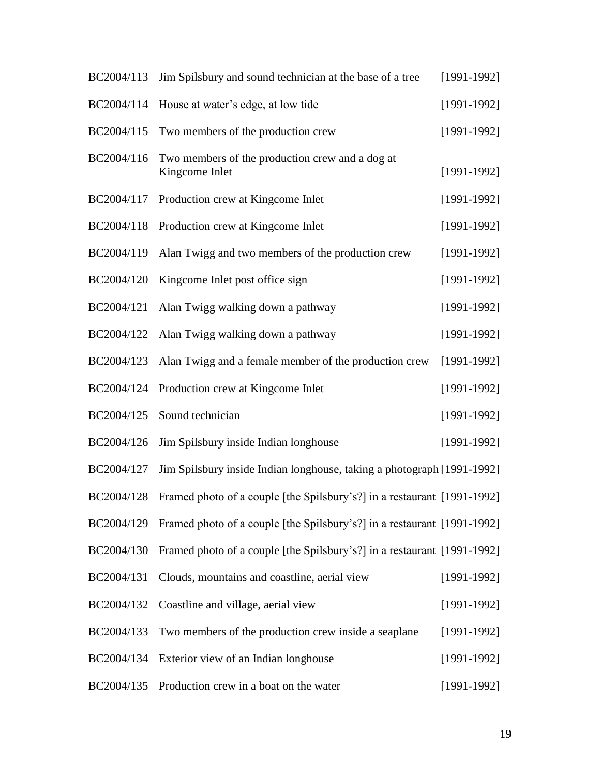| BC2004/113 | Jim Spilsbury and sound technician at the base of a tree                | $[1991-1992]$ |
|------------|-------------------------------------------------------------------------|---------------|
| BC2004/114 | House at water's edge, at low tide                                      | $[1991-1992]$ |
| BC2004/115 | Two members of the production crew                                      | $[1991-1992]$ |
| BC2004/116 | Two members of the production crew and a dog at<br>Kingcome Inlet       | $[1991-1992]$ |
| BC2004/117 | Production crew at Kingcome Inlet                                       | $[1991-1992]$ |
| BC2004/118 | Production crew at Kingcome Inlet                                       | $[1991-1992]$ |
| BC2004/119 | Alan Twigg and two members of the production crew                       | $[1991-1992]$ |
| BC2004/120 | Kingcome Inlet post office sign                                         | $[1991-1992]$ |
| BC2004/121 | Alan Twigg walking down a pathway                                       | $[1991-1992]$ |
| BC2004/122 | Alan Twigg walking down a pathway                                       | $[1991-1992]$ |
| BC2004/123 | Alan Twigg and a female member of the production crew                   | $[1991-1992]$ |
| BC2004/124 | Production crew at Kingcome Inlet                                       | $[1991-1992]$ |
| BC2004/125 | Sound technician                                                        | $[1991-1992]$ |
| BC2004/126 | Jim Spilsbury inside Indian longhouse                                   | $[1991-1992]$ |
| BC2004/127 | Jim Spilsbury inside Indian longhouse, taking a photograph [1991-1992]  |               |
| BC2004/128 | Framed photo of a couple [the Spilsbury's?] in a restaurant [1991-1992] |               |
| BC2004/129 | Framed photo of a couple [the Spilsbury's?] in a restaurant [1991-1992] |               |
| BC2004/130 | Framed photo of a couple [the Spilsbury's?] in a restaurant [1991-1992] |               |
| BC2004/131 | Clouds, mountains and coastline, aerial view                            | $[1991-1992]$ |
| BC2004/132 | Coastline and village, aerial view                                      | $[1991-1992]$ |
| BC2004/133 | Two members of the production crew inside a seaplane                    | $[1991-1992]$ |
| BC2004/134 | Exterior view of an Indian longhouse                                    | $[1991-1992]$ |
| BC2004/135 | Production crew in a boat on the water                                  | $[1991-1992]$ |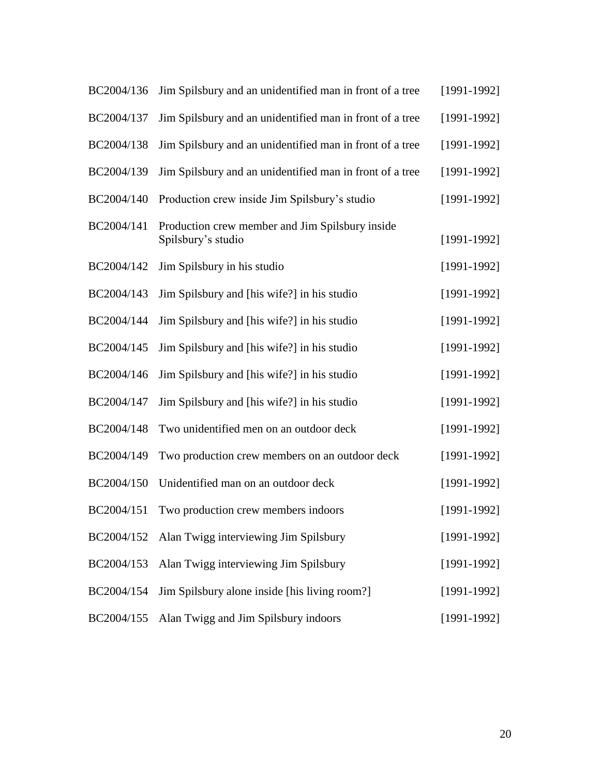| BC2004/136 | Jim Spilsbury and an unidentified man in front of a tree              | $[1991-1992]$   |
|------------|-----------------------------------------------------------------------|-----------------|
| BC2004/137 | Jim Spilsbury and an unidentified man in front of a tree              | $[1991 - 1992]$ |
| BC2004/138 | Jim Spilsbury and an unidentified man in front of a tree              | $[1991-1992]$   |
| BC2004/139 | Jim Spilsbury and an unidentified man in front of a tree              | $[1991-1992]$   |
| BC2004/140 | Production crew inside Jim Spilsbury's studio                         | $[1991-1992]$   |
| BC2004/141 | Production crew member and Jim Spilsbury inside<br>Spilsbury's studio | $[1991 - 1992]$ |
| BC2004/142 | Jim Spilsbury in his studio                                           | $[1991-1992]$   |
| BC2004/143 | Jim Spilsbury and [his wife?] in his studio                           | $[1991 - 1992]$ |
| BC2004/144 | Jim Spilsbury and [his wife?] in his studio                           | $[1991 - 1992]$ |
| BC2004/145 | Jim Spilsbury and [his wife?] in his studio                           | $[1991 - 1992]$ |
| BC2004/146 | Jim Spilsbury and [his wife?] in his studio                           | $[1991 - 1992]$ |
| BC2004/147 | Jim Spilsbury and [his wife?] in his studio                           | $[1991 - 1992]$ |
| BC2004/148 | Two unidentified men on an outdoor deck                               | $[1991 - 1992]$ |
| BC2004/149 | Two production crew members on an outdoor deck                        | $[1991-1992]$   |
| BC2004/150 | Unidentified man on an outdoor deck                                   | $[1991 - 1992]$ |
| BC2004/151 | Two production crew members indoors                                   | $[1991-1992]$   |
| BC2004/152 | Alan Twigg interviewing Jim Spilsbury                                 | $[1991-1992]$   |
| BC2004/153 | Alan Twigg interviewing Jim Spilsbury                                 | $[1991 - 1992]$ |
| BC2004/154 | Jim Spilsbury alone inside [his living room?]                         | $[1991-1992]$   |
| BC2004/155 | Alan Twigg and Jim Spilsbury indoors                                  | $[1991 - 1992]$ |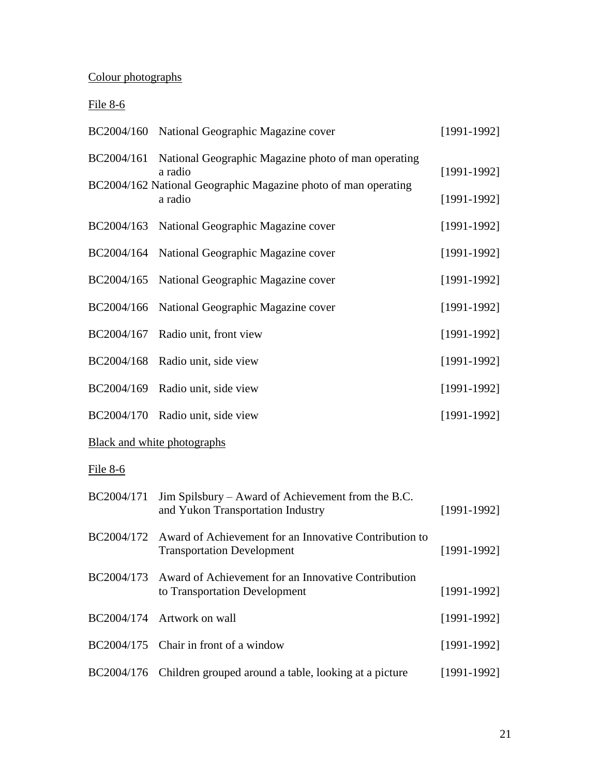# Colour photographs

# File 8-6

|            | BC2004/160 National Geographic Magazine cover                                               | $[1991-1992]$ |
|------------|---------------------------------------------------------------------------------------------|---------------|
| BC2004/161 | National Geographic Magazine photo of man operating<br>a radio                              | $[1991-1992]$ |
|            | BC2004/162 National Geographic Magazine photo of man operating<br>a radio                   | $[1991-1992]$ |
| BC2004/163 | National Geographic Magazine cover                                                          | $[1991-1992]$ |
| BC2004/164 | National Geographic Magazine cover                                                          | $[1991-1992]$ |
| BC2004/165 | National Geographic Magazine cover                                                          | $[1991-1992]$ |
| BC2004/166 | National Geographic Magazine cover                                                          | $[1991-1992]$ |
| BC2004/167 | Radio unit, front view                                                                      | $[1991-1992]$ |
| BC2004/168 | Radio unit, side view                                                                       | $[1991-1992]$ |
| BC2004/169 | Radio unit, side view                                                                       | $[1991-1992]$ |
|            | BC2004/170 Radio unit, side view                                                            | $[1991-1992]$ |
|            | Black and white photographs                                                                 |               |
| File 8-6   |                                                                                             |               |
| BC2004/171 | Jim Spilsbury – Award of Achievement from the B.C.<br>and Yukon Transportation Industry     | $[1991-1992]$ |
| BC2004/172 | Award of Achievement for an Innovative Contribution to<br><b>Transportation Development</b> | $[1991-1992]$ |
| BC2004/173 | Award of Achievement for an Innovative Contribution<br>to Transportation Development        | $[1991-1992]$ |
| BC2004/174 | Artwork on wall                                                                             | $[1991-1992]$ |
| BC2004/175 | Chair in front of a window                                                                  | $[1991-1992]$ |
| BC2004/176 | Children grouped around a table, looking at a picture                                       | $[1991-1992]$ |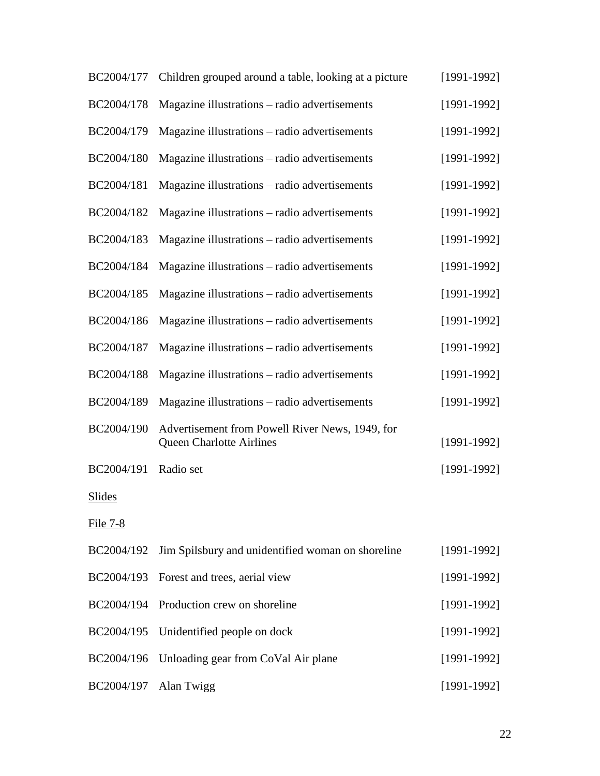| BC2004/177    | Children grouped around a table, looking at a picture                              | $[1991-1992]$ |
|---------------|------------------------------------------------------------------------------------|---------------|
| BC2004/178    | Magazine illustrations – radio advertisements                                      | $[1991-1992]$ |
| BC2004/179    | Magazine illustrations - radio advertisements                                      | $[1991-1992]$ |
| BC2004/180    | Magazine illustrations – radio advertisements                                      | $[1991-1992]$ |
| BC2004/181    | Magazine illustrations – radio advertisements                                      | $[1991-1992]$ |
| BC2004/182    | Magazine illustrations – radio advertisements                                      | $[1991-1992]$ |
| BC2004/183    | Magazine illustrations – radio advertisements                                      | $[1991-1992]$ |
| BC2004/184    | Magazine illustrations – radio advertisements                                      | $[1991-1992]$ |
| BC2004/185    | Magazine illustrations – radio advertisements                                      | $[1991-1992]$ |
| BC2004/186    | Magazine illustrations – radio advertisements                                      | $[1991-1992]$ |
| BC2004/187    | Magazine illustrations – radio advertisements                                      | $[1991-1992]$ |
| BC2004/188    | Magazine illustrations – radio advertisements                                      | $[1991-1992]$ |
| BC2004/189    | Magazine illustrations – radio advertisements                                      | $[1991-1992]$ |
| BC2004/190    | Advertisement from Powell River News, 1949, for<br><b>Queen Charlotte Airlines</b> | $[1991-1992]$ |
| BC2004/191    | Radio set                                                                          | $[1991-1992]$ |
| <b>Slides</b> |                                                                                    |               |
| File 7-8      |                                                                                    |               |
| BC2004/192    | Jim Spilsbury and unidentified woman on shoreline                                  | $[1991-1992]$ |
| BC2004/193    | Forest and trees, aerial view                                                      | $[1991-1992]$ |
| BC2004/194    | Production crew on shoreline                                                       | $[1991-1992]$ |
| BC2004/195    | Unidentified people on dock                                                        | $[1991-1992]$ |
| BC2004/196    | Unloading gear from CoVal Air plane                                                | $[1991-1992]$ |
| BC2004/197    | Alan Twigg                                                                         | $[1991-1992]$ |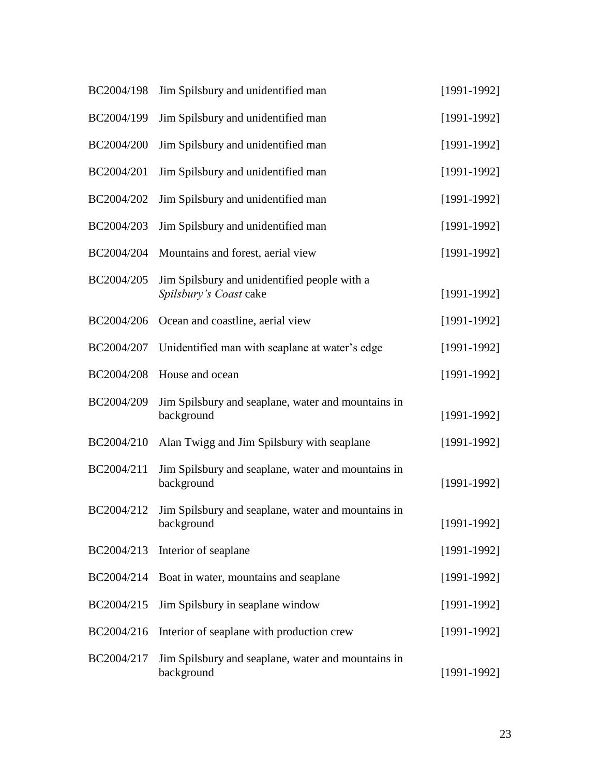| BC2004/198 | Jim Spilsbury and unidentified man                                     | $[1991-1992]$   |
|------------|------------------------------------------------------------------------|-----------------|
| BC2004/199 | Jim Spilsbury and unidentified man                                     | $[1991 - 1992]$ |
| BC2004/200 | Jim Spilsbury and unidentified man                                     | $[1991 - 1992]$ |
| BC2004/201 | Jim Spilsbury and unidentified man                                     | $[1991-1992]$   |
| BC2004/202 | Jim Spilsbury and unidentified man                                     | $[1991-1992]$   |
| BC2004/203 | Jim Spilsbury and unidentified man                                     | $[1991-1992]$   |
| BC2004/204 | Mountains and forest, aerial view                                      | $[1991-1992]$   |
| BC2004/205 | Jim Spilsbury and unidentified people with a<br>Spilsbury's Coast cake | $[1991 - 1992]$ |
| BC2004/206 | Ocean and coastline, aerial view                                       | $[1991-1992]$   |
| BC2004/207 | Unidentified man with seaplane at water's edge                         | $[1991-1992]$   |
| BC2004/208 | House and ocean                                                        | $[1991 - 1992]$ |
| BC2004/209 | Jim Spilsbury and seaplane, water and mountains in<br>background       | $[1991-1992]$   |
| BC2004/210 | Alan Twigg and Jim Spilsbury with seaplane                             | $[1991-1992]$   |
| BC2004/211 | Jim Spilsbury and seaplane, water and mountains in<br>background       | $[1991-1992]$   |
| BC2004/212 | Jim Spilsbury and seaplane, water and mountains in<br>background       | $[1991-1992]$   |
| BC2004/213 | Interior of seaplane                                                   | $[1991 - 1992]$ |
| BC2004/214 | Boat in water, mountains and seaplane                                  | $[1991-1992]$   |
| BC2004/215 | Jim Spilsbury in seaplane window                                       | $[1991-1992]$   |
| BC2004/216 | Interior of seaplane with production crew                              | $[1991-1992]$   |
| BC2004/217 | Jim Spilsbury and seaplane, water and mountains in<br>background       | $[1991-1992]$   |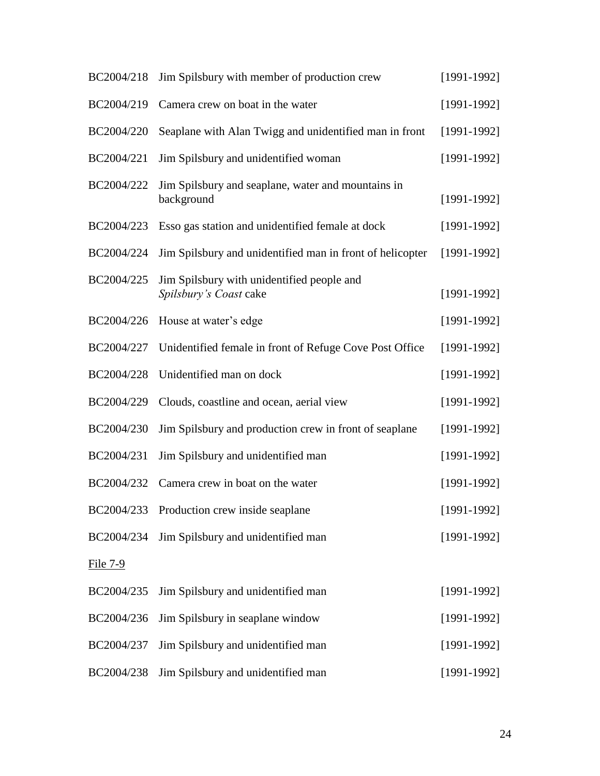| BC2004/218 | Jim Spilsbury with member of production crew                         | $[1991-1992]$   |
|------------|----------------------------------------------------------------------|-----------------|
| BC2004/219 | Camera crew on boat in the water                                     | $[1991-1992]$   |
| BC2004/220 | Seaplane with Alan Twigg and unidentified man in front               | $[1991-1992]$   |
| BC2004/221 | Jim Spilsbury and unidentified woman                                 | $[1991-1992]$   |
| BC2004/222 | Jim Spilsbury and seaplane, water and mountains in<br>background     | $[1991-1992]$   |
| BC2004/223 | Esso gas station and unidentified female at dock                     | $[1991-1992]$   |
| BC2004/224 | Jim Spilsbury and unidentified man in front of helicopter            | $[1991-1992]$   |
| BC2004/225 | Jim Spilsbury with unidentified people and<br>Spilsbury's Coast cake | $[1991-1992]$   |
| BC2004/226 | House at water's edge                                                | $[1991-1992]$   |
| BC2004/227 | Unidentified female in front of Refuge Cove Post Office              | $[1991-1992]$   |
| BC2004/228 | Unidentified man on dock                                             | $[1991 - 1992]$ |
| BC2004/229 | Clouds, coastline and ocean, aerial view                             | $[1991-1992]$   |
| BC2004/230 | Jim Spilsbury and production crew in front of seaplane               | $[1991-1992]$   |
| BC2004/231 | Jim Spilsbury and unidentified man                                   | $[1991-1992]$   |
| BC2004/232 | Camera crew in boat on the water                                     | $[1991-1992]$   |
|            | BC2004/233 Production crew inside seaplane                           | $[1991-1992]$   |
| BC2004/234 | Jim Spilsbury and unidentified man                                   | $[1991 - 1992]$ |
| File 7-9   |                                                                      |                 |
| BC2004/235 | Jim Spilsbury and unidentified man                                   | $[1991-1992]$   |
| BC2004/236 | Jim Spilsbury in seaplane window                                     | $[1991-1992]$   |
| BC2004/237 | Jim Spilsbury and unidentified man                                   | $[1991-1992]$   |
| BC2004/238 | Jim Spilsbury and unidentified man                                   | $[1991-1992]$   |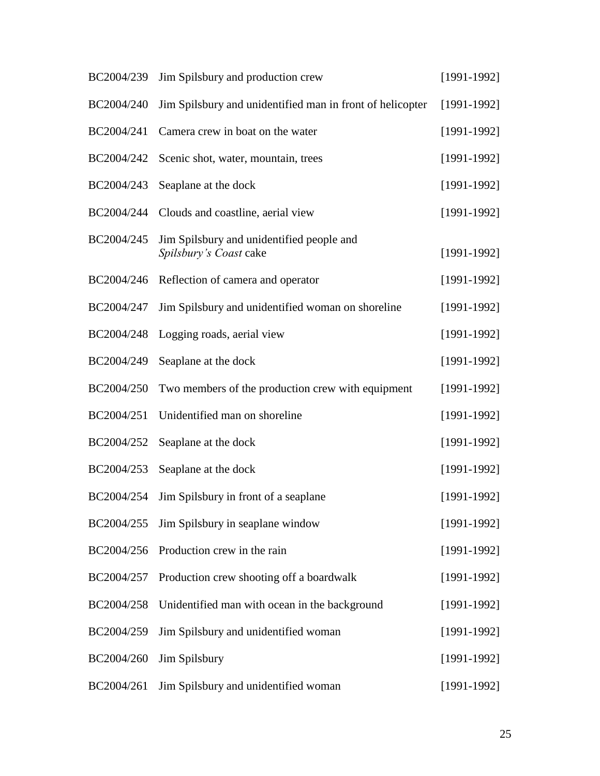| BC2004/239 | Jim Spilsbury and production crew                                   | $[1991-1992]$   |
|------------|---------------------------------------------------------------------|-----------------|
| BC2004/240 | Jim Spilsbury and unidentified man in front of helicopter           | $[1991-1992]$   |
| BC2004/241 | Camera crew in boat on the water                                    | $[1991-1992]$   |
| BC2004/242 | Scenic shot, water, mountain, trees                                 | $[1991-1992]$   |
| BC2004/243 | Seaplane at the dock                                                | $[1991-1992]$   |
| BC2004/244 | Clouds and coastline, aerial view                                   | $[1991 - 1992]$ |
| BC2004/245 | Jim Spilsbury and unidentified people and<br>Spilsbury's Coast cake | $[1991-1992]$   |
| BC2004/246 | Reflection of camera and operator                                   | $[1991-1992]$   |
| BC2004/247 | Jim Spilsbury and unidentified woman on shoreline                   | $[1991-1992]$   |
| BC2004/248 | Logging roads, aerial view                                          | $[1991-1992]$   |
| BC2004/249 | Seaplane at the dock                                                | $[1991 - 1992]$ |
| BC2004/250 | Two members of the production crew with equipment                   | $[1991-1992]$   |
| BC2004/251 | Unidentified man on shoreline                                       | $[1991-1992]$   |
| BC2004/252 | Seaplane at the dock                                                | $[1991-1992]$   |
| BC2004/253 | Seaplane at the dock                                                | $[1991-1992]$   |
| BC2004/254 | Jim Spilsbury in front of a seaplane                                | $[1991-1992]$   |
| BC2004/255 | Jim Spilsbury in seaplane window                                    | $[1991-1992]$   |
| BC2004/256 | Production crew in the rain                                         | $[1991-1992]$   |
| BC2004/257 | Production crew shooting off a boardwalk                            | $[1991 - 1992]$ |
| BC2004/258 | Unidentified man with ocean in the background                       | $[1991 - 1992]$ |
| BC2004/259 | Jim Spilsbury and unidentified woman                                | $[1991-1992]$   |
| BC2004/260 | Jim Spilsbury                                                       | $[1991-1992]$   |
| BC2004/261 | Jim Spilsbury and unidentified woman                                | $[1991-1992]$   |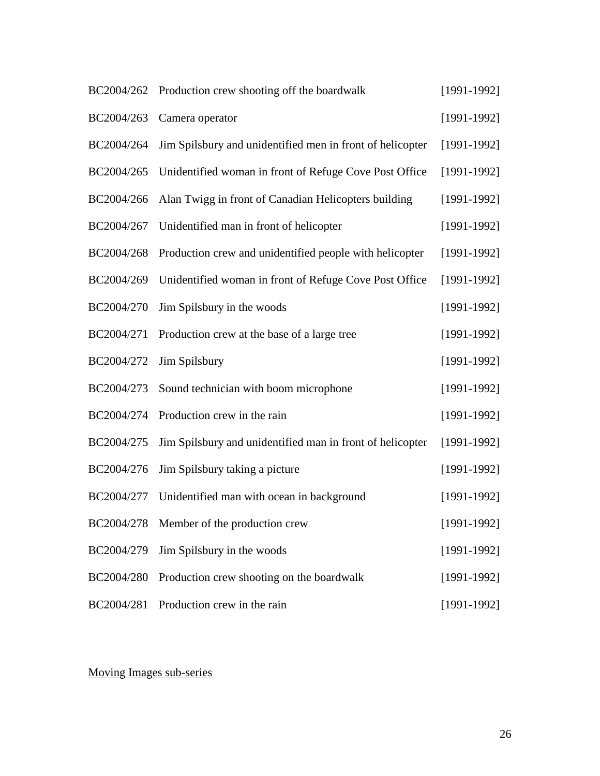|            | BC2004/262 Production crew shooting off the boardwalk     | $[1991-1992]$ |
|------------|-----------------------------------------------------------|---------------|
| BC2004/263 | Camera operator                                           | $[1991-1992]$ |
| BC2004/264 | Jim Spilsbury and unidentified men in front of helicopter | $[1991-1992]$ |
| BC2004/265 | Unidentified woman in front of Refuge Cove Post Office    | $[1991-1992]$ |
| BC2004/266 | Alan Twigg in front of Canadian Helicopters building      | $[1991-1992]$ |
| BC2004/267 | Unidentified man in front of helicopter                   | $[1991-1992]$ |
| BC2004/268 | Production crew and unidentified people with helicopter   | $[1991-1992]$ |
| BC2004/269 | Unidentified woman in front of Refuge Cove Post Office    | $[1991-1992]$ |
| BC2004/270 | Jim Spilsbury in the woods                                | $[1991-1992]$ |
| BC2004/271 | Production crew at the base of a large tree               | $[1991-1992]$ |
| BC2004/272 | Jim Spilsbury                                             | $[1991-1992]$ |
| BC2004/273 | Sound technician with boom microphone                     | $[1991-1992]$ |
| BC2004/274 | Production crew in the rain                               | $[1991-1992]$ |
| BC2004/275 | Jim Spilsbury and unidentified man in front of helicopter | $[1991-1992]$ |
| BC2004/276 | Jim Spilsbury taking a picture                            | $[1991-1992]$ |
| BC2004/277 | Unidentified man with ocean in background                 | $[1991-1992]$ |
|            | BC2004/278 Member of the production crew                  | $[1991-1992]$ |
| BC2004/279 | Jim Spilsbury in the woods                                | $[1991-1992]$ |
| BC2004/280 | Production crew shooting on the boardwalk                 | $[1991-1992]$ |
| BC2004/281 | Production crew in the rain                               | $[1991-1992]$ |

# Moving Images sub-series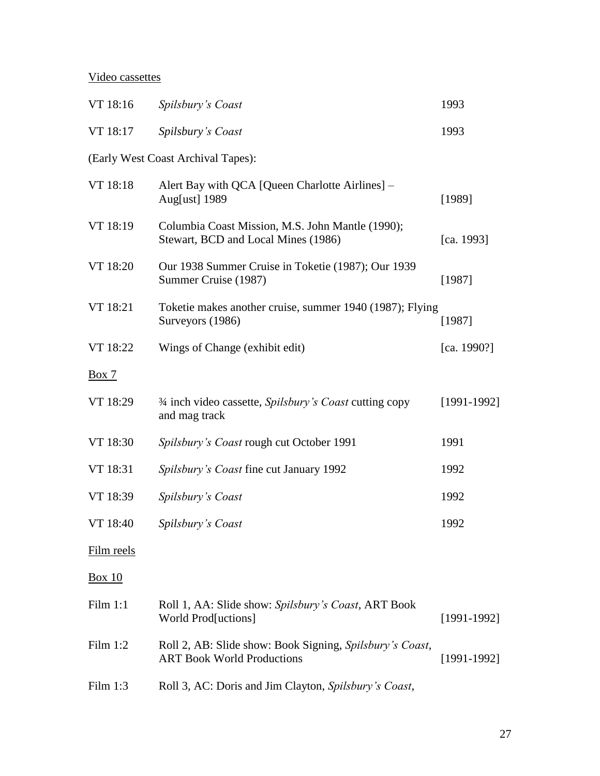# Video cassettes

| VT 18:16      | Spilsbury's Coast                                                                             | 1993          |
|---------------|-----------------------------------------------------------------------------------------------|---------------|
| VT 18:17      | Spilsbury's Coast                                                                             | 1993          |
|               | (Early West Coast Archival Tapes):                                                            |               |
| VT 18:18      | Alert Bay with QCA [Queen Charlotte Airlines] –<br>Aug[ust] 1989                              | [1989]        |
| VT 18:19      | Columbia Coast Mission, M.S. John Mantle (1990);<br>Stewart, BCD and Local Mines (1986)       | [ca. 1993]    |
| VT 18:20      | Our 1938 Summer Cruise in Toketie (1987); Our 1939<br>Summer Cruise (1987)                    | [1987]        |
| VT 18:21      | Toketie makes another cruise, summer 1940 (1987); Flying<br>Surveyors (1986)                  | [1987]        |
| VT 18:22      | Wings of Change (exhibit edit)                                                                | [ca. 1990?]   |
| Box 7         |                                                                                               |               |
| VT 18:29      | <sup>3/4</sup> inch video cassette, <i>Spilsbury's Coast</i> cutting copy<br>and mag track    | $[1991-1992]$ |
| VT 18:30      | Spilsbury's Coast rough cut October 1991                                                      | 1991          |
| VT 18:31      | Spilsbury's Coast fine cut January 1992                                                       | 1992          |
| VT 18:39      | Spilsbury's Coast                                                                             | 1992          |
| VT 18:40      | Spilsbury's Coast                                                                             | 1992          |
| Film reels    |                                                                                               |               |
| <b>Box 10</b> |                                                                                               |               |
| Film 1:1      | Roll 1, AA: Slide show: Spilsbury's Coast, ART Book<br>World Prod[uctions]                    | $[1991-1992]$ |
| Film $1:2$    | Roll 2, AB: Slide show: Book Signing, Spilsbury's Coast,<br><b>ART Book World Productions</b> | $[1991-1992]$ |
| Film $1:3$    | Roll 3, AC: Doris and Jim Clayton, Spilsbury's Coast,                                         |               |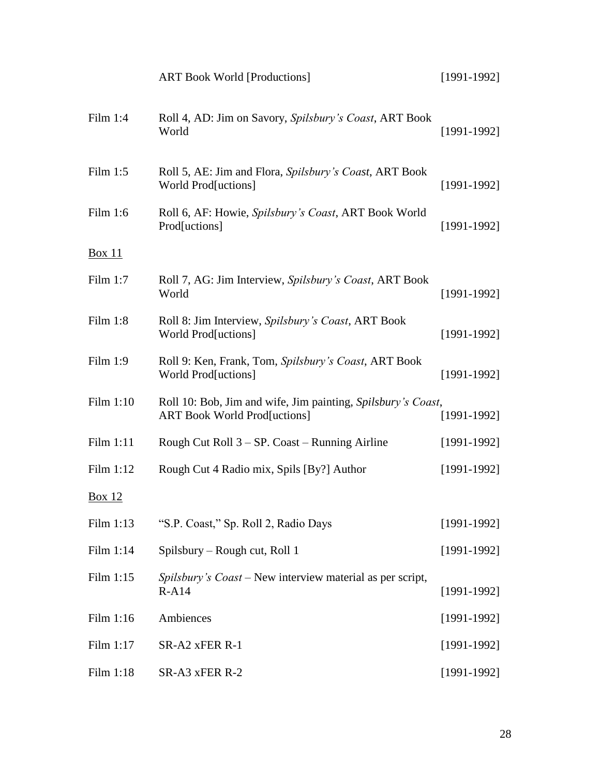|               | <b>ART Book World [Productions]</b>                                                                 | $[1991-1992]$ |
|---------------|-----------------------------------------------------------------------------------------------------|---------------|
| Film $1:4$    | Roll 4, AD: Jim on Savory, Spilsbury's Coast, ART Book<br>World                                     | $[1991-1992]$ |
| Film $1:5$    | Roll 5, AE: Jim and Flora, Spilsbury's Coast, ART Book<br>World Prod[uctions]                       | $[1991-1992]$ |
| Film 1:6      | Roll 6, AF: Howie, Spilsbury's Coast, ART Book World<br>Prod[uctions]                               | $[1991-1992]$ |
| <b>Box 11</b> |                                                                                                     |               |
| Film $1:7$    | Roll 7, AG: Jim Interview, Spilsbury's Coast, ART Book<br>World                                     | $[1991-1992]$ |
| Film $1:8$    | Roll 8: Jim Interview, Spilsbury's Coast, ART Book<br>World Prod[uctions]                           | $[1991-1992]$ |
| Film 1:9      | Roll 9: Ken, Frank, Tom, Spilsbury's Coast, ART Book<br>World Prod[uctions]                         | $[1991-1992]$ |
| Film 1:10     | Roll 10: Bob, Jim and wife, Jim painting, Spilsbury's Coast,<br><b>ART Book World Prod[uctions]</b> | $[1991-1992]$ |
| Film 1:11     | Rough Cut Roll 3 – SP. Coast – Running Airline                                                      | $[1991-1992]$ |
| Film 1:12     | Rough Cut 4 Radio mix, Spils [By?] Author                                                           | $[1991-1992]$ |
| <b>Box 12</b> |                                                                                                     |               |
| Film 1:13     | "S.P. Coast," Sp. Roll 2, Radio Days                                                                | $[1991-1992]$ |
| Film 1:14     | Spilsbury – Rough cut, Roll 1                                                                       | $[1991-1992]$ |
| Film 1:15     | <i>Spilsbury's Coast</i> – New interview material as per script,<br>$R-A14$                         | $[1991-1992]$ |
| Film 1:16     | Ambiences                                                                                           | $[1991-1992]$ |
| Film 1:17     | SR-A2 xFER R-1                                                                                      | $[1991-1992]$ |
| Film 1:18     | SR-A3 xFER R-2                                                                                      | $[1991-1992]$ |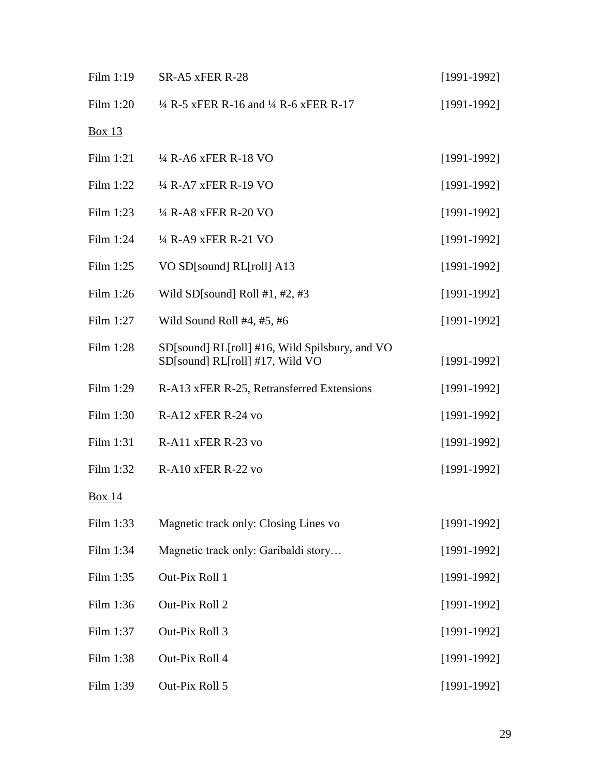| Film 1:19     | SR-A5 xFER R-28                                                                   | $[1991-1992]$ |
|---------------|-----------------------------------------------------------------------------------|---------------|
| Film 1:20     | $\frac{1}{4}$ R-5 xFER R-16 and $\frac{1}{4}$ R-6 xFER R-17                       | $[1991-1992]$ |
| <b>Box 13</b> |                                                                                   |               |
| Film 1:21     | <sup>1</sup> / <sub>4</sub> R-A6 xFER R-18 VO                                     | $[1991-1992]$ |
| Film 1:22     | <sup>1</sup> / <sub>4</sub> R-A7 xFER R-19 VO                                     | $[1991-1992]$ |
| Film 1:23     | 1/4 R-A8 xFER R-20 VO                                                             | $[1991-1992]$ |
| Film 1:24     | 1/4 R-A9 xFER R-21 VO                                                             | $[1991-1992]$ |
| Film $1:25$   | VO SD[sound] RL[roll] A13                                                         | $[1991-1992]$ |
| Film 1:26     | Wild SD[sound] Roll #1, #2, #3                                                    | $[1991-1992]$ |
| Film 1:27     | Wild Sound Roll #4, #5, #6                                                        | $[1991-1992]$ |
| Film 1:28     | SD[sound] RL[roll] #16, Wild Spilsbury, and VO<br>SD[sound] RL[roll] #17, Wild VO | $[1991-1992]$ |
| Film 1:29     | R-A13 xFER R-25, Retransferred Extensions                                         | $[1991-1992]$ |
| Film 1:30     | R-A12 xFER R-24 vo                                                                | $[1991-1992]$ |
| Film 1:31     | R-A11 xFER R-23 vo                                                                | $[1991-1992]$ |
| Film 1:32     | $R-A10$ xFER $R-22$ vo                                                            | $[1991-1992]$ |
| <b>Box 14</b> |                                                                                   |               |
| Film 1:33     | Magnetic track only: Closing Lines vo                                             | $[1991-1992]$ |
| Film 1:34     | Magnetic track only: Garibaldi story                                              | $[1991-1992]$ |
| Film 1:35     | Out-Pix Roll 1                                                                    | $[1991-1992]$ |
| Film 1:36     | Out-Pix Roll 2                                                                    | $[1991-1992]$ |
| Film 1:37     | Out-Pix Roll 3                                                                    | $[1991-1992]$ |
| Film 1:38     | Out-Pix Roll 4                                                                    | $[1991-1992]$ |
| Film 1:39     | Out-Pix Roll 5                                                                    | $[1991-1992]$ |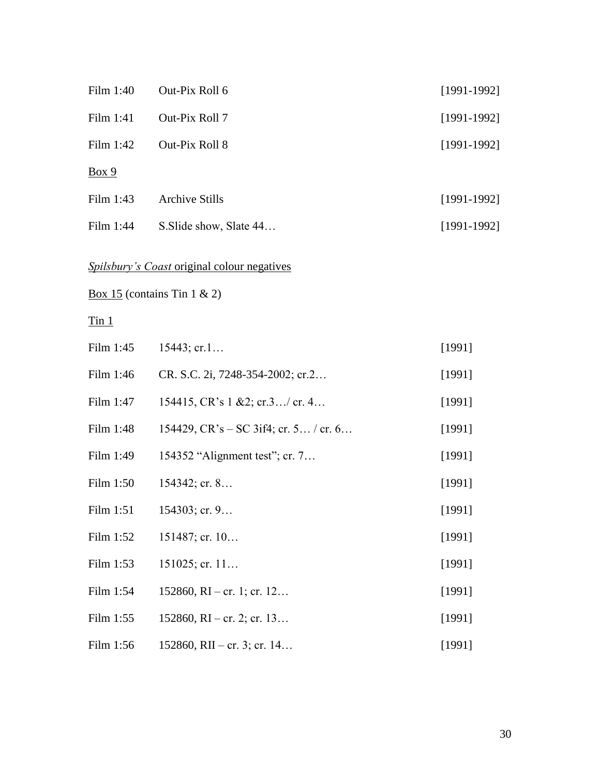| Film 1:40                  | Out-Pix Roll 6                                     | $[1991 - 1992]$ |
|----------------------------|----------------------------------------------------|-----------------|
| Film 1:41                  | Out-Pix Roll 7                                     | $[1991-1992]$   |
| Film 1:42                  | Out-Pix Roll 8                                     | $[1991 - 1992]$ |
| Box 9                      |                                                    |                 |
| Film 1:43                  | <b>Archive Stills</b>                              | $[1991-1992]$   |
| Film 1:44                  | S. Slide show, Slate 44                            | $[1991-1992]$   |
|                            | <b>Spilsbury's Coast original colour negatives</b> |                 |
|                            | <u>Box 15</u> (contains Tin 1 & 2)                 |                 |
| $\overline{\text{T}}$ in 1 |                                                    |                 |
| Film $1:45$                | $15443$ ; cr.1                                     | [1991]          |
| Film 1:46                  | CR. S.C. 2i, 7248-354-2002; cr.2                   | [1991]          |
| Film 1:47                  | 154415, CR's $1 \& 2$ ; cr.3/ cr. 4                | [1991]          |
| Film 1:48                  | 154429, $CR's - SC 3if4$ ; cr. 5 / cr. 6           | [1991]          |
| Film 1:49                  | 154352 "Alignment test"; cr. 7                     | [1991]          |
| Film 1:50                  | $154342$ ; cr. 8                                   | [1991]          |
| Film 1:51                  | $154303$ ; cr. 9                                   | [1991]          |
| Film 1:52                  | $151487$ ; cr. $10$                                | [1991]          |
| Film 1:53                  | $151025$ ; cr. 11                                  | [1991]          |
| Film 1:54                  | $152860$ , RI – cr. 1; cr. 12                      | [1991]          |
| Film 1:55                  | $152860$ , RI – cr. 2; cr. 13                      | [1991]          |
| Film 1:56                  | 152860, RII – cr. 3; cr. 14                        | [1991]          |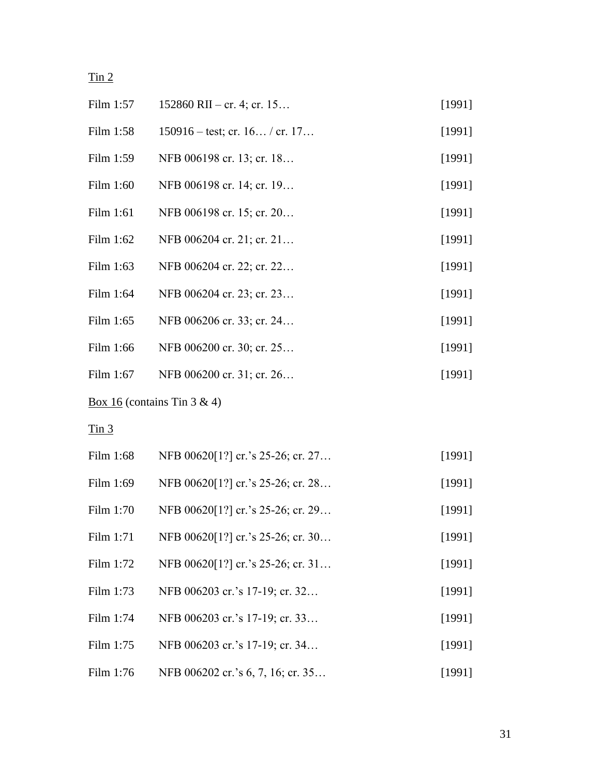# $\overline{\text{I}}$ in 2

| Film 1:57   | $152860$ RII – cr. 4; cr. 15             | [1991] |
|-------------|------------------------------------------|--------|
| Film 1:58   | $150916 - \text{test}$ ; cr. 16 / cr. 17 | [1991] |
| Film $1:59$ | NFB 006198 cr. 13; cr. 18                | [1991] |
| Film 1:60   | NFB 006198 cr. 14; cr. 19                | [1991] |
| Film 1:61   | NFB 006198 cr. 15; cr. 20                | [1991] |
| Film 1:62   | NFB 006204 cr. 21; cr. 21                | [1991] |
| Film 1:63   | NFB 006204 cr. 22; cr. 22                | [1991] |
| Film 1:64   | NFB 006204 cr. 23; cr. 23                | [1991] |
| Film 1:65   | NFB 006206 cr. 33; cr. 24                | [1991] |
| Film 1:66   | NFB 006200 cr. 30; cr. 25                | [1991] |
| Film 1:67   | NFB 006200 cr. 31; cr. 26                | [1991] |
|             |                                          |        |

Box 16 (contains Tin 3 & 4)

 $\overline{\text{I}}$ in 3

| Film 1:68   | NFB 00620[1?] cr.'s 25-26; cr. 27 | [1991] |
|-------------|-----------------------------------|--------|
| Film 1:69   | NFB 00620[1?] cr.'s 25-26; cr. 28 | [1991] |
| Film 1:70   | NFB 00620[1?] cr.'s 25-26; cr. 29 | [1991] |
| Film 1:71   | NFB 00620[1?] cr.'s 25-26; cr. 30 | [1991] |
| Film $1:72$ | NFB 00620[1?] cr.'s 25-26; cr. 31 | [1991] |
| Film 1:73   | NFB 006203 cr.'s 17-19; cr. 32    | [1991] |
| Film 1:74   | NFB 006203 cr.'s 17-19; cr. 33    | [1991] |
| Film 1:75   | NFB 006203 cr.'s 17-19; cr. 34    | [1991] |
| Film 1:76   | NFB 006202 cr.'s 6, 7, 16; cr. 35 | [1991] |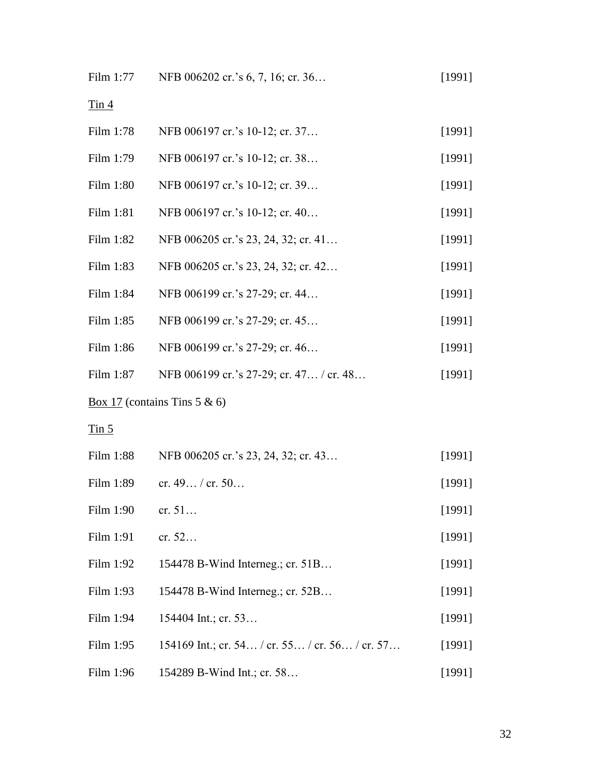| Film 1:77                  | NFB 006202 cr.'s 6, 7, 16; cr. 36       | [1991] |
|----------------------------|-----------------------------------------|--------|
| $\overline{\text{I}}$ in 4 |                                         |        |
| Film 1:78                  | NFB 006197 cr.'s 10-12; cr. 37          | [1991] |
| Film 1:79                  | NFB 006197 cr.'s 10-12; cr. 38          | [1991] |
| Film 1:80                  | NFB 006197 cr.'s 10-12; cr. 39          | [1991] |
| Film 1:81                  | NFB 006197 cr.'s 10-12; cr. 40          | [1991] |
| Film 1:82                  | NFB 006205 cr.'s 23, 24, 32; cr. 41     | [1991] |
| Film 1:83                  | NFB 006205 cr.'s 23, 24, 32; cr. 42     | [1991] |
| Film 1:84                  | NFB 006199 cr.'s 27-29; cr. 44          | [1991] |
| Film 1:85                  | NFB 006199 cr.'s 27-29; cr. 45          | [1991] |
| Film 1:86                  | NFB 006199 cr.'s 27-29; cr. 46          | [1991] |
| Film 1:87                  | NFB 006199 cr.'s 27-29; cr. 47 / cr. 48 | [1991] |

Box 17 (contains Tins 5 & 6)

 $\overline{\text{I}}$ in 5

| Film 1:88 | NFB 006205 cr.'s 23, 24, 32; cr. 43            | [1991] |
|-----------|------------------------------------------------|--------|
| Film 1:89 | cr. $49 /$ cr. $50$                            | [1991] |
| Film 1:90 | cr. 51                                         | [1991] |
| Film 1:91 | cr. $52$                                       | [1991] |
| Film 1:92 | 154478 B-Wind Interneg.; cr. 51B               | [1991] |
| Film 1:93 | 154478 B-Wind Interneg.; cr. 52B               | [1991] |
| Film 1:94 | 154404 Int.; cr. 53                            | [1991] |
| Film 1:95 | 154169 Int.; cr. 54 / cr. 55 / cr. 56 / cr. 57 | [1991] |
| Film 1:96 | 154289 B-Wind Int.; cr. 58                     | [1991] |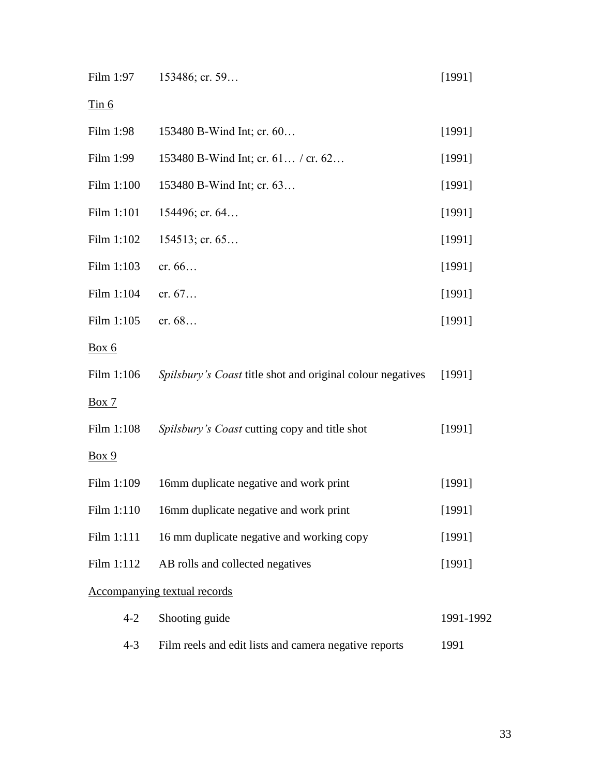| Film 1:97  | 153486; cr. 59                                             | [1991]    |
|------------|------------------------------------------------------------|-----------|
| Tin 6      |                                                            |           |
| Film 1:98  | 153480 B-Wind Int; cr. 60                                  | [1991]    |
| Film 1:99  | 153480 B-Wind Int; cr. 61 / cr. 62                         | [1991]    |
| Film 1:100 | 153480 B-Wind Int; cr. 63                                  | [1991]    |
| Film 1:101 | 154496; cr. 64                                             | [1991]    |
| Film 1:102 | $154513$ ; cr. 65                                          | [1991]    |
| Film 1:103 | cr. 66                                                     | [1991]    |
| Film 1:104 | cr. 67                                                     | [1991]    |
| Film 1:105 | cr. 68                                                     | [1991]    |
| Box 6      |                                                            |           |
| Film 1:106 | Spilsbury's Coast title shot and original colour negatives | [1991]    |
| Box 7      |                                                            |           |
| Film 1:108 | Spilsbury's Coast cutting copy and title shot              | [1991]    |
| Box 9      |                                                            |           |
| Film 1:109 | 16mm duplicate negative and work print                     | [1991]    |
| Film 1:110 | 16mm duplicate negative and work print                     | [1991]    |
| Film 1:111 | 16 mm duplicate negative and working copy                  | [1991]    |
| Film 1:112 | AB rolls and collected negatives                           | [1991]    |
|            | <b>Accompanying textual records</b>                        |           |
| $4 - 2$    | Shooting guide                                             | 1991-1992 |
| $4 - 3$    | Film reels and edit lists and camera negative reports      | 1991      |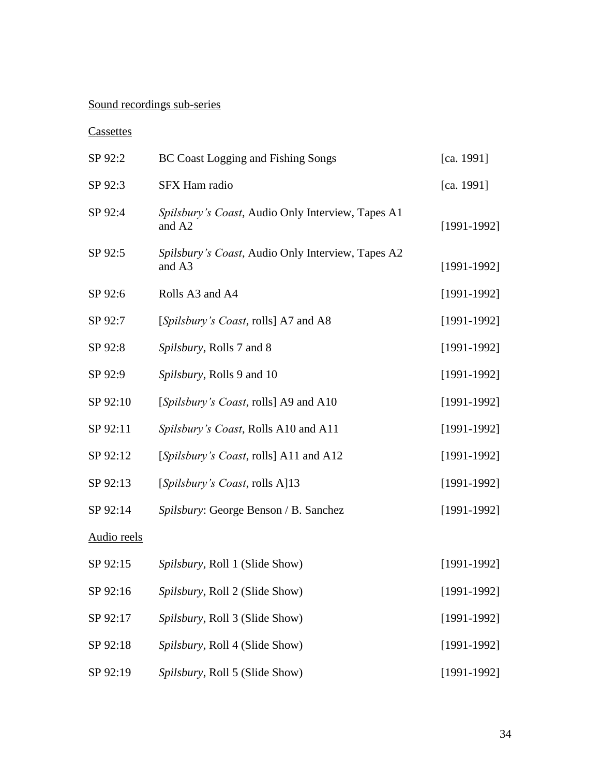# Sound recordings sub-series

# **Cassettes**

| SP 92:2     | <b>BC Coast Logging and Fishing Songs</b>                   | [ca. 1991]      |
|-------------|-------------------------------------------------------------|-----------------|
| SP 92:3     | SFX Ham radio                                               | [ca. 1991]      |
| SP 92:4     | Spilsbury's Coast, Audio Only Interview, Tapes A1<br>and A2 | $[1991-1992]$   |
| SP 92:5     | Spilsbury's Coast, Audio Only Interview, Tapes A2<br>and A3 | $[1991 - 1992]$ |
| SP 92:6     | Rolls A3 and A4                                             | $[1991-1992]$   |
| SP 92:7     | [Spilsbury's Coast, rolls] A7 and A8                        | $[1991-1992]$   |
| SP 92:8     | Spilsbury, Rolls 7 and 8                                    | $[1991 - 1992]$ |
| SP 92:9     | Spilsbury, Rolls 9 and 10                                   | $[1991 - 1992]$ |
| SP 92:10    | [Spilsbury's Coast, rolls] A9 and A10                       | $[1991 - 1992]$ |
| SP 92:11    | Spilsbury's Coast, Rolls A10 and A11                        | $[1991 - 1992]$ |
| SP 92:12    | [Spilsbury's Coast, rolls] A11 and A12                      | $[1991 - 1992]$ |
| SP 92:13    | [Spilsbury's Coast, rolls A]13                              | $[1991 - 1992]$ |
| SP 92:14    | Spilsbury: George Benson / B. Sanchez                       | $[1991-1992]$   |
| Audio reels |                                                             |                 |
| SP 92:15    | Spilsbury, Roll 1 (Slide Show)                              | $[1991-1992]$   |
| SP 92:16    | Spilsbury, Roll 2 (Slide Show)                              | $[1991 - 1992]$ |
| SP 92:17    | Spilsbury, Roll 3 (Slide Show)                              | $[1991 - 1992]$ |
| SP 92:18    | Spilsbury, Roll 4 (Slide Show)                              | $[1991-1992]$   |
| SP 92:19    | Spilsbury, Roll 5 (Slide Show)                              | $[1991-1992]$   |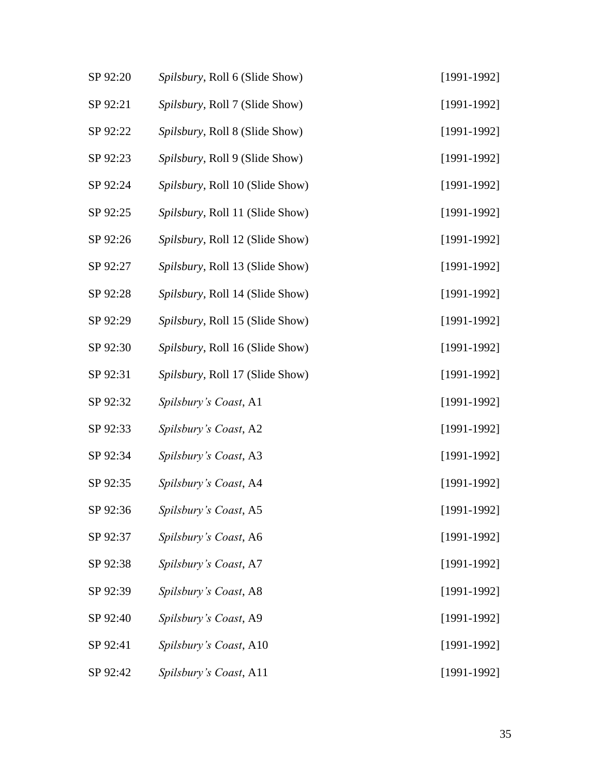| SP 92:20 | Spilsbury, Roll 6 (Slide Show)  | $[1991-1992]$ |
|----------|---------------------------------|---------------|
| SP 92:21 | Spilsbury, Roll 7 (Slide Show)  | $[1991-1992]$ |
| SP 92:22 | Spilsbury, Roll 8 (Slide Show)  | $[1991-1992]$ |
| SP 92:23 | Spilsbury, Roll 9 (Slide Show)  | $[1991-1992]$ |
| SP 92:24 | Spilsbury, Roll 10 (Slide Show) | $[1991-1992]$ |
| SP 92:25 | Spilsbury, Roll 11 (Slide Show) | $[1991-1992]$ |
| SP 92:26 | Spilsbury, Roll 12 (Slide Show) | $[1991-1992]$ |
| SP 92:27 | Spilsbury, Roll 13 (Slide Show) | $[1991-1992]$ |
| SP 92:28 | Spilsbury, Roll 14 (Slide Show) | $[1991-1992]$ |
| SP 92:29 | Spilsbury, Roll 15 (Slide Show) | $[1991-1992]$ |
| SP 92:30 | Spilsbury, Roll 16 (Slide Show) | $[1991-1992]$ |
| SP 92:31 | Spilsbury, Roll 17 (Slide Show) | $[1991-1992]$ |
| SP 92:32 | Spilsbury's Coast, A1           | $[1991-1992]$ |
| SP 92:33 | Spilsbury's Coast, A2           | $[1991-1992]$ |
| SP 92:34 | Spilsbury's Coast, A3           | $[1991-1992]$ |
| SP 92:35 | Spilsbury's Coast, A4           | $[1991-1992]$ |
| SP 92:36 | Spilsbury's Coast, A5           | $[1991-1992]$ |
| SP 92:37 | Spilsbury's Coast, A6           | $[1991-1992]$ |
| SP 92:38 | Spilsbury's Coast, A7           | $[1991-1992]$ |
| SP 92:39 | Spilsbury's Coast, A8           | $[1991-1992]$ |
| SP 92:40 | Spilsbury's Coast, A9           | $[1991-1992]$ |
| SP 92:41 | Spilsbury's Coast, A10          | $[1991-1992]$ |
| SP 92:42 | Spilsbury's Coast, A11          | $[1991-1992]$ |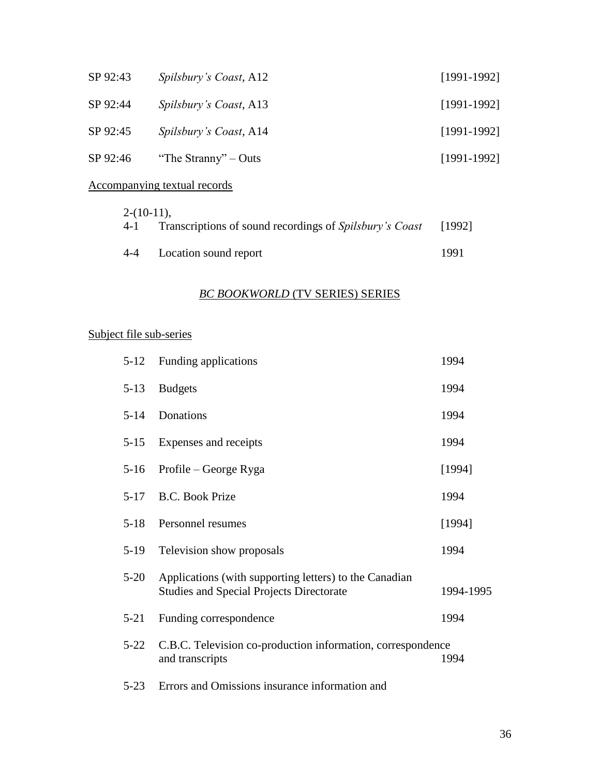| SP 92:43                     | Spilsbury's Coast, A12 | $[1991-1992]$ |
|------------------------------|------------------------|---------------|
| SP 92:44                     | Spilsbury's Coast, A13 | $[1991-1992]$ |
| SP 92:45                     | Spilsbury's Coast, A14 | $[1991-1992]$ |
| SP 92:46                     | "The Stranny" – Outs   | $[1991-1992]$ |
| Accompanying textual records |                        |               |

# $2-(10-11)$

| $2 - 10 - 11$ . | 4-1 Transcriptions of sound recordings of Spilsbury's Coast [1992] |      |
|-----------------|--------------------------------------------------------------------|------|
|                 | 4-4 Location sound report                                          | 1991 |

# *BC BOOKWORLD* (TV SERIES) SERIES

# Subject file sub-series

| $5 - 12$ | Funding applications                                                                                      | 1994      |
|----------|-----------------------------------------------------------------------------------------------------------|-----------|
| $5-13$   | <b>Budgets</b>                                                                                            | 1994      |
| $5 - 14$ | Donations                                                                                                 | 1994      |
| $5-15$   | Expenses and receipts                                                                                     | 1994      |
| $5-16$   | Profile – George Ryga                                                                                     | [1994]    |
| $5-17$   | <b>B.C. Book Prize</b>                                                                                    | 1994      |
| $5-18$   | Personnel resumes                                                                                         | [1994]    |
| $5-19$   | Television show proposals                                                                                 | 1994      |
| $5 - 20$ | Applications (with supporting letters) to the Canadian<br><b>Studies and Special Projects Directorate</b> | 1994-1995 |
| $5 - 21$ | Funding correspondence                                                                                    | 1994      |
| $5 - 22$ | C.B.C. Television co-production information, correspondence<br>and transcripts                            | 1994      |
| $5 - 23$ | Errors and Omissions insurance information and                                                            |           |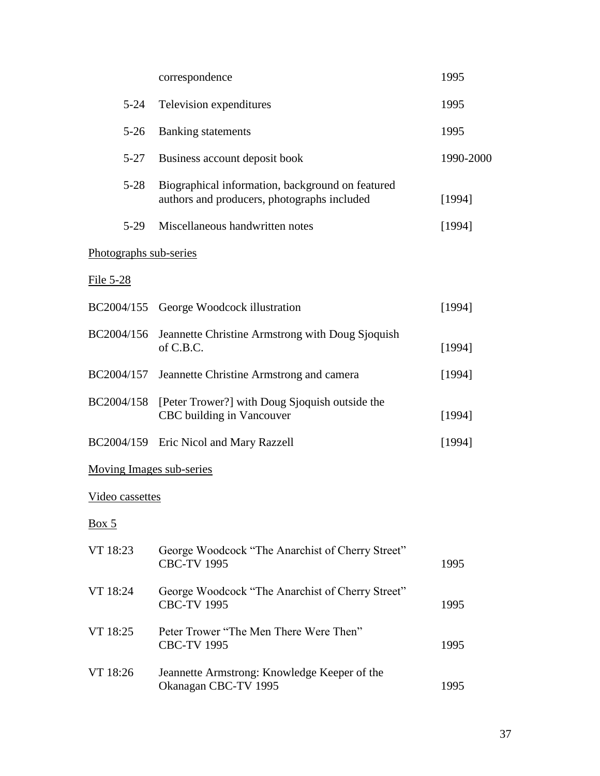|                          | correspondence                                                                                  | 1995      |  |
|--------------------------|-------------------------------------------------------------------------------------------------|-----------|--|
| $5 - 24$                 | Television expenditures                                                                         | 1995      |  |
| $5-26$                   | <b>Banking</b> statements                                                                       | 1995      |  |
| $5 - 27$                 | Business account deposit book                                                                   | 1990-2000 |  |
| $5 - 28$                 | Biographical information, background on featured<br>authors and producers, photographs included | [1994]    |  |
| $5-29$                   | Miscellaneous handwritten notes                                                                 | [1994]    |  |
| Photographs sub-series   |                                                                                                 |           |  |
| <u>File 5-28</u>         |                                                                                                 |           |  |
| BC2004/155               | George Woodcock illustration                                                                    | [1994]    |  |
| BC2004/156               | Jeannette Christine Armstrong with Doug Sjoquish<br>of C.B.C.                                   | [1994]    |  |
| BC2004/157               | Jeannette Christine Armstrong and camera                                                        | [1994]    |  |
| BC2004/158               | [Peter Trower?] with Doug Sjoquish outside the<br>CBC building in Vancouver                     | [1994]    |  |
| BC2004/159               | Eric Nicol and Mary Razzell                                                                     | [1994]    |  |
| Moving Images sub-series |                                                                                                 |           |  |
| Video cassettes          |                                                                                                 |           |  |
| Box 5                    |                                                                                                 |           |  |
| VT 18:23                 | George Woodcock "The Anarchist of Cherry Street"<br><b>CBC-TV 1995</b>                          | 1995      |  |
| VT 18:24                 | George Woodcock "The Anarchist of Cherry Street"<br><b>CBC-TV 1995</b>                          | 1995      |  |
| VT 18:25                 | Peter Trower "The Men There Were Then"<br><b>CBC-TV 1995</b>                                    | 1995      |  |
| VT 18:26                 | Jeannette Armstrong: Knowledge Keeper of the<br>Okanagan CBC-TV 1995                            | 1995      |  |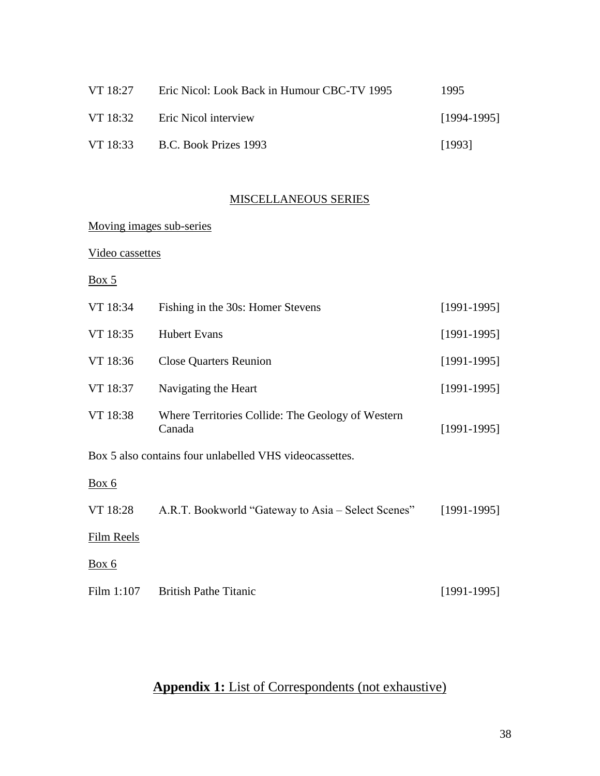| VT 18:27 | Eric Nicol: Look Back in Humour CBC-TV 1995 | 1995          |
|----------|---------------------------------------------|---------------|
| VT 18:32 | <b>Eric Nicol interview</b>                 | $[1994-1995]$ |
| VT 18:33 | B.C. Book Prizes 1993                       | [1993]        |

# MISCELLANEOUS SERIES

# Moving images sub-series

## Video cassettes

# $Box 5$

| VT 18:34   | Fishing in the 30s: Homer Stevens                           | $[1991-1995]$ |
|------------|-------------------------------------------------------------|---------------|
| VT 18:35   | <b>Hubert Evans</b>                                         | $[1991-1995]$ |
| VT 18:36   | <b>Close Quarters Reunion</b>                               | $[1991-1995]$ |
| VT 18:37   | Navigating the Heart                                        | $[1991-1995]$ |
| VT 18:38   | Where Territories Collide: The Geology of Western<br>Canada | $[1991-1995]$ |
|            | Box 5 also contains four unlabelled VHS videocassettes.     |               |
| Box 6      |                                                             |               |
| VT 18:28   | A.R.T. Bookworld "Gateway to Asia – Select Scenes"          | $[1991-1995]$ |
| Film Reels |                                                             |               |
| Box 6      |                                                             |               |
| Film 1:107 | <b>British Pathe Titanic</b>                                | $[1991-1995]$ |

# **Appendix 1:** List of Correspondents (not exhaustive)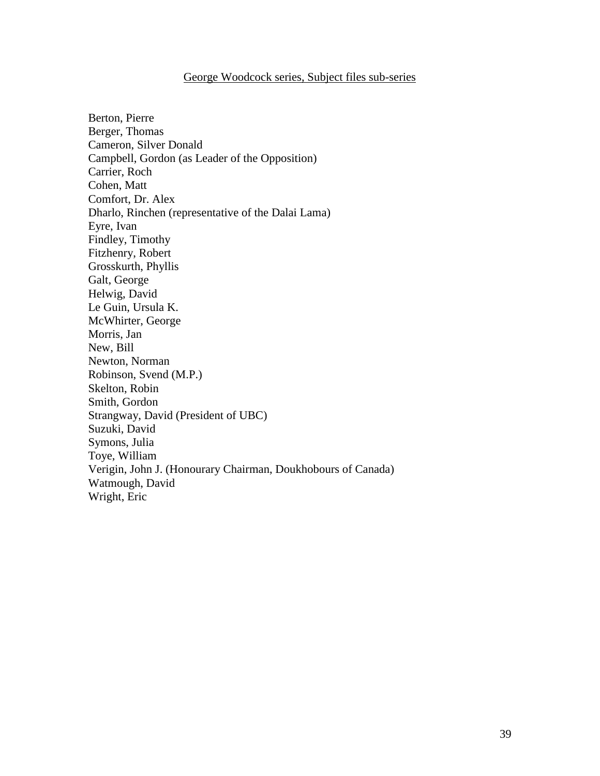#### George Woodcock series, Subject files sub-series

Berton, Pierre Berger, Thomas Cameron, Silver Donald Campbell, Gordon (as Leader of the Opposition) Carrier, Roch Cohen, Matt Comfort, Dr. Alex Dharlo, Rinchen (representative of the Dalai Lama) Eyre, Ivan Findley, Timothy Fitzhenry, Robert Grosskurth, Phyllis Galt, George Helwig, David Le Guin, Ursula K. McWhirter, George Morris, Jan New, Bill Newton, Norman Robinson, Svend (M.P.) Skelton, Robin Smith, Gordon Strangway, David (President of UBC) Suzuki, David Symons, Julia Toye, William Verigin, John J. (Honourary Chairman, Doukhobours of Canada) Watmough, David Wright, Eric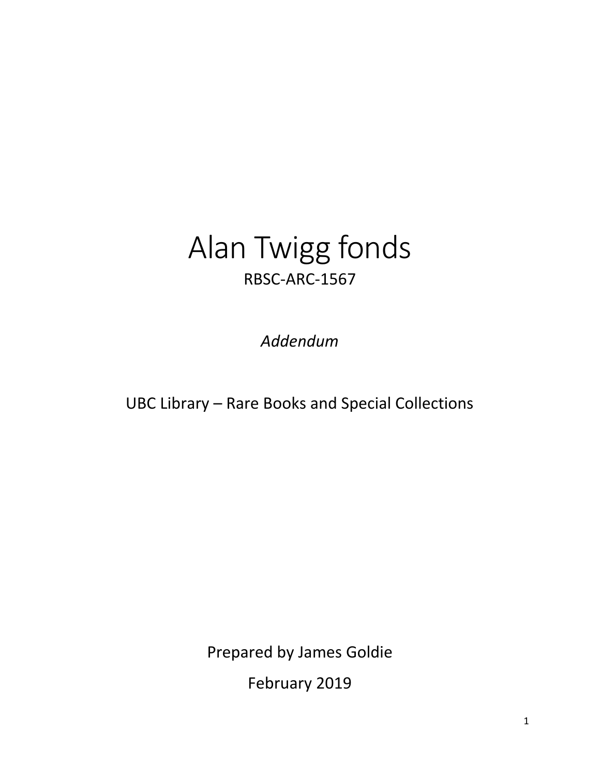# Alan Twigg fonds RBSC-ARC-1567

*Addendum*

UBC Library – Rare Books and Special Collections

Prepared by James Goldie

February 2019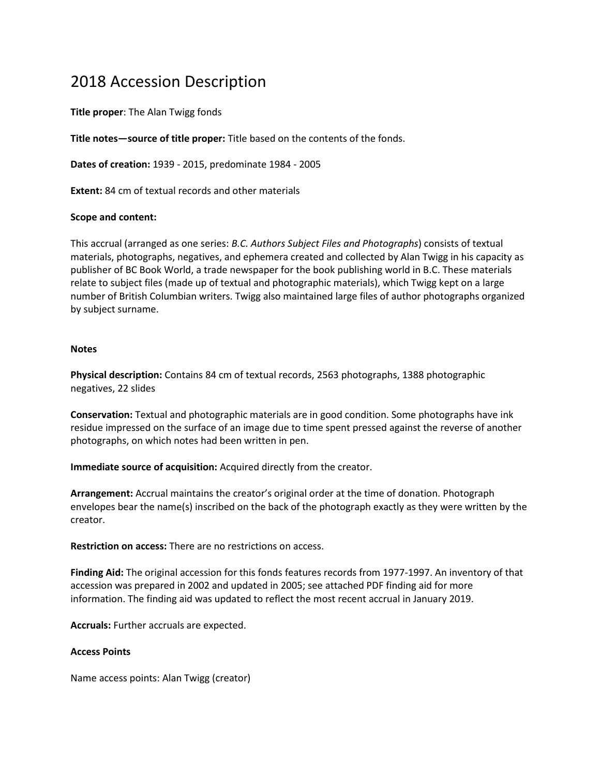# 2018 Accession Description

**Title proper**: The Alan Twigg fonds

**Title notes—source of title proper:** Title based on the contents of the fonds.

**Dates of creation:** 1939 - 2015, predominate 1984 - 2005

**Extent:** 84 cm of textual records and other materials

#### **Scope and content:**

This accrual (arranged as one series: *B.C. Authors Subject Files and Photographs*) consists of textual materials, photographs, negatives, and ephemera created and collected by Alan Twigg in his capacity as publisher of BC Book World, a trade newspaper for the book publishing world in B.C. These materials relate to subject files (made up of textual and photographic materials), which Twigg kept on a large number of British Columbian writers. Twigg also maintained large files of author photographs organized by subject surname.

#### **Notes**

**Physical description:** Contains 84 cm of textual records, 2563 photographs, 1388 photographic negatives, 22 slides

**Conservation:** Textual and photographic materials are in good condition. Some photographs have ink residue impressed on the surface of an image due to time spent pressed against the reverse of another photographs, on which notes had been written in pen.

**Immediate source of acquisition:** Acquired directly from the creator.

**Arrangement:** Accrual maintains the creator's original order at the time of donation. Photograph envelopes bear the name(s) inscribed on the back of the photograph exactly as they were written by the creator.

**Restriction on access:** There are no restrictions on access.

**Finding Aid:** The original accession for this fonds features records from 1977-1997. An inventory of that accession was prepared in 2002 and updated in 2005; see attached PDF finding aid for more information. The finding aid was updated to reflect the most recent accrual in January 2019.

**Accruals:** Further accruals are expected.

#### **Access Points**

Name access points: Alan Twigg (creator)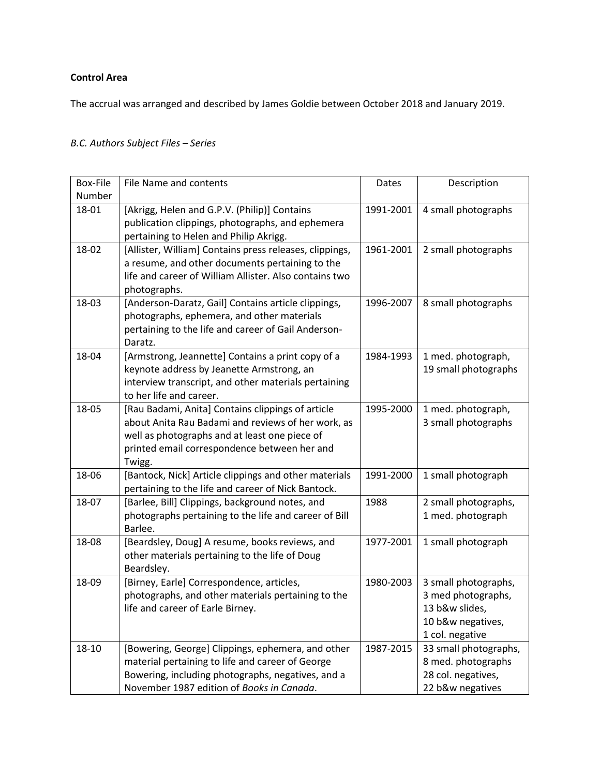#### **Control Area**

The accrual was arranged and described by James Goldie between October 2018 and January 2019.

# *B.C. Authors Subject Files – Series*

| Box-File | File Name and contents                                                                                                                                                                                             | Dates     | Description                                                                                          |
|----------|--------------------------------------------------------------------------------------------------------------------------------------------------------------------------------------------------------------------|-----------|------------------------------------------------------------------------------------------------------|
| Number   |                                                                                                                                                                                                                    |           |                                                                                                      |
| 18-01    | [Akrigg, Helen and G.P.V. (Philip)] Contains<br>publication clippings, photographs, and ephemera<br>pertaining to Helen and Philip Akrigg.                                                                         | 1991-2001 | 4 small photographs                                                                                  |
| 18-02    | [Allister, William] Contains press releases, clippings,<br>a resume, and other documents pertaining to the<br>life and career of William Allister. Also contains two<br>photographs.                               | 1961-2001 | 2 small photographs                                                                                  |
| 18-03    | [Anderson-Daratz, Gail] Contains article clippings,<br>photographs, ephemera, and other materials<br>pertaining to the life and career of Gail Anderson-<br>Daratz.                                                | 1996-2007 | 8 small photographs                                                                                  |
| 18-04    | [Armstrong, Jeannette] Contains a print copy of a<br>keynote address by Jeanette Armstrong, an<br>interview transcript, and other materials pertaining<br>to her life and career.                                  | 1984-1993 | 1 med. photograph,<br>19 small photographs                                                           |
| 18-05    | [Rau Badami, Anita] Contains clippings of article<br>about Anita Rau Badami and reviews of her work, as<br>well as photographs and at least one piece of<br>printed email correspondence between her and<br>Twigg. | 1995-2000 | 1 med. photograph,<br>3 small photographs                                                            |
| 18-06    | [Bantock, Nick] Article clippings and other materials<br>pertaining to the life and career of Nick Bantock.                                                                                                        | 1991-2000 | 1 small photograph                                                                                   |
| 18-07    | [Barlee, Bill] Clippings, background notes, and<br>photographs pertaining to the life and career of Bill<br>Barlee.                                                                                                | 1988      | 2 small photographs,<br>1 med. photograph                                                            |
| 18-08    | [Beardsley, Doug] A resume, books reviews, and<br>other materials pertaining to the life of Doug<br>Beardsley.                                                                                                     | 1977-2001 | 1 small photograph                                                                                   |
| 18-09    | [Birney, Earle] Correspondence, articles,<br>photographs, and other materials pertaining to the<br>life and career of Earle Birney.                                                                                | 1980-2003 | 3 small photographs,<br>3 med photographs,<br>13 b&w slides,<br>10 b&w negatives,<br>1 col. negative |
| 18-10    | [Bowering, George] Clippings, ephemera, and other<br>material pertaining to life and career of George<br>Bowering, including photographs, negatives, and a<br>November 1987 edition of Books in Canada.            | 1987-2015 | 33 small photographs,<br>8 med. photographs<br>28 col. negatives,<br>22 b&w negatives                |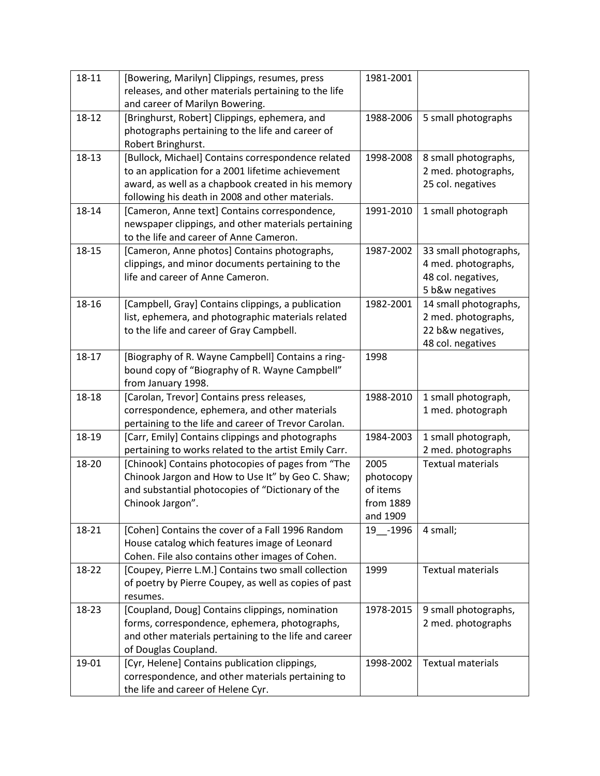| 18-11 | [Bowering, Marilyn] Clippings, resumes, press         | 1981-2001 |                          |
|-------|-------------------------------------------------------|-----------|--------------------------|
|       | releases, and other materials pertaining to the life  |           |                          |
|       | and career of Marilyn Bowering.                       |           |                          |
| 18-12 | [Bringhurst, Robert] Clippings, ephemera, and         | 1988-2006 | 5 small photographs      |
|       | photographs pertaining to the life and career of      |           |                          |
|       | Robert Bringhurst.                                    |           |                          |
| 18-13 | [Bullock, Michael] Contains correspondence related    | 1998-2008 | 8 small photographs,     |
|       | to an application for a 2001 lifetime achievement     |           | 2 med. photographs,      |
|       | award, as well as a chapbook created in his memory    |           | 25 col. negatives        |
|       | following his death in 2008 and other materials.      |           |                          |
| 18-14 | [Cameron, Anne text] Contains correspondence,         | 1991-2010 | 1 small photograph       |
|       | newspaper clippings, and other materials pertaining   |           |                          |
|       | to the life and career of Anne Cameron.               |           |                          |
| 18-15 | [Cameron, Anne photos] Contains photographs,          | 1987-2002 | 33 small photographs,    |
|       | clippings, and minor documents pertaining to the      |           | 4 med. photographs,      |
|       | life and career of Anne Cameron.                      |           | 48 col. negatives,       |
|       |                                                       |           | 5 b&w negatives          |
| 18-16 | [Campbell, Gray] Contains clippings, a publication    | 1982-2001 | 14 small photographs,    |
|       |                                                       |           |                          |
|       | list, ephemera, and photographic materials related    |           | 2 med. photographs,      |
|       | to the life and career of Gray Campbell.              |           | 22 b&w negatives,        |
|       |                                                       |           | 48 col. negatives        |
| 18-17 | [Biography of R. Wayne Campbell] Contains a ring-     | 1998      |                          |
|       | bound copy of "Biography of R. Wayne Campbell"        |           |                          |
|       | from January 1998.                                    |           |                          |
| 18-18 | [Carolan, Trevor] Contains press releases,            | 1988-2010 | 1 small photograph,      |
|       | correspondence, ephemera, and other materials         |           | 1 med. photograph        |
|       | pertaining to the life and career of Trevor Carolan.  |           |                          |
| 18-19 | [Carr, Emily] Contains clippings and photographs      | 1984-2003 | 1 small photograph,      |
|       | pertaining to works related to the artist Emily Carr. |           | 2 med. photographs       |
| 18-20 | [Chinook] Contains photocopies of pages from "The     | 2005      | <b>Textual materials</b> |
|       | Chinook Jargon and How to Use It" by Geo C. Shaw;     | photocopy |                          |
|       | and substantial photocopies of "Dictionary of the     | of items  |                          |
|       | Chinook Jargon".                                      | from 1889 |                          |
|       |                                                       | and 1909  |                          |
| 18-21 | [Cohen] Contains the cover of a Fall 1996 Random      | 19 -1996  | 4 small;                 |
|       | House catalog which features image of Leonard         |           |                          |
|       | Cohen. File also contains other images of Cohen.      |           |                          |
| 18-22 | [Coupey, Pierre L.M.] Contains two small collection   | 1999      | <b>Textual materials</b> |
|       | of poetry by Pierre Coupey, as well as copies of past |           |                          |
|       | resumes.                                              |           |                          |
| 18-23 | [Coupland, Doug] Contains clippings, nomination       | 1978-2015 | 9 small photographs,     |
|       | forms, correspondence, ephemera, photographs,         |           | 2 med. photographs       |
|       | and other materials pertaining to the life and career |           |                          |
|       | of Douglas Coupland.                                  |           |                          |
| 19-01 |                                                       |           |                          |
|       | [Cyr, Helene] Contains publication clippings,         | 1998-2002 | <b>Textual materials</b> |
|       | correspondence, and other materials pertaining to     |           |                          |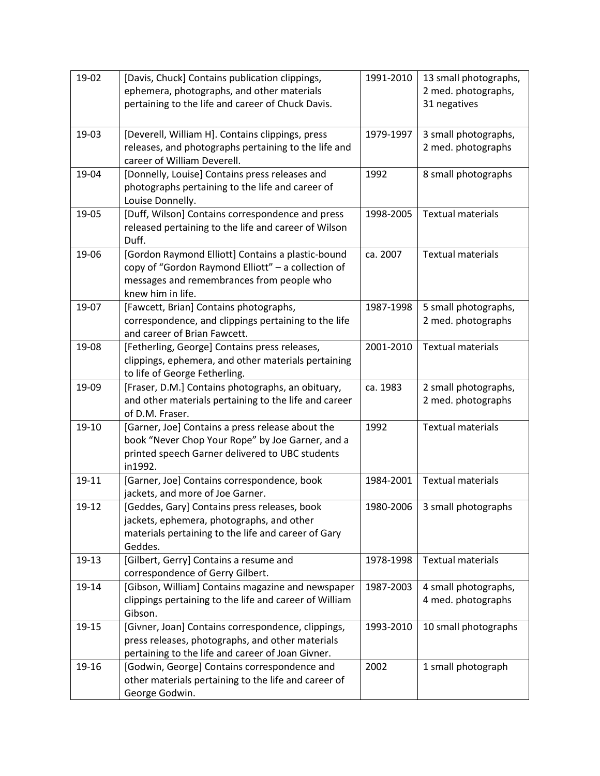| 19-02 | [Davis, Chuck] Contains publication clippings,<br>ephemera, photographs, and other materials                                                                              | 1991-2010 | 13 small photographs,<br>2 med. photographs, |
|-------|---------------------------------------------------------------------------------------------------------------------------------------------------------------------------|-----------|----------------------------------------------|
|       | pertaining to the life and career of Chuck Davis.                                                                                                                         |           | 31 negatives                                 |
| 19-03 | [Deverell, William H]. Contains clippings, press<br>releases, and photographs pertaining to the life and<br>career of William Deverell.                                   | 1979-1997 | 3 small photographs,<br>2 med. photographs   |
| 19-04 | [Donnelly, Louise] Contains press releases and<br>photographs pertaining to the life and career of<br>Louise Donnelly.                                                    | 1992      | 8 small photographs                          |
| 19-05 | [Duff, Wilson] Contains correspondence and press<br>released pertaining to the life and career of Wilson<br>Duff.                                                         | 1998-2005 | <b>Textual materials</b>                     |
| 19-06 | [Gordon Raymond Elliott] Contains a plastic-bound<br>copy of "Gordon Raymond Elliott" - a collection of<br>messages and remembrances from people who<br>knew him in life. | ca. 2007  | <b>Textual materials</b>                     |
| 19-07 | [Fawcett, Brian] Contains photographs,<br>correspondence, and clippings pertaining to the life<br>and career of Brian Fawcett.                                            | 1987-1998 | 5 small photographs,<br>2 med. photographs   |
| 19-08 | [Fetherling, George] Contains press releases,<br>clippings, ephemera, and other materials pertaining<br>to life of George Fetherling.                                     | 2001-2010 | <b>Textual materials</b>                     |
| 19-09 | [Fraser, D.M.] Contains photographs, an obituary,<br>and other materials pertaining to the life and career<br>of D.M. Fraser.                                             | ca. 1983  | 2 small photographs,<br>2 med. photographs   |
| 19-10 | [Garner, Joe] Contains a press release about the<br>book "Never Chop Your Rope" by Joe Garner, and a<br>printed speech Garner delivered to UBC students<br>in1992.        | 1992      | <b>Textual materials</b>                     |
| 19-11 | [Garner, Joe] Contains correspondence, book<br>jackets, and more of Joe Garner.                                                                                           | 1984-2001 | <b>Textual materials</b>                     |
| 19-12 | [Geddes, Gary] Contains press releases, book<br>jackets, ephemera, photographs, and other<br>materials pertaining to the life and career of Gary<br>Geddes.               | 1980-2006 | 3 small photographs                          |
| 19-13 | [Gilbert, Gerry] Contains a resume and<br>correspondence of Gerry Gilbert.                                                                                                | 1978-1998 | <b>Textual materials</b>                     |
| 19-14 | [Gibson, William] Contains magazine and newspaper<br>clippings pertaining to the life and career of William<br>Gibson.                                                    | 1987-2003 | 4 small photographs,<br>4 med. photographs   |
| 19-15 | [Givner, Joan] Contains correspondence, clippings,<br>press releases, photographs, and other materials<br>pertaining to the life and career of Joan Givner.               | 1993-2010 | 10 small photographs                         |
| 19-16 | [Godwin, George] Contains correspondence and<br>other materials pertaining to the life and career of<br>George Godwin.                                                    | 2002      | 1 small photograph                           |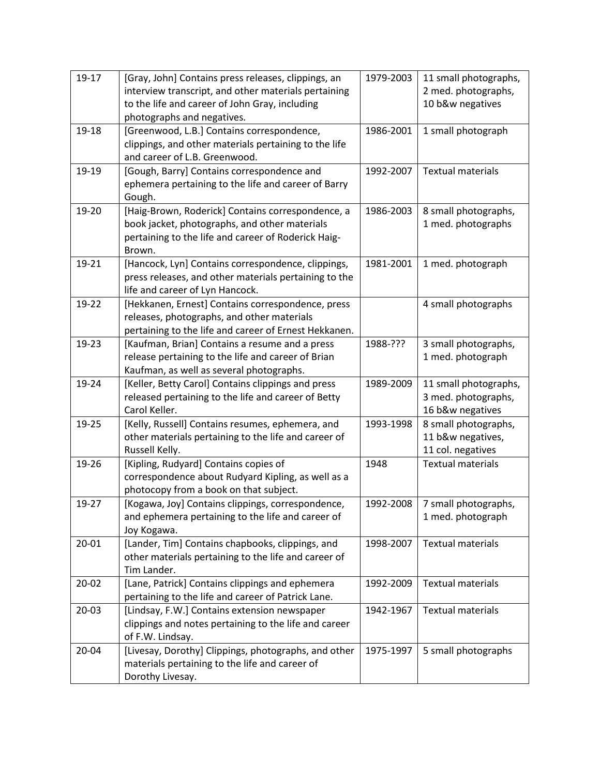| 19-17     | [Gray, John] Contains press releases, clippings, an   | 1979-2003 | 11 small photographs,    |
|-----------|-------------------------------------------------------|-----------|--------------------------|
|           | interview transcript, and other materials pertaining  |           | 2 med. photographs,      |
|           | to the life and career of John Gray, including        |           | 10 b&w negatives         |
|           | photographs and negatives.                            |           |                          |
| 19-18     | [Greenwood, L.B.] Contains correspondence,            | 1986-2001 | 1 small photograph       |
|           | clippings, and other materials pertaining to the life |           |                          |
|           | and career of L.B. Greenwood.                         |           |                          |
| 19-19     | [Gough, Barry] Contains correspondence and            | 1992-2007 | <b>Textual materials</b> |
|           | ephemera pertaining to the life and career of Barry   |           |                          |
|           | Gough.                                                |           |                          |
| 19-20     | [Haig-Brown, Roderick] Contains correspondence, a     | 1986-2003 | 8 small photographs,     |
|           | book jacket, photographs, and other materials         |           | 1 med. photographs       |
|           | pertaining to the life and career of Roderick Haig-   |           |                          |
|           | Brown.                                                |           |                          |
| 19-21     | [Hancock, Lyn] Contains correspondence, clippings,    | 1981-2001 | 1 med. photograph        |
|           | press releases, and other materials pertaining to the |           |                          |
|           | life and career of Lyn Hancock.                       |           |                          |
| 19-22     | [Hekkanen, Ernest] Contains correspondence, press     |           | 4 small photographs      |
|           | releases, photographs, and other materials            |           |                          |
|           | pertaining to the life and career of Ernest Hekkanen. |           |                          |
| 19-23     | [Kaufman, Brian] Contains a resume and a press        | 1988-???  | 3 small photographs,     |
|           | release pertaining to the life and career of Brian    |           | 1 med. photograph        |
|           | Kaufman, as well as several photographs.              |           |                          |
| 19-24     | [Keller, Betty Carol] Contains clippings and press    | 1989-2009 | 11 small photographs,    |
|           | released pertaining to the life and career of Betty   |           | 3 med. photographs,      |
|           | Carol Keller.                                         |           | 16 b&w negatives         |
| 19-25     | [Kelly, Russell] Contains resumes, ephemera, and      | 1993-1998 | 8 small photographs,     |
|           | other materials pertaining to the life and career of  |           | 11 b&w negatives,        |
|           | Russell Kelly.                                        |           | 11 col. negatives        |
| 19-26     | [Kipling, Rudyard] Contains copies of                 | 1948      | <b>Textual materials</b> |
|           | correspondence about Rudyard Kipling, as well as a    |           |                          |
|           | photocopy from a book on that subject.                |           |                          |
| 19-27     | [Kogawa, Joy] Contains clippings, correspondence,     | 1992-2008 | 7 small photographs,     |
|           | and ephemera pertaining to the life and career of     |           | 1 med. photograph        |
|           | Joy Kogawa.                                           |           |                          |
| 20-01     | [Lander, Tim] Contains chapbooks, clippings, and      | 1998-2007 | <b>Textual materials</b> |
|           | other materials pertaining to the life and career of  |           |                          |
|           | Tim Lander.                                           |           |                          |
| $20 - 02$ | [Lane, Patrick] Contains clippings and ephemera       | 1992-2009 | <b>Textual materials</b> |
|           | pertaining to the life and career of Patrick Lane.    |           |                          |
| $20 - 03$ | [Lindsay, F.W.] Contains extension newspaper          | 1942-1967 | <b>Textual materials</b> |
|           | clippings and notes pertaining to the life and career |           |                          |
|           | of F.W. Lindsay.                                      |           |                          |
| 20-04     | [Livesay, Dorothy] Clippings, photographs, and other  | 1975-1997 | 5 small photographs      |
|           | materials pertaining to the life and career of        |           |                          |
|           | Dorothy Livesay.                                      |           |                          |
|           |                                                       |           |                          |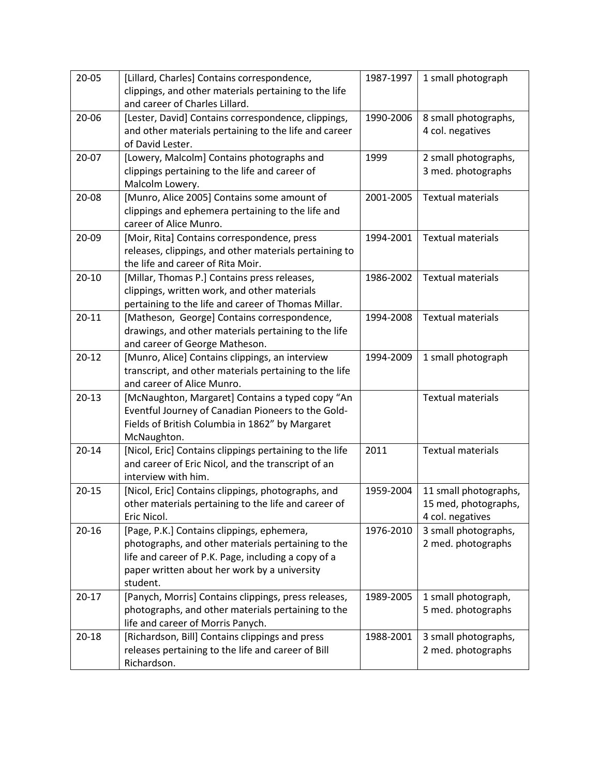| $20 - 05$ | [Lillard, Charles] Contains correspondence,                                            | 1987-1997 | 1 small photograph       |
|-----------|----------------------------------------------------------------------------------------|-----------|--------------------------|
|           | clippings, and other materials pertaining to the life                                  |           |                          |
|           | and career of Charles Lillard.                                                         |           |                          |
| $20 - 06$ | [Lester, David] Contains correspondence, clippings,                                    | 1990-2006 | 8 small photographs,     |
|           | and other materials pertaining to the life and career<br>of David Lester.              |           | 4 col. negatives         |
| $20 - 07$ | [Lowery, Malcolm] Contains photographs and                                             | 1999      | 2 small photographs,     |
|           | clippings pertaining to the life and career of                                         |           | 3 med. photographs       |
|           | Malcolm Lowery.                                                                        |           |                          |
| $20 - 08$ | [Munro, Alice 2005] Contains some amount of                                            | 2001-2005 | <b>Textual materials</b> |
|           | clippings and ephemera pertaining to the life and                                      |           |                          |
|           | career of Alice Munro.                                                                 |           |                          |
| 20-09     | [Moir, Rita] Contains correspondence, press                                            | 1994-2001 | <b>Textual materials</b> |
|           | releases, clippings, and other materials pertaining to                                 |           |                          |
|           | the life and career of Rita Moir.                                                      |           |                          |
| $20 - 10$ | [Millar, Thomas P.] Contains press releases,                                           | 1986-2002 | <b>Textual materials</b> |
|           | clippings, written work, and other materials                                           |           |                          |
|           | pertaining to the life and career of Thomas Millar.                                    |           |                          |
| $20 - 11$ | [Matheson, George] Contains correspondence,                                            | 1994-2008 | <b>Textual materials</b> |
|           | drawings, and other materials pertaining to the life<br>and career of George Matheson. |           |                          |
| $20 - 12$ | [Munro, Alice] Contains clippings, an interview                                        | 1994-2009 | 1 small photograph       |
|           | transcript, and other materials pertaining to the life                                 |           |                          |
|           | and career of Alice Munro.                                                             |           |                          |
| $20-13$   | [McNaughton, Margaret] Contains a typed copy "An                                       |           | <b>Textual materials</b> |
|           | Eventful Journey of Canadian Pioneers to the Gold-                                     |           |                          |
|           | Fields of British Columbia in 1862" by Margaret                                        |           |                          |
|           | McNaughton.                                                                            |           |                          |
| $20 - 14$ | [Nicol, Eric] Contains clippings pertaining to the life                                | 2011      | <b>Textual materials</b> |
|           | and career of Eric Nicol, and the transcript of an                                     |           |                          |
|           | interview with him.                                                                    |           |                          |
| $20 - 15$ | [Nicol, Eric] Contains clippings, photographs, and                                     | 1959-2004 | 11 small photographs,    |
|           | other materials pertaining to the life and career of                                   |           | 15 med, photographs,     |
|           | Eric Nicol.                                                                            |           | 4 col. negatives         |
| $20 - 16$ | [Page, P.K.] Contains clippings, ephemera,                                             | 1976-2010 | 3 small photographs,     |
|           | photographs, and other materials pertaining to the                                     |           | 2 med. photographs       |
|           | life and career of P.K. Page, including a copy of a                                    |           |                          |
|           | paper written about her work by a university<br>student.                               |           |                          |
| $20 - 17$ | [Panych, Morris] Contains clippings, press releases,                                   | 1989-2005 | 1 small photograph,      |
|           | photographs, and other materials pertaining to the                                     |           | 5 med. photographs       |
|           | life and career of Morris Panych.                                                      |           |                          |
| $20 - 18$ | [Richardson, Bill] Contains clippings and press                                        | 1988-2001 | 3 small photographs,     |
|           | releases pertaining to the life and career of Bill                                     |           | 2 med. photographs       |
|           | Richardson.                                                                            |           |                          |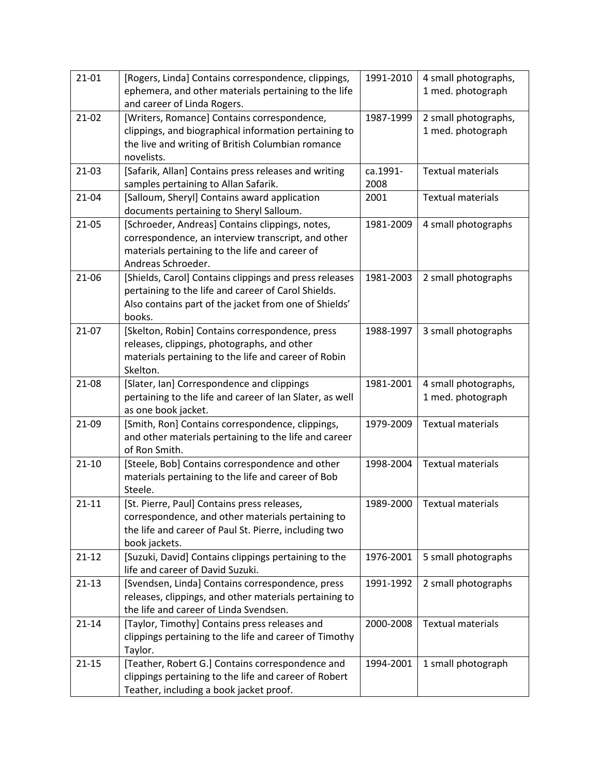| $21-01$   | [Rogers, Linda] Contains correspondence, clippings,                                              | 1991-2010 | 4 small photographs,     |
|-----------|--------------------------------------------------------------------------------------------------|-----------|--------------------------|
|           | ephemera, and other materials pertaining to the life                                             |           | 1 med. photograph        |
|           | and career of Linda Rogers.                                                                      |           |                          |
| $21-02$   | [Writers, Romance] Contains correspondence,                                                      | 1987-1999 | 2 small photographs,     |
|           | clippings, and biographical information pertaining to                                            |           | 1 med. photograph        |
|           | the live and writing of British Columbian romance                                                |           |                          |
|           | novelists.                                                                                       |           |                          |
| 21-03     | [Safarik, Allan] Contains press releases and writing                                             | ca.1991-  | <b>Textual materials</b> |
|           | samples pertaining to Allan Safarik.                                                             | 2008      |                          |
| $21 - 04$ | [Salloum, Sheryl] Contains award application                                                     | 2001      | <b>Textual materials</b> |
|           | documents pertaining to Sheryl Salloum.                                                          |           |                          |
| 21-05     | [Schroeder, Andreas] Contains clippings, notes,                                                  | 1981-2009 | 4 small photographs      |
|           | correspondence, an interview transcript, and other                                               |           |                          |
|           | materials pertaining to the life and career of                                                   |           |                          |
|           | Andreas Schroeder.                                                                               |           |                          |
| 21-06     | [Shields, Carol] Contains clippings and press releases                                           | 1981-2003 | 2 small photographs      |
|           | pertaining to the life and career of Carol Shields.                                              |           |                          |
|           | Also contains part of the jacket from one of Shields'                                            |           |                          |
|           | books.                                                                                           |           |                          |
| 21-07     | [Skelton, Robin] Contains correspondence, press                                                  | 1988-1997 | 3 small photographs      |
|           | releases, clippings, photographs, and other                                                      |           |                          |
|           | materials pertaining to the life and career of Robin                                             |           |                          |
|           | Skelton.                                                                                         |           |                          |
| 21-08     | [Slater, Ian] Correspondence and clippings                                                       | 1981-2001 | 4 small photographs,     |
|           | pertaining to the life and career of Ian Slater, as well                                         |           | 1 med. photograph        |
|           | as one book jacket.                                                                              |           |                          |
| 21-09     | [Smith, Ron] Contains correspondence, clippings,                                                 | 1979-2009 | <b>Textual materials</b> |
|           | and other materials pertaining to the life and career                                            |           |                          |
|           | of Ron Smith.                                                                                    |           |                          |
| $21 - 10$ | [Steele, Bob] Contains correspondence and other                                                  | 1998-2004 | <b>Textual materials</b> |
|           | materials pertaining to the life and career of Bob                                               |           |                          |
|           | Steele.                                                                                          |           |                          |
| $21 - 11$ | [St. Pierre, Paul] Contains press releases,                                                      | 1989-2000 | <b>Textual materials</b> |
|           | correspondence, and other materials pertaining to                                                |           |                          |
|           | the life and career of Paul St. Pierre, including two                                            |           |                          |
|           | book jackets.                                                                                    |           |                          |
| $21 - 12$ | [Suzuki, David] Contains clippings pertaining to the                                             | 1976-2001 | 5 small photographs      |
|           | life and career of David Suzuki.                                                                 |           |                          |
| $21 - 13$ | [Svendsen, Linda] Contains correspondence, press                                                 | 1991-1992 | 2 small photographs      |
|           | releases, clippings, and other materials pertaining to<br>the life and career of Linda Svendsen. |           |                          |
|           |                                                                                                  |           |                          |
| $21 - 14$ | [Taylor, Timothy] Contains press releases and                                                    | 2000-2008 | <b>Textual materials</b> |
|           | clippings pertaining to the life and career of Timothy                                           |           |                          |
| $21 - 15$ | Taylor.<br>[Teather, Robert G.] Contains correspondence and                                      | 1994-2001 |                          |
|           | clippings pertaining to the life and career of Robert                                            |           | 1 small photograph       |
|           |                                                                                                  |           |                          |
|           | Teather, including a book jacket proof.                                                          |           |                          |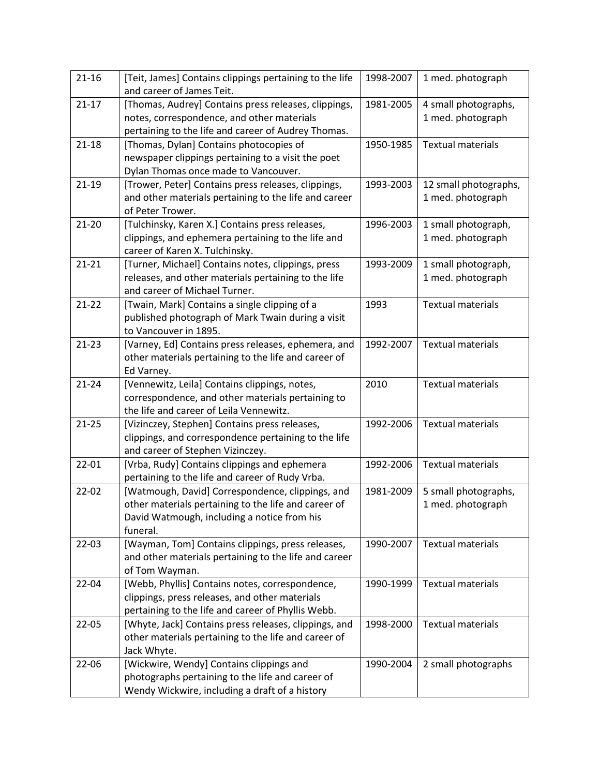| $21 - 16$ | [Teit, James] Contains clippings pertaining to the life                                  | 1998-2007 | 1 med. photograph        |
|-----------|------------------------------------------------------------------------------------------|-----------|--------------------------|
|           | and career of James Teit.                                                                |           |                          |
| $21 - 17$ | [Thomas, Audrey] Contains press releases, clippings,                                     | 1981-2005 | 4 small photographs,     |
|           | notes, correspondence, and other materials                                               |           | 1 med. photograph        |
|           | pertaining to the life and career of Audrey Thomas.                                      |           |                          |
| $21 - 18$ | [Thomas, Dylan] Contains photocopies of                                                  | 1950-1985 | <b>Textual materials</b> |
|           | newspaper clippings pertaining to a visit the poet                                       |           |                          |
|           | Dylan Thomas once made to Vancouver.                                                     |           |                          |
| $21-19$   | [Trower, Peter] Contains press releases, clippings,                                      | 1993-2003 | 12 small photographs,    |
|           | and other materials pertaining to the life and career                                    |           | 1 med. photograph        |
|           | of Peter Trower.                                                                         |           |                          |
| $21 - 20$ | [Tulchinsky, Karen X.] Contains press releases,                                          | 1996-2003 | 1 small photograph,      |
|           | clippings, and ephemera pertaining to the life and                                       |           | 1 med. photograph        |
|           | career of Karen X. Tulchinsky.                                                           |           |                          |
| $21 - 21$ | [Turner, Michael] Contains notes, clippings, press                                       | 1993-2009 | 1 small photograph,      |
|           | releases, and other materials pertaining to the life                                     |           | 1 med. photograph        |
|           | and career of Michael Turner.                                                            |           |                          |
| $21 - 22$ | [Twain, Mark] Contains a single clipping of a                                            | 1993      | <b>Textual materials</b> |
|           | published photograph of Mark Twain during a visit                                        |           |                          |
|           | to Vancouver in 1895.                                                                    |           |                          |
| $21 - 23$ | [Varney, Ed] Contains press releases, ephemera, and                                      | 1992-2007 | <b>Textual materials</b> |
|           | other materials pertaining to the life and career of                                     |           |                          |
|           | Ed Varney.                                                                               |           |                          |
| $21 - 24$ | [Vennewitz, Leila] Contains clippings, notes,                                            | 2010      | <b>Textual materials</b> |
|           | correspondence, and other materials pertaining to                                        |           |                          |
|           | the life and career of Leila Vennewitz.                                                  |           |                          |
| $21 - 25$ | [Vizinczey, Stephen] Contains press releases,                                            | 1992-2006 | <b>Textual materials</b> |
|           |                                                                                          |           |                          |
|           | clippings, and correspondence pertaining to the life<br>and career of Stephen Vizinczey. |           |                          |
|           |                                                                                          | 1992-2006 |                          |
| $22 - 01$ | [Vrba, Rudy] Contains clippings and ephemera                                             |           | <b>Textual materials</b> |
|           | pertaining to the life and career of Rudy Vrba.                                          |           |                          |
| $22 - 02$ | [Watmough, David] Correspondence, clippings, and                                         | 1981-2009 | 5 small photographs,     |
|           | other materials pertaining to the life and career of                                     |           | 1 med. photograph        |
|           | David Watmough, including a notice from his                                              |           |                          |
|           | funeral.                                                                                 |           |                          |
| 22-03     | [Wayman, Tom] Contains clippings, press releases,                                        | 1990-2007 | <b>Textual materials</b> |
|           | and other materials pertaining to the life and career                                    |           |                          |
|           | of Tom Wayman.                                                                           |           |                          |
| $22 - 04$ | [Webb, Phyllis] Contains notes, correspondence,                                          | 1990-1999 | <b>Textual materials</b> |
|           | clippings, press releases, and other materials                                           |           |                          |
|           | pertaining to the life and career of Phyllis Webb.                                       |           |                          |
| 22-05     | [Whyte, Jack] Contains press releases, clippings, and                                    | 1998-2000 | <b>Textual materials</b> |
|           | other materials pertaining to the life and career of                                     |           |                          |
|           | Jack Whyte.                                                                              |           |                          |
| 22-06     | [Wickwire, Wendy] Contains clippings and                                                 | 1990-2004 | 2 small photographs      |
|           | photographs pertaining to the life and career of                                         |           |                          |
|           | Wendy Wickwire, including a draft of a history                                           |           |                          |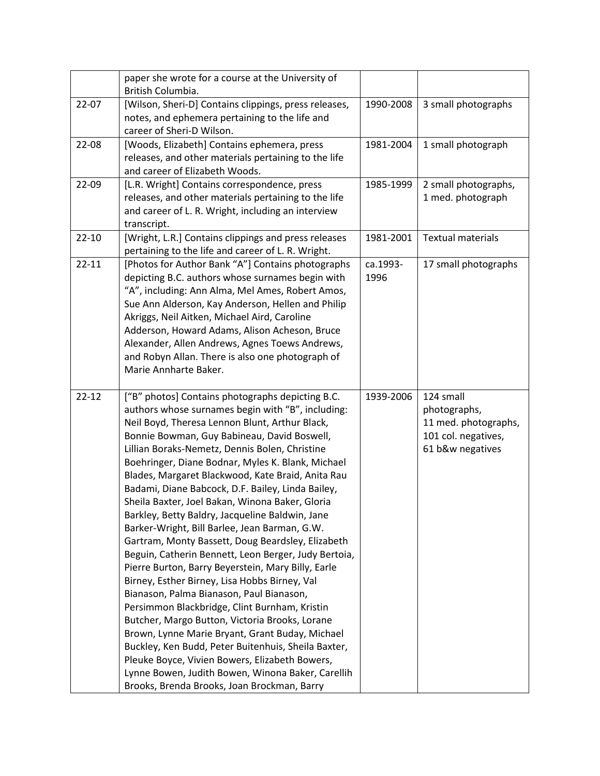|           | paper she wrote for a course at the University of                                                |           |                          |
|-----------|--------------------------------------------------------------------------------------------------|-----------|--------------------------|
|           | British Columbia.                                                                                |           |                          |
| $22 - 07$ | [Wilson, Sheri-D] Contains clippings, press releases,                                            | 1990-2008 | 3 small photographs      |
|           | notes, and ephemera pertaining to the life and                                                   |           |                          |
|           | career of Sheri-D Wilson.                                                                        |           |                          |
| 22-08     | [Woods, Elizabeth] Contains ephemera, press                                                      | 1981-2004 | 1 small photograph       |
|           | releases, and other materials pertaining to the life                                             |           |                          |
|           | and career of Elizabeth Woods.                                                                   |           |                          |
| 22-09     | [L.R. Wright] Contains correspondence, press                                                     | 1985-1999 | 2 small photographs,     |
|           | releases, and other materials pertaining to the life                                             |           | 1 med. photograph        |
|           | and career of L. R. Wright, including an interview                                               |           |                          |
|           | transcript.                                                                                      |           |                          |
| $22 - 10$ | [Wright, L.R.] Contains clippings and press releases                                             | 1981-2001 | <b>Textual materials</b> |
|           | pertaining to the life and career of L. R. Wright.                                               |           |                          |
| $22 - 11$ | [Photos for Author Bank "A"] Contains photographs                                                | ca.1993-  | 17 small photographs     |
|           | depicting B.C. authors whose surnames begin with                                                 | 1996      |                          |
|           | "A", including: Ann Alma, Mel Ames, Robert Amos,                                                 |           |                          |
|           | Sue Ann Alderson, Kay Anderson, Hellen and Philip                                                |           |                          |
|           | Akriggs, Neil Aitken, Michael Aird, Caroline                                                     |           |                          |
|           | Adderson, Howard Adams, Alison Acheson, Bruce                                                    |           |                          |
|           | Alexander, Allen Andrews, Agnes Toews Andrews,                                                   |           |                          |
|           | and Robyn Allan. There is also one photograph of                                                 |           |                          |
|           | Marie Annharte Baker.                                                                            |           |                          |
|           |                                                                                                  |           |                          |
|           |                                                                                                  |           |                          |
| $22 - 12$ | ["B" photos] Contains photographs depicting B.C.                                                 | 1939-2006 | 124 small                |
|           | authors whose surnames begin with "B", including:                                                |           | photographs,             |
|           | Neil Boyd, Theresa Lennon Blunt, Arthur Black,                                                   |           | 11 med. photographs,     |
|           | Bonnie Bowman, Guy Babineau, David Boswell,                                                      |           | 101 col. negatives,      |
|           | Lillian Boraks-Nemetz, Dennis Bolen, Christine                                                   |           | 61 b&w negatives         |
|           | Boehringer, Diane Bodnar, Myles K. Blank, Michael                                                |           |                          |
|           | Blades, Margaret Blackwood, Kate Braid, Anita Rau                                                |           |                          |
|           | Badami, Diane Babcock, D.F. Bailey, Linda Bailey,                                                |           |                          |
|           | Sheila Baxter, Joel Bakan, Winona Baker, Gloria                                                  |           |                          |
|           | Barkley, Betty Baldry, Jacqueline Baldwin, Jane                                                  |           |                          |
|           | Barker-Wright, Bill Barlee, Jean Barman, G.W.                                                    |           |                          |
|           | Gartram, Monty Bassett, Doug Beardsley, Elizabeth                                                |           |                          |
|           | Beguin, Catherin Bennett, Leon Berger, Judy Bertoia,                                             |           |                          |
|           | Pierre Burton, Barry Beyerstein, Mary Billy, Earle                                               |           |                          |
|           | Birney, Esther Birney, Lisa Hobbs Birney, Val                                                    |           |                          |
|           | Bianason, Palma Bianason, Paul Bianason,                                                         |           |                          |
|           | Persimmon Blackbridge, Clint Burnham, Kristin                                                    |           |                          |
|           | Butcher, Margo Button, Victoria Brooks, Lorane                                                   |           |                          |
|           | Brown, Lynne Marie Bryant, Grant Buday, Michael                                                  |           |                          |
|           | Buckley, Ken Budd, Peter Buitenhuis, Sheila Baxter,                                              |           |                          |
|           | Pleuke Boyce, Vivien Bowers, Elizabeth Bowers,                                                   |           |                          |
|           | Lynne Bowen, Judith Bowen, Winona Baker, Carellih<br>Brooks, Brenda Brooks, Joan Brockman, Barry |           |                          |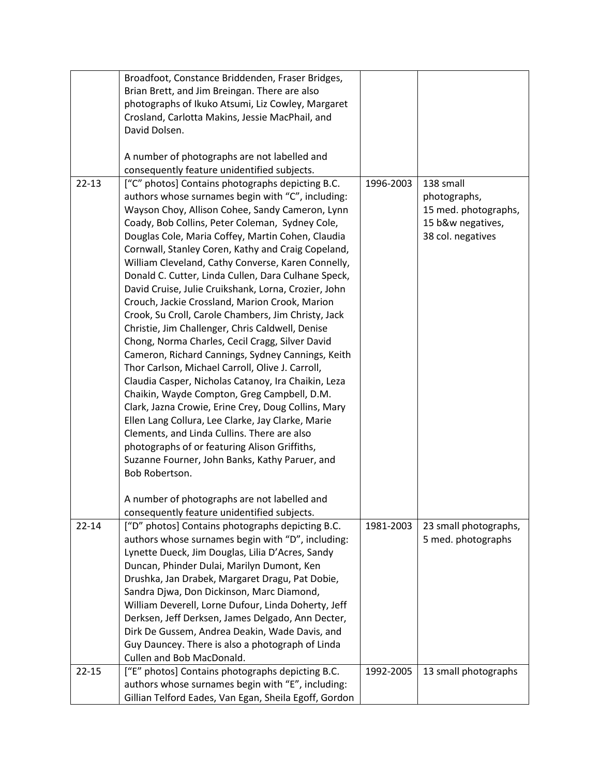|           | Broadfoot, Constance Briddenden, Fraser Bridges,      |           |                       |
|-----------|-------------------------------------------------------|-----------|-----------------------|
|           | Brian Brett, and Jim Breingan. There are also         |           |                       |
|           | photographs of Ikuko Atsumi, Liz Cowley, Margaret     |           |                       |
|           | Crosland, Carlotta Makins, Jessie MacPhail, and       |           |                       |
|           | David Dolsen.                                         |           |                       |
|           |                                                       |           |                       |
|           | A number of photographs are not labelled and          |           |                       |
|           | consequently feature unidentified subjects.           |           |                       |
| $22 - 13$ | ["C" photos] Contains photographs depicting B.C.      | 1996-2003 | 138 small             |
|           | authors whose surnames begin with "C", including:     |           | photographs,          |
|           | Wayson Choy, Allison Cohee, Sandy Cameron, Lynn       |           | 15 med. photographs,  |
|           | Coady, Bob Collins, Peter Coleman, Sydney Cole,       |           | 15 b&w negatives,     |
|           | Douglas Cole, Maria Coffey, Martin Cohen, Claudia     |           | 38 col. negatives     |
|           | Cornwall, Stanley Coren, Kathy and Craig Copeland,    |           |                       |
|           | William Cleveland, Cathy Converse, Karen Connelly,    |           |                       |
|           |                                                       |           |                       |
|           | Donald C. Cutter, Linda Cullen, Dara Culhane Speck,   |           |                       |
|           | David Cruise, Julie Cruikshank, Lorna, Crozier, John  |           |                       |
|           | Crouch, Jackie Crossland, Marion Crook, Marion        |           |                       |
|           | Crook, Su Croll, Carole Chambers, Jim Christy, Jack   |           |                       |
|           | Christie, Jim Challenger, Chris Caldwell, Denise      |           |                       |
|           | Chong, Norma Charles, Cecil Cragg, Silver David       |           |                       |
|           | Cameron, Richard Cannings, Sydney Cannings, Keith     |           |                       |
|           | Thor Carlson, Michael Carroll, Olive J. Carroll,      |           |                       |
|           | Claudia Casper, Nicholas Catanoy, Ira Chaikin, Leza   |           |                       |
|           | Chaikin, Wayde Compton, Greg Campbell, D.M.           |           |                       |
|           | Clark, Jazna Crowie, Erine Crey, Doug Collins, Mary   |           |                       |
|           | Ellen Lang Collura, Lee Clarke, Jay Clarke, Marie     |           |                       |
|           | Clements, and Linda Cullins. There are also           |           |                       |
|           | photographs of or featuring Alison Griffiths,         |           |                       |
|           | Suzanne Fourner, John Banks, Kathy Paruer, and        |           |                       |
|           | Bob Robertson.                                        |           |                       |
|           |                                                       |           |                       |
|           | A number of photographs are not labelled and          |           |                       |
|           | consequently feature unidentified subjects.           |           |                       |
| $22 - 14$ | ["D" photos] Contains photographs depicting B.C.      | 1981-2003 | 23 small photographs, |
|           | authors whose surnames begin with "D", including:     |           | 5 med. photographs    |
|           | Lynette Dueck, Jim Douglas, Lilia D'Acres, Sandy      |           |                       |
|           | Duncan, Phinder Dulai, Marilyn Dumont, Ken            |           |                       |
|           | Drushka, Jan Drabek, Margaret Dragu, Pat Dobie,       |           |                       |
|           | Sandra Djwa, Don Dickinson, Marc Diamond,             |           |                       |
|           | William Deverell, Lorne Dufour, Linda Doherty, Jeff   |           |                       |
|           | Derksen, Jeff Derksen, James Delgado, Ann Decter,     |           |                       |
|           | Dirk De Gussem, Andrea Deakin, Wade Davis, and        |           |                       |
|           | Guy Dauncey. There is also a photograph of Linda      |           |                       |
|           | Cullen and Bob MacDonald.                             |           |                       |
| $22 - 15$ | ["E" photos] Contains photographs depicting B.C.      | 1992-2005 | 13 small photographs  |
|           | authors whose surnames begin with "E", including:     |           |                       |
|           | Gillian Telford Eades, Van Egan, Sheila Egoff, Gordon |           |                       |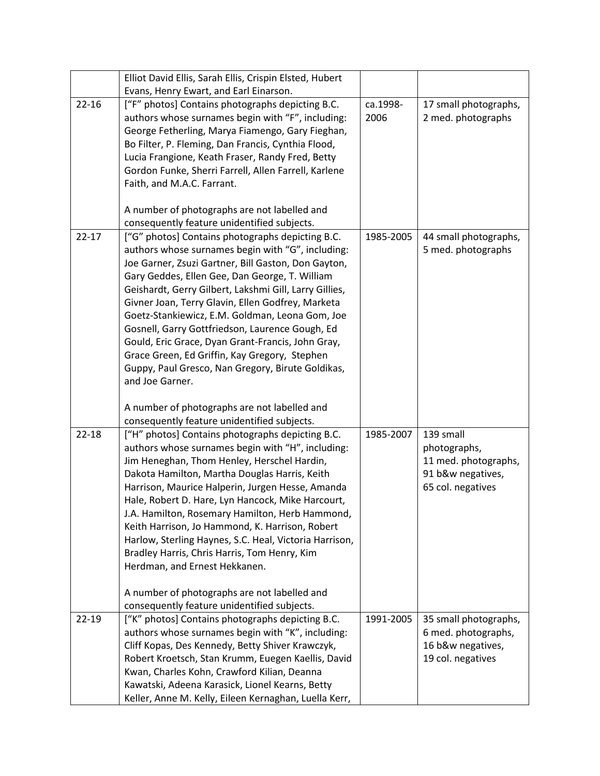|           | Elliot David Ellis, Sarah Ellis, Crispin Elsted, Hubert                                                  |           |                       |
|-----------|----------------------------------------------------------------------------------------------------------|-----------|-----------------------|
|           | Evans, Henry Ewart, and Earl Einarson.                                                                   |           |                       |
| $22 - 16$ | ["F" photos] Contains photographs depicting B.C.                                                         | ca.1998-  | 17 small photographs, |
|           | authors whose surnames begin with "F", including:                                                        | 2006      | 2 med. photographs    |
|           | George Fetherling, Marya Fiamengo, Gary Fieghan,                                                         |           |                       |
|           | Bo Filter, P. Fleming, Dan Francis, Cynthia Flood,                                                       |           |                       |
|           | Lucia Frangione, Keath Fraser, Randy Fred, Betty                                                         |           |                       |
|           | Gordon Funke, Sherri Farrell, Allen Farrell, Karlene                                                     |           |                       |
|           | Faith, and M.A.C. Farrant.                                                                               |           |                       |
|           |                                                                                                          |           |                       |
|           | A number of photographs are not labelled and                                                             |           |                       |
|           | consequently feature unidentified subjects.                                                              |           |                       |
| $22 - 17$ | ["G" photos] Contains photographs depicting B.C.                                                         | 1985-2005 | 44 small photographs, |
|           | authors whose surnames begin with "G", including:                                                        |           | 5 med. photographs    |
|           | Joe Garner, Zsuzi Gartner, Bill Gaston, Don Gayton,                                                      |           |                       |
|           | Gary Geddes, Ellen Gee, Dan George, T. William                                                           |           |                       |
|           | Geishardt, Gerry Gilbert, Lakshmi Gill, Larry Gillies,                                                   |           |                       |
|           | Givner Joan, Terry Glavin, Ellen Godfrey, Marketa                                                        |           |                       |
|           | Goetz-Stankiewicz, E.M. Goldman, Leona Gom, Joe                                                          |           |                       |
|           | Gosnell, Garry Gottfriedson, Laurence Gough, Ed                                                          |           |                       |
|           | Gould, Eric Grace, Dyan Grant-Francis, John Gray,                                                        |           |                       |
|           | Grace Green, Ed Griffin, Kay Gregory, Stephen                                                            |           |                       |
|           | Guppy, Paul Gresco, Nan Gregory, Birute Goldikas,                                                        |           |                       |
|           | and Joe Garner.                                                                                          |           |                       |
|           | A number of photographs are not labelled and                                                             |           |                       |
|           | consequently feature unidentified subjects.                                                              |           |                       |
| $22 - 18$ | ["H" photos] Contains photographs depicting B.C.                                                         | 1985-2007 | 139 small             |
|           | authors whose surnames begin with "H", including:                                                        |           | photographs,          |
|           | Jim Heneghan, Thom Henley, Herschel Hardin,                                                              |           | 11 med. photographs,  |
|           | Dakota Hamilton, Martha Douglas Harris, Keith                                                            |           | 91 b&w negatives,     |
|           | Harrison, Maurice Halperin, Jurgen Hesse, Amanda                                                         |           | 65 col. negatives     |
|           | Hale, Robert D. Hare, Lyn Hancock, Mike Harcourt,                                                        |           |                       |
|           | J.A. Hamilton, Rosemary Hamilton, Herb Hammond,                                                          |           |                       |
|           | Keith Harrison, Jo Hammond, K. Harrison, Robert                                                          |           |                       |
|           | Harlow, Sterling Haynes, S.C. Heal, Victoria Harrison,                                                   |           |                       |
|           | Bradley Harris, Chris Harris, Tom Henry, Kim                                                             |           |                       |
|           | Herdman, and Ernest Hekkanen.                                                                            |           |                       |
|           |                                                                                                          |           |                       |
|           | A number of photographs are not labelled and                                                             |           |                       |
|           | consequently feature unidentified subjects.                                                              |           |                       |
| $22 - 19$ | ["K" photos] Contains photographs depicting B.C.                                                         | 1991-2005 | 35 small photographs, |
|           | authors whose surnames begin with "K", including:                                                        |           | 6 med. photographs,   |
|           | Cliff Kopas, Des Kennedy, Betty Shiver Krawczyk,                                                         |           | 16 b&w negatives,     |
|           | Robert Kroetsch, Stan Krumm, Euegen Kaellis, David                                                       |           | 19 col. negatives     |
|           | Kwan, Charles Kohn, Crawford Kilian, Deanna                                                              |           |                       |
|           | Kawatski, Adeena Karasick, Lionel Kearns, Betty<br>Keller, Anne M. Kelly, Eileen Kernaghan, Luella Kerr, |           |                       |
|           |                                                                                                          |           |                       |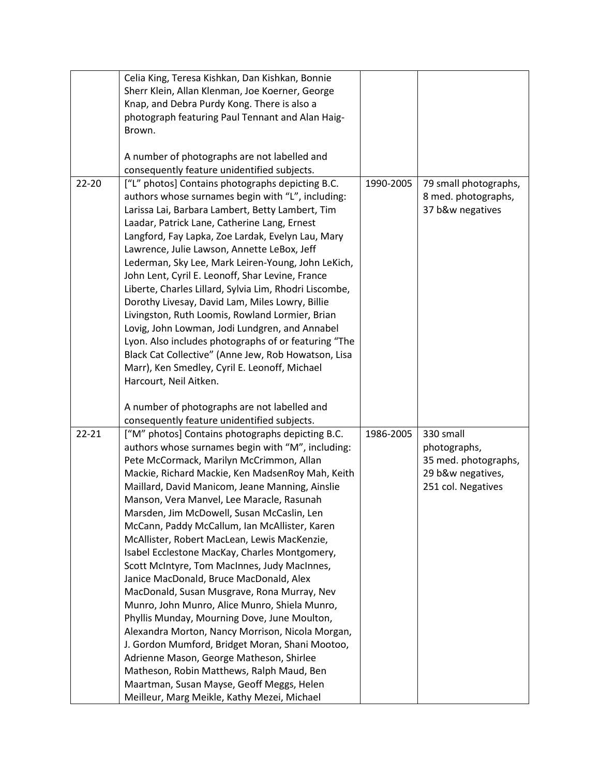|           | Celia King, Teresa Kishkan, Dan Kishkan, Bonnie                                        |           |                       |
|-----------|----------------------------------------------------------------------------------------|-----------|-----------------------|
|           | Sherr Klein, Allan Klenman, Joe Koerner, George                                        |           |                       |
|           | Knap, and Debra Purdy Kong. There is also a                                            |           |                       |
|           | photograph featuring Paul Tennant and Alan Haig-                                       |           |                       |
|           | Brown.                                                                                 |           |                       |
|           |                                                                                        |           |                       |
|           | A number of photographs are not labelled and                                           |           |                       |
|           | consequently feature unidentified subjects.                                            |           |                       |
| $22 - 20$ | ["L" photos] Contains photographs depicting B.C.                                       | 1990-2005 | 79 small photographs, |
|           | authors whose surnames begin with "L", including:                                      |           | 8 med. photographs,   |
|           | Larissa Lai, Barbara Lambert, Betty Lambert, Tim                                       |           | 37 b&w negatives      |
|           | Laadar, Patrick Lane, Catherine Lang, Ernest                                           |           |                       |
|           | Langford, Fay Lapka, Zoe Lardak, Evelyn Lau, Mary                                      |           |                       |
|           | Lawrence, Julie Lawson, Annette LeBox, Jeff                                            |           |                       |
|           | Lederman, Sky Lee, Mark Leiren-Young, John LeKich,                                     |           |                       |
|           | John Lent, Cyril E. Leonoff, Shar Levine, France                                       |           |                       |
|           | Liberte, Charles Lillard, Sylvia Lim, Rhodri Liscombe,                                 |           |                       |
|           | Dorothy Livesay, David Lam, Miles Lowry, Billie                                        |           |                       |
|           | Livingston, Ruth Loomis, Rowland Lormier, Brian                                        |           |                       |
|           | Lovig, John Lowman, Jodi Lundgren, and Annabel                                         |           |                       |
|           | Lyon. Also includes photographs of or featuring "The                                   |           |                       |
|           | Black Cat Collective" (Anne Jew, Rob Howatson, Lisa                                    |           |                       |
|           | Marr), Ken Smedley, Cyril E. Leonoff, Michael                                          |           |                       |
|           | Harcourt, Neil Aitken.                                                                 |           |                       |
|           |                                                                                        |           |                       |
|           | A number of photographs are not labelled and                                           |           |                       |
|           | consequently feature unidentified subjects.                                            |           |                       |
| $22 - 21$ | ["M" photos] Contains photographs depicting B.C.                                       | 1986-2005 | 330 small             |
|           | authors whose surnames begin with "M", including:                                      |           | photographs,          |
|           | Pete McCormack, Marilyn McCrimmon, Allan                                               |           |                       |
|           |                                                                                        |           |                       |
|           |                                                                                        |           | 35 med. photographs,  |
|           | Mackie, Richard Mackie, Ken MadsenRoy Mah, Keith                                       |           | 29 b&w negatives,     |
|           | Maillard, David Manicom, Jeane Manning, Ainslie                                        |           | 251 col. Negatives    |
|           | Manson, Vera Manvel, Lee Maracle, Rasunah                                              |           |                       |
|           | Marsden, Jim McDowell, Susan McCaslin, Len                                             |           |                       |
|           | McCann, Paddy McCallum, Ian McAllister, Karen                                          |           |                       |
|           | McAllister, Robert MacLean, Lewis MacKenzie,                                           |           |                       |
|           | Isabel Ecclestone MacKay, Charles Montgomery,                                          |           |                       |
|           | Scott McIntyre, Tom MacInnes, Judy MacInnes,                                           |           |                       |
|           | Janice MacDonald, Bruce MacDonald, Alex                                                |           |                       |
|           | MacDonald, Susan Musgrave, Rona Murray, Nev                                            |           |                       |
|           | Munro, John Munro, Alice Munro, Shiela Munro,                                          |           |                       |
|           | Phyllis Munday, Mourning Dove, June Moulton,                                           |           |                       |
|           | Alexandra Morton, Nancy Morrison, Nicola Morgan,                                       |           |                       |
|           | J. Gordon Mumford, Bridget Moran, Shani Mootoo,                                        |           |                       |
|           | Adrienne Mason, George Matheson, Shirlee                                               |           |                       |
|           | Matheson, Robin Matthews, Ralph Maud, Ben<br>Maartman, Susan Mayse, Geoff Meggs, Helen |           |                       |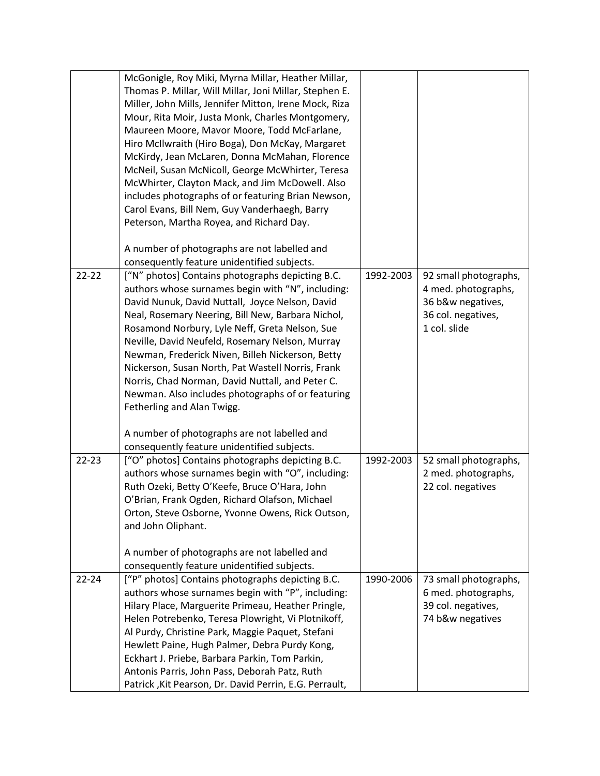|           | McGonigle, Roy Miki, Myrna Millar, Heather Millar,<br>Thomas P. Millar, Will Millar, Joni Millar, Stephen E.<br>Miller, John Mills, Jennifer Mitton, Irene Mock, Riza<br>Mour, Rita Moir, Justa Monk, Charles Montgomery, |           |                                                                   |
|-----------|---------------------------------------------------------------------------------------------------------------------------------------------------------------------------------------------------------------------------|-----------|-------------------------------------------------------------------|
|           | Maureen Moore, Mavor Moore, Todd McFarlane,                                                                                                                                                                               |           |                                                                   |
|           | Hiro McIlwraith (Hiro Boga), Don McKay, Margaret                                                                                                                                                                          |           |                                                                   |
|           | McKirdy, Jean McLaren, Donna McMahan, Florence                                                                                                                                                                            |           |                                                                   |
|           | McNeil, Susan McNicoll, George McWhirter, Teresa                                                                                                                                                                          |           |                                                                   |
|           | McWhirter, Clayton Mack, and Jim McDowell. Also                                                                                                                                                                           |           |                                                                   |
|           | includes photographs of or featuring Brian Newson,                                                                                                                                                                        |           |                                                                   |
|           | Carol Evans, Bill Nem, Guy Vanderhaegh, Barry                                                                                                                                                                             |           |                                                                   |
|           | Peterson, Martha Royea, and Richard Day.                                                                                                                                                                                  |           |                                                                   |
|           | A number of photographs are not labelled and                                                                                                                                                                              |           |                                                                   |
|           | consequently feature unidentified subjects.                                                                                                                                                                               |           |                                                                   |
| $22 - 22$ | ["N" photos] Contains photographs depicting B.C.<br>authors whose surnames begin with "N", including:<br>David Nunuk, David Nuttall, Joyce Nelson, David                                                                  | 1992-2003 | 92 small photographs,<br>4 med. photographs,<br>36 b&w negatives, |
|           | Neal, Rosemary Neering, Bill New, Barbara Nichol,                                                                                                                                                                         |           | 36 col. negatives,                                                |
|           | Rosamond Norbury, Lyle Neff, Greta Nelson, Sue                                                                                                                                                                            |           | 1 col. slide                                                      |
|           | Neville, David Neufeld, Rosemary Nelson, Murray                                                                                                                                                                           |           |                                                                   |
|           | Newman, Frederick Niven, Billeh Nickerson, Betty                                                                                                                                                                          |           |                                                                   |
|           | Nickerson, Susan North, Pat Wastell Norris, Frank                                                                                                                                                                         |           |                                                                   |
|           | Norris, Chad Norman, David Nuttall, and Peter C.                                                                                                                                                                          |           |                                                                   |
|           | Newman. Also includes photographs of or featuring                                                                                                                                                                         |           |                                                                   |
|           | Fetherling and Alan Twigg.                                                                                                                                                                                                |           |                                                                   |
|           |                                                                                                                                                                                                                           |           |                                                                   |
|           | A number of photographs are not labelled and                                                                                                                                                                              |           |                                                                   |
|           | consequently feature unidentified subjects.                                                                                                                                                                               |           |                                                                   |
| $22 - 23$ | ["O" photos] Contains photographs depicting B.C.                                                                                                                                                                          | 1992-2003 | 52 small photographs,                                             |
|           | authors whose surnames begin with "O", including:                                                                                                                                                                         |           | 2 med. photographs,                                               |
|           | Ruth Ozeki, Betty O'Keefe, Bruce O'Hara, John                                                                                                                                                                             |           | 22 col. negatives                                                 |
|           | O'Brian, Frank Ogden, Richard Olafson, Michael                                                                                                                                                                            |           |                                                                   |
|           | Orton, Steve Osborne, Yvonne Owens, Rick Outson,                                                                                                                                                                          |           |                                                                   |
|           | and John Oliphant.                                                                                                                                                                                                        |           |                                                                   |
|           |                                                                                                                                                                                                                           |           |                                                                   |
|           | A number of photographs are not labelled and<br>consequently feature unidentified subjects.                                                                                                                               |           |                                                                   |
| $22 - 24$ | ["P" photos] Contains photographs depicting B.C.                                                                                                                                                                          | 1990-2006 | 73 small photographs,                                             |
|           | authors whose surnames begin with "P", including:                                                                                                                                                                         |           | 6 med. photographs,                                               |
|           | Hilary Place, Marguerite Primeau, Heather Pringle,                                                                                                                                                                        |           | 39 col. negatives,                                                |
|           | Helen Potrebenko, Teresa Plowright, Vi Plotnikoff,                                                                                                                                                                        |           | 74 b&w negatives                                                  |
|           | Al Purdy, Christine Park, Maggie Paquet, Stefani                                                                                                                                                                          |           |                                                                   |
|           | Hewlett Paine, Hugh Palmer, Debra Purdy Kong,                                                                                                                                                                             |           |                                                                   |
|           | Eckhart J. Priebe, Barbara Parkin, Tom Parkin,                                                                                                                                                                            |           |                                                                   |
|           | Antonis Parris, John Pass, Deborah Patz, Ruth                                                                                                                                                                             |           |                                                                   |
|           | Patrick, Kit Pearson, Dr. David Perrin, E.G. Perrault,                                                                                                                                                                    |           |                                                                   |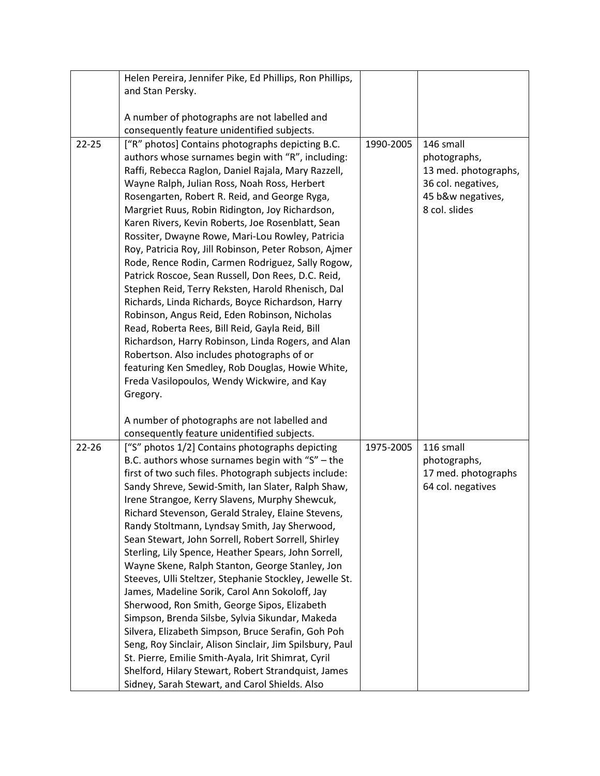|           | Helen Pereira, Jennifer Pike, Ed Phillips, Ron Phillips, |           |                      |
|-----------|----------------------------------------------------------|-----------|----------------------|
|           | and Stan Persky.                                         |           |                      |
|           |                                                          |           |                      |
|           | A number of photographs are not labelled and             |           |                      |
|           | consequently feature unidentified subjects.              |           |                      |
| $22 - 25$ | ["R" photos] Contains photographs depicting B.C.         | 1990-2005 | 146 small            |
|           | authors whose surnames begin with "R", including:        |           | photographs,         |
|           | Raffi, Rebecca Raglon, Daniel Rajala, Mary Razzell,      |           | 13 med. photographs, |
|           | Wayne Ralph, Julian Ross, Noah Ross, Herbert             |           | 36 col. negatives,   |
|           | Rosengarten, Robert R. Reid, and George Ryga,            |           |                      |
|           |                                                          |           | 45 b&w negatives,    |
|           | Margriet Ruus, Robin Ridington, Joy Richardson,          |           | 8 col. slides        |
|           | Karen Rivers, Kevin Roberts, Joe Rosenblatt, Sean        |           |                      |
|           | Rossiter, Dwayne Rowe, Mari-Lou Rowley, Patricia         |           |                      |
|           | Roy, Patricia Roy, Jill Robinson, Peter Robson, Ajmer    |           |                      |
|           | Rode, Rence Rodin, Carmen Rodriguez, Sally Rogow,        |           |                      |
|           | Patrick Roscoe, Sean Russell, Don Rees, D.C. Reid,       |           |                      |
|           | Stephen Reid, Terry Reksten, Harold Rhenisch, Dal        |           |                      |
|           | Richards, Linda Richards, Boyce Richardson, Harry        |           |                      |
|           | Robinson, Angus Reid, Eden Robinson, Nicholas            |           |                      |
|           | Read, Roberta Rees, Bill Reid, Gayla Reid, Bill          |           |                      |
|           | Richardson, Harry Robinson, Linda Rogers, and Alan       |           |                      |
|           | Robertson. Also includes photographs of or               |           |                      |
|           | featuring Ken Smedley, Rob Douglas, Howie White,         |           |                      |
|           | Freda Vasilopoulos, Wendy Wickwire, and Kay              |           |                      |
|           | Gregory.                                                 |           |                      |
|           |                                                          |           |                      |
|           | A number of photographs are not labelled and             |           |                      |
|           | consequently feature unidentified subjects.              |           |                      |
| $22 - 26$ | ["S" photos 1/2] Contains photographs depicting          | 1975-2005 | 116 small            |
|           | B.C. authors whose surnames begin with " $S''$ – the     |           | photographs,         |
|           | first of two such files. Photograph subjects include:    |           | 17 med. photographs  |
|           | Sandy Shreve, Sewid-Smith, Ian Slater, Ralph Shaw,       |           | 64 col. negatives    |
|           | Irene Strangoe, Kerry Slavens, Murphy Shewcuk,           |           |                      |
|           | Richard Stevenson, Gerald Straley, Elaine Stevens,       |           |                      |
|           | Randy Stoltmann, Lyndsay Smith, Jay Sherwood,            |           |                      |
|           | Sean Stewart, John Sorrell, Robert Sorrell, Shirley      |           |                      |
|           | Sterling, Lily Spence, Heather Spears, John Sorrell,     |           |                      |
|           | Wayne Skene, Ralph Stanton, George Stanley, Jon          |           |                      |
|           | Steeves, Ulli Steltzer, Stephanie Stockley, Jewelle St.  |           |                      |
|           | James, Madeline Sorik, Carol Ann Sokoloff, Jay           |           |                      |
|           | Sherwood, Ron Smith, George Sipos, Elizabeth             |           |                      |
|           | Simpson, Brenda Silsbe, Sylvia Sikundar, Makeda          |           |                      |
|           | Silvera, Elizabeth Simpson, Bruce Serafin, Goh Poh       |           |                      |
|           | Seng, Roy Sinclair, Alison Sinclair, Jim Spilsbury, Paul |           |                      |
|           |                                                          |           |                      |
|           | St. Pierre, Emilie Smith-Ayala, Irit Shimrat, Cyril      |           |                      |
|           | Shelford, Hilary Stewart, Robert Strandquist, James      |           |                      |
|           | Sidney, Sarah Stewart, and Carol Shields. Also           |           |                      |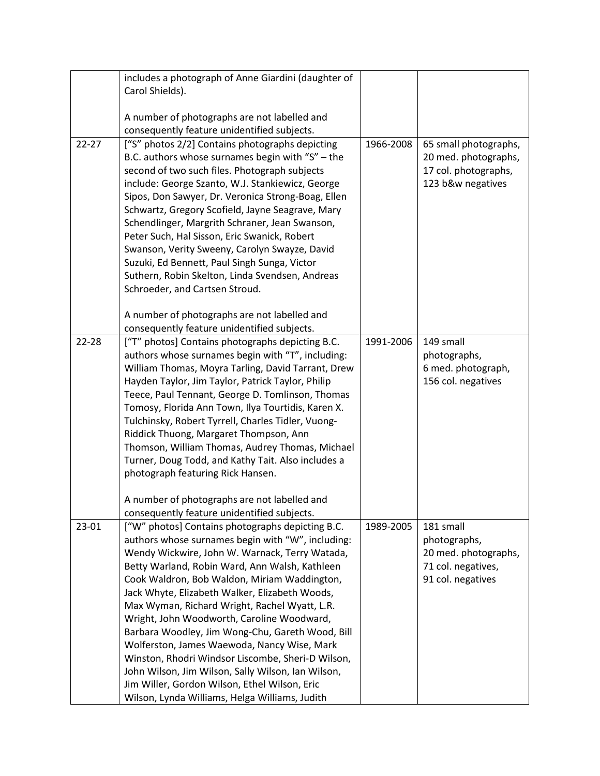|           | includes a photograph of Anne Giardini (daughter of                                                   |           |                           |
|-----------|-------------------------------------------------------------------------------------------------------|-----------|---------------------------|
|           | Carol Shields).                                                                                       |           |                           |
|           |                                                                                                       |           |                           |
|           | A number of photographs are not labelled and                                                          |           |                           |
|           | consequently feature unidentified subjects.                                                           |           |                           |
| $22 - 27$ | ["S" photos 2/2] Contains photographs depicting                                                       | 1966-2008 | 65 small photographs,     |
|           | B.C. authors whose surnames begin with " $S''$ – the                                                  |           | 20 med. photographs,      |
|           | second of two such files. Photograph subjects                                                         |           | 17 col. photographs,      |
|           | include: George Szanto, W.J. Stankiewicz, George                                                      |           | 123 b&w negatives         |
|           | Sipos, Don Sawyer, Dr. Veronica Strong-Boag, Ellen                                                    |           |                           |
|           | Schwartz, Gregory Scofield, Jayne Seagrave, Mary                                                      |           |                           |
|           | Schendlinger, Margrith Schraner, Jean Swanson,                                                        |           |                           |
|           | Peter Such, Hal Sisson, Eric Swanick, Robert                                                          |           |                           |
|           | Swanson, Verity Sweeny, Carolyn Swayze, David                                                         |           |                           |
|           | Suzuki, Ed Bennett, Paul Singh Sunga, Victor                                                          |           |                           |
|           | Suthern, Robin Skelton, Linda Svendsen, Andreas                                                       |           |                           |
|           | Schroeder, and Cartsen Stroud.                                                                        |           |                           |
|           |                                                                                                       |           |                           |
|           | A number of photographs are not labelled and                                                          |           |                           |
|           | consequently feature unidentified subjects.                                                           |           |                           |
| 22-28     | ["T" photos] Contains photographs depicting B.C.                                                      | 1991-2006 | 149 small                 |
|           | authors whose surnames begin with "T", including:                                                     |           | photographs,              |
|           | William Thomas, Moyra Tarling, David Tarrant, Drew                                                    |           | 6 med. photograph,        |
|           | Hayden Taylor, Jim Taylor, Patrick Taylor, Philip                                                     |           | 156 col. negatives        |
|           | Teece, Paul Tennant, George D. Tomlinson, Thomas                                                      |           |                           |
|           | Tomosy, Florida Ann Town, Ilya Tourtidis, Karen X.                                                    |           |                           |
|           | Tulchinsky, Robert Tyrrell, Charles Tidler, Vuong-                                                    |           |                           |
|           | Riddick Thuong, Margaret Thompson, Ann                                                                |           |                           |
|           | Thomson, William Thomas, Audrey Thomas, Michael                                                       |           |                           |
|           | Turner, Doug Todd, and Kathy Tait. Also includes a                                                    |           |                           |
|           | photograph featuring Rick Hansen.                                                                     |           |                           |
|           |                                                                                                       |           |                           |
|           | A number of photographs are not labelled and<br>consequently feature unidentified subjects.           |           |                           |
|           |                                                                                                       |           |                           |
| 23-01     | ["W" photos] Contains photographs depicting B.C.<br>authors whose surnames begin with "W", including: | 1989-2005 | 181 small<br>photographs, |
|           | Wendy Wickwire, John W. Warnack, Terry Watada,                                                        |           | 20 med. photographs,      |
|           | Betty Warland, Robin Ward, Ann Walsh, Kathleen                                                        |           | 71 col. negatives,        |
|           | Cook Waldron, Bob Waldon, Miriam Waddington,                                                          |           | 91 col. negatives         |
|           | Jack Whyte, Elizabeth Walker, Elizabeth Woods,                                                        |           |                           |
|           | Max Wyman, Richard Wright, Rachel Wyatt, L.R.                                                         |           |                           |
|           | Wright, John Woodworth, Caroline Woodward,                                                            |           |                           |
|           | Barbara Woodley, Jim Wong-Chu, Gareth Wood, Bill                                                      |           |                           |
|           | Wolferston, James Waewoda, Nancy Wise, Mark                                                           |           |                           |
|           | Winston, Rhodri Windsor Liscombe, Sheri-D Wilson,                                                     |           |                           |
|           | John Wilson, Jim Wilson, Sally Wilson, Ian Wilson,                                                    |           |                           |
|           | Jim Willer, Gordon Wilson, Ethel Wilson, Eric                                                         |           |                           |
|           | Wilson, Lynda Williams, Helga Williams, Judith                                                        |           |                           |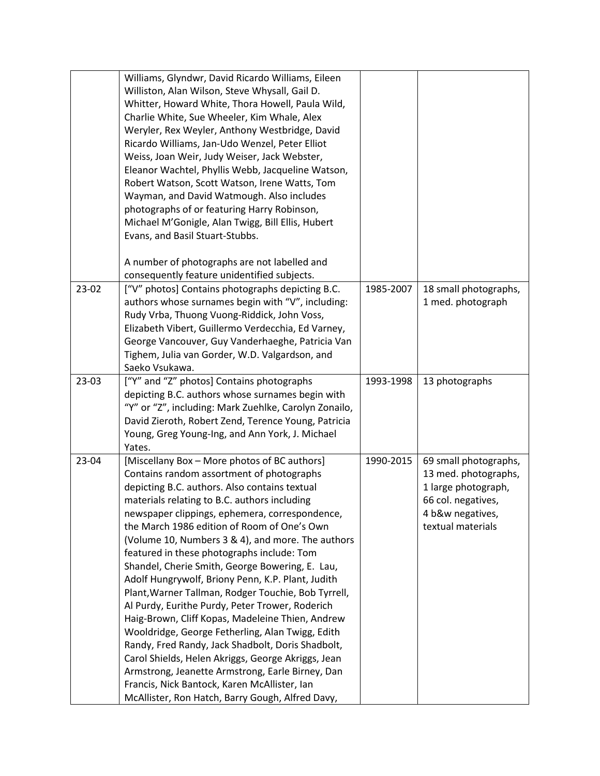|       | Williams, Glyndwr, David Ricardo Williams, Eileen     |           |                       |
|-------|-------------------------------------------------------|-----------|-----------------------|
|       | Williston, Alan Wilson, Steve Whysall, Gail D.        |           |                       |
|       | Whitter, Howard White, Thora Howell, Paula Wild,      |           |                       |
|       | Charlie White, Sue Wheeler, Kim Whale, Alex           |           |                       |
|       | Weryler, Rex Weyler, Anthony Westbridge, David        |           |                       |
|       | Ricardo Williams, Jan-Udo Wenzel, Peter Elliot        |           |                       |
|       | Weiss, Joan Weir, Judy Weiser, Jack Webster,          |           |                       |
|       | Eleanor Wachtel, Phyllis Webb, Jacqueline Watson,     |           |                       |
|       | Robert Watson, Scott Watson, Irene Watts, Tom         |           |                       |
|       | Wayman, and David Watmough. Also includes             |           |                       |
|       | photographs of or featuring Harry Robinson,           |           |                       |
|       | Michael M'Gonigle, Alan Twigg, Bill Ellis, Hubert     |           |                       |
|       | Evans, and Basil Stuart-Stubbs.                       |           |                       |
|       |                                                       |           |                       |
|       | A number of photographs are not labelled and          |           |                       |
|       | consequently feature unidentified subjects.           |           |                       |
| 23-02 | ["V" photos] Contains photographs depicting B.C.      | 1985-2007 | 18 small photographs, |
|       | authors whose surnames begin with "V", including:     |           | 1 med. photograph     |
|       | Rudy Vrba, Thuong Vuong-Riddick, John Voss,           |           |                       |
|       | Elizabeth Vibert, Guillermo Verdecchia, Ed Varney,    |           |                       |
|       | George Vancouver, Guy Vanderhaeghe, Patricia Van      |           |                       |
|       | Tighem, Julia van Gorder, W.D. Valgardson, and        |           |                       |
|       | Saeko Vsukawa.                                        |           |                       |
| 23-03 | ["Y" and "Z" photos] Contains photographs             | 1993-1998 | 13 photographs        |
|       | depicting B.C. authors whose surnames begin with      |           |                       |
|       | "Y" or "Z", including: Mark Zuehlke, Carolyn Zonailo, |           |                       |
|       | David Zieroth, Robert Zend, Terence Young, Patricia   |           |                       |
|       | Young, Greg Young-Ing, and Ann York, J. Michael       |           |                       |
|       | Yates.                                                |           |                       |
| 23-04 | [Miscellany Box - More photos of BC authors]          | 1990-2015 | 69 small photographs, |
|       | Contains random assortment of photographs             |           | 13 med. photographs,  |
|       | depicting B.C. authors. Also contains textual         |           | 1 large photograph,   |
|       | materials relating to B.C. authors including          |           | 66 col. negatives,    |
|       | newspaper clippings, ephemera, correspondence,        |           | 4 b&w negatives,      |
|       | the March 1986 edition of Room of One's Own           |           | textual materials     |
|       | (Volume 10, Numbers 3 & 4), and more. The authors     |           |                       |
|       | featured in these photographs include: Tom            |           |                       |
|       | Shandel, Cherie Smith, George Bowering, E. Lau,       |           |                       |
|       | Adolf Hungrywolf, Briony Penn, K.P. Plant, Judith     |           |                       |
|       | Plant, Warner Tallman, Rodger Touchie, Bob Tyrrell,   |           |                       |
|       | Al Purdy, Eurithe Purdy, Peter Trower, Roderich       |           |                       |
|       | Haig-Brown, Cliff Kopas, Madeleine Thien, Andrew      |           |                       |
|       | Wooldridge, George Fetherling, Alan Twigg, Edith      |           |                       |
|       | Randy, Fred Randy, Jack Shadbolt, Doris Shadbolt,     |           |                       |
|       | Carol Shields, Helen Akriggs, George Akriggs, Jean    |           |                       |
|       | Armstrong, Jeanette Armstrong, Earle Birney, Dan      |           |                       |
|       | Francis, Nick Bantock, Karen McAllister, Ian          |           |                       |
|       | McAllister, Ron Hatch, Barry Gough, Alfred Davy,      |           |                       |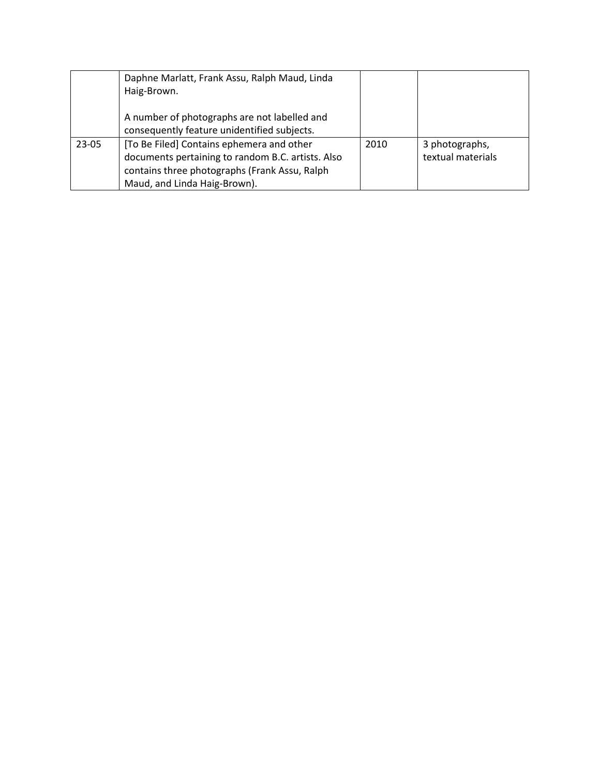|       | Daphne Marlatt, Frank Assu, Ralph Maud, Linda     |      |                   |
|-------|---------------------------------------------------|------|-------------------|
|       | Haig-Brown.                                       |      |                   |
|       |                                                   |      |                   |
|       | A number of photographs are not labelled and      |      |                   |
|       | consequently feature unidentified subjects.       |      |                   |
| 23-05 | [To Be Filed] Contains ephemera and other         | 2010 | 3 photographs,    |
|       | documents pertaining to random B.C. artists. Also |      | textual materials |
|       | contains three photographs (Frank Assu, Ralph     |      |                   |
|       | Maud, and Linda Haig-Brown).                      |      |                   |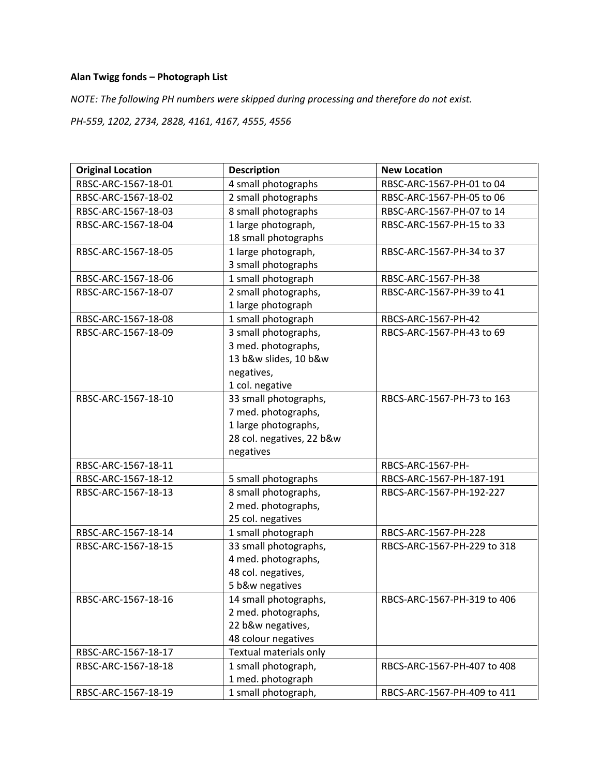# **Alan Twigg fonds – Photograph List**

*NOTE: The following PH numbers were skipped during processing and therefore do not exist.*

*PH-559, 1202, 2734, 2828, 4161, 4167, 4555, 4556*

| <b>Original Location</b> | <b>Description</b>        | <b>New Location</b>         |
|--------------------------|---------------------------|-----------------------------|
| RBSC-ARC-1567-18-01      | 4 small photographs       | RBSC-ARC-1567-PH-01 to 04   |
| RBSC-ARC-1567-18-02      | 2 small photographs       | RBSC-ARC-1567-PH-05 to 06   |
| RBSC-ARC-1567-18-03      | 8 small photographs       | RBSC-ARC-1567-PH-07 to 14   |
| RBSC-ARC-1567-18-04      | 1 large photograph,       | RBSC-ARC-1567-PH-15 to 33   |
|                          | 18 small photographs      |                             |
| RBSC-ARC-1567-18-05      | 1 large photograph,       | RBSC-ARC-1567-PH-34 to 37   |
|                          | 3 small photographs       |                             |
| RBSC-ARC-1567-18-06      | 1 small photograph        | RBSC-ARC-1567-PH-38         |
| RBSC-ARC-1567-18-07      | 2 small photographs,      | RBSC-ARC-1567-PH-39 to 41   |
|                          | 1 large photograph        |                             |
| RBSC-ARC-1567-18-08      | 1 small photograph        | RBCS-ARC-1567-PH-42         |
| RBSC-ARC-1567-18-09      | 3 small photographs,      | RBCS-ARC-1567-PH-43 to 69   |
|                          | 3 med. photographs,       |                             |
|                          | 13 b&w slides, 10 b&w     |                             |
|                          | negatives,                |                             |
|                          | 1 col. negative           |                             |
| RBSC-ARC-1567-18-10      | 33 small photographs,     | RBCS-ARC-1567-PH-73 to 163  |
|                          | 7 med. photographs,       |                             |
|                          | 1 large photographs,      |                             |
|                          | 28 col. negatives, 22 b&w |                             |
|                          | negatives                 |                             |
| RBSC-ARC-1567-18-11      |                           | RBCS-ARC-1567-PH-           |
| RBSC-ARC-1567-18-12      | 5 small photographs       | RBCS-ARC-1567-PH-187-191    |
| RBSC-ARC-1567-18-13      | 8 small photographs,      | RBCS-ARC-1567-PH-192-227    |
|                          | 2 med. photographs,       |                             |
|                          | 25 col. negatives         |                             |
| RBSC-ARC-1567-18-14      | 1 small photograph        | RBCS-ARC-1567-PH-228        |
| RBSC-ARC-1567-18-15      | 33 small photographs,     | RBCS-ARC-1567-PH-229 to 318 |
|                          | 4 med. photographs,       |                             |
|                          | 48 col. negatives,        |                             |
|                          | 5 b&w negatives           |                             |
| RBSC-ARC-1567-18-16      | 14 small photographs,     | RBCS-ARC-1567-PH-319 to 406 |
|                          | 2 med. photographs,       |                             |
|                          | 22 b&w negatives,         |                             |
|                          | 48 colour negatives       |                             |
| RBSC-ARC-1567-18-17      | Textual materials only    |                             |
| RBSC-ARC-1567-18-18      | 1 small photograph,       | RBCS-ARC-1567-PH-407 to 408 |
|                          | 1 med. photograph         |                             |
| RBSC-ARC-1567-18-19      | 1 small photograph,       | RBCS-ARC-1567-PH-409 to 411 |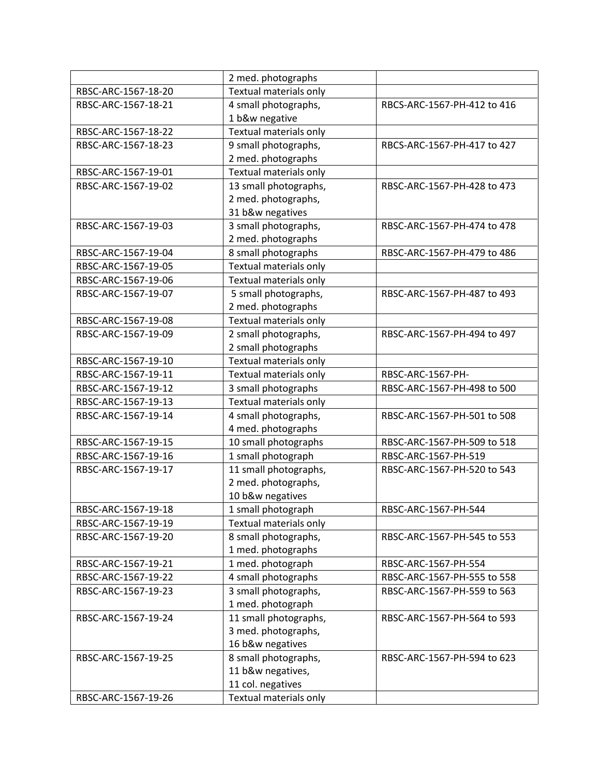|                     | 2 med. photographs     |                             |
|---------------------|------------------------|-----------------------------|
| RBSC-ARC-1567-18-20 | Textual materials only |                             |
| RBSC-ARC-1567-18-21 | 4 small photographs,   | RBCS-ARC-1567-PH-412 to 416 |
|                     | 1 b&w negative         |                             |
| RBSC-ARC-1567-18-22 | Textual materials only |                             |
| RBSC-ARC-1567-18-23 | 9 small photographs,   | RBCS-ARC-1567-PH-417 to 427 |
|                     | 2 med. photographs     |                             |
| RBSC-ARC-1567-19-01 | Textual materials only |                             |
| RBSC-ARC-1567-19-02 | 13 small photographs,  | RBSC-ARC-1567-PH-428 to 473 |
|                     | 2 med. photographs,    |                             |
|                     | 31 b&w negatives       |                             |
| RBSC-ARC-1567-19-03 | 3 small photographs,   | RBSC-ARC-1567-PH-474 to 478 |
|                     | 2 med. photographs     |                             |
| RBSC-ARC-1567-19-04 | 8 small photographs    | RBSC-ARC-1567-PH-479 to 486 |
| RBSC-ARC-1567-19-05 | Textual materials only |                             |
| RBSC-ARC-1567-19-06 | Textual materials only |                             |
| RBSC-ARC-1567-19-07 | 5 small photographs,   | RBSC-ARC-1567-PH-487 to 493 |
|                     | 2 med. photographs     |                             |
| RBSC-ARC-1567-19-08 | Textual materials only |                             |
| RBSC-ARC-1567-19-09 | 2 small photographs,   | RBSC-ARC-1567-PH-494 to 497 |
|                     | 2 small photographs    |                             |
| RBSC-ARC-1567-19-10 | Textual materials only |                             |
| RBSC-ARC-1567-19-11 | Textual materials only | RBSC-ARC-1567-PH-           |
| RBSC-ARC-1567-19-12 | 3 small photographs    | RBSC-ARC-1567-PH-498 to 500 |
| RBSC-ARC-1567-19-13 | Textual materials only |                             |
| RBSC-ARC-1567-19-14 | 4 small photographs,   | RBSC-ARC-1567-PH-501 to 508 |
|                     | 4 med. photographs     |                             |
| RBSC-ARC-1567-19-15 | 10 small photographs   | RBSC-ARC-1567-PH-509 to 518 |
| RBSC-ARC-1567-19-16 | 1 small photograph     | RBSC-ARC-1567-PH-519        |
| RBSC-ARC-1567-19-17 | 11 small photographs,  | RBSC-ARC-1567-PH-520 to 543 |
|                     | 2 med. photographs,    |                             |
|                     | 10 b&w negatives       |                             |
| RBSC-ARC-1567-19-18 | 1 small photograph     | RBSC-ARC-1567-PH-544        |
| RBSC-ARC-1567-19-19 | Textual materials only |                             |
| RBSC-ARC-1567-19-20 | 8 small photographs,   | RBSC-ARC-1567-PH-545 to 553 |
|                     | 1 med. photographs     |                             |
| RBSC-ARC-1567-19-21 | 1 med. photograph      | RBSC-ARC-1567-PH-554        |
| RBSC-ARC-1567-19-22 | 4 small photographs    | RBSC-ARC-1567-PH-555 to 558 |
| RBSC-ARC-1567-19-23 | 3 small photographs,   | RBSC-ARC-1567-PH-559 to 563 |
|                     | 1 med. photograph      |                             |
| RBSC-ARC-1567-19-24 | 11 small photographs,  | RBSC-ARC-1567-PH-564 to 593 |
|                     | 3 med. photographs,    |                             |
|                     | 16 b&w negatives       |                             |
| RBSC-ARC-1567-19-25 | 8 small photographs,   | RBSC-ARC-1567-PH-594 to 623 |
|                     | 11 b&w negatives,      |                             |
|                     | 11 col. negatives      |                             |
| RBSC-ARC-1567-19-26 | Textual materials only |                             |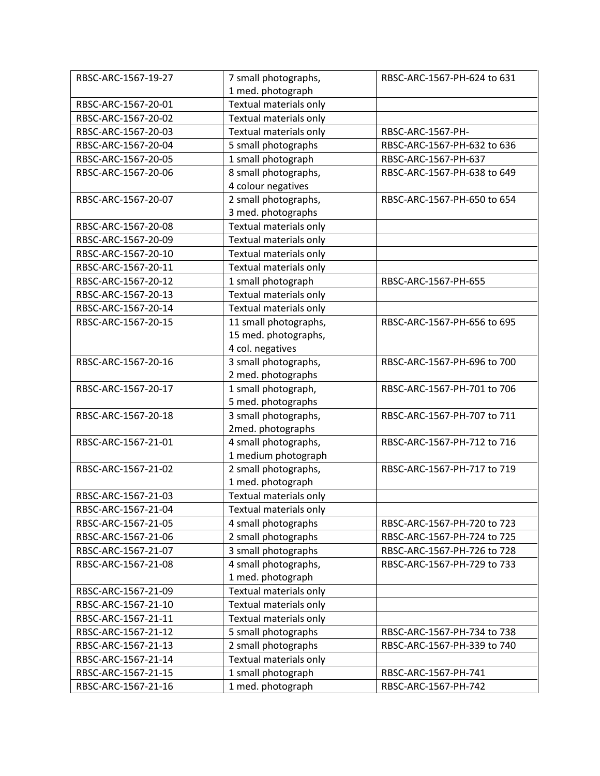| RBSC-ARC-1567-19-27 | 7 small photographs,   | RBSC-ARC-1567-PH-624 to 631 |
|---------------------|------------------------|-----------------------------|
|                     | 1 med. photograph      |                             |
| RBSC-ARC-1567-20-01 | Textual materials only |                             |
| RBSC-ARC-1567-20-02 | Textual materials only |                             |
| RBSC-ARC-1567-20-03 | Textual materials only | RBSC-ARC-1567-PH-           |
| RBSC-ARC-1567-20-04 | 5 small photographs    | RBSC-ARC-1567-PH-632 to 636 |
| RBSC-ARC-1567-20-05 | 1 small photograph     | RBSC-ARC-1567-PH-637        |
| RBSC-ARC-1567-20-06 | 8 small photographs,   | RBSC-ARC-1567-PH-638 to 649 |
|                     | 4 colour negatives     |                             |
| RBSC-ARC-1567-20-07 | 2 small photographs,   | RBSC-ARC-1567-PH-650 to 654 |
|                     | 3 med. photographs     |                             |
| RBSC-ARC-1567-20-08 | Textual materials only |                             |
| RBSC-ARC-1567-20-09 | Textual materials only |                             |
| RBSC-ARC-1567-20-10 | Textual materials only |                             |
| RBSC-ARC-1567-20-11 | Textual materials only |                             |
| RBSC-ARC-1567-20-12 | 1 small photograph     | RBSC-ARC-1567-PH-655        |
| RBSC-ARC-1567-20-13 | Textual materials only |                             |
| RBSC-ARC-1567-20-14 | Textual materials only |                             |
| RBSC-ARC-1567-20-15 | 11 small photographs,  | RBSC-ARC-1567-PH-656 to 695 |
|                     | 15 med. photographs,   |                             |
|                     | 4 col. negatives       |                             |
| RBSC-ARC-1567-20-16 | 3 small photographs,   | RBSC-ARC-1567-PH-696 to 700 |
|                     | 2 med. photographs     |                             |
| RBSC-ARC-1567-20-17 | 1 small photograph,    | RBSC-ARC-1567-PH-701 to 706 |
|                     | 5 med. photographs     |                             |
| RBSC-ARC-1567-20-18 | 3 small photographs,   | RBSC-ARC-1567-PH-707 to 711 |
|                     | 2med. photographs      |                             |
| RBSC-ARC-1567-21-01 | 4 small photographs,   | RBSC-ARC-1567-PH-712 to 716 |
|                     | 1 medium photograph    |                             |
| RBSC-ARC-1567-21-02 | 2 small photographs,   | RBSC-ARC-1567-PH-717 to 719 |
|                     | 1 med. photograph      |                             |
| RBSC-ARC-1567-21-03 | Textual materials only |                             |
| RBSC-ARC-1567-21-04 | Textual materials only |                             |
| RBSC-ARC-1567-21-05 | 4 small photographs    | RBSC-ARC-1567-PH-720 to 723 |
| RBSC-ARC-1567-21-06 | 2 small photographs    | RBSC-ARC-1567-PH-724 to 725 |
| RBSC-ARC-1567-21-07 | 3 small photographs    | RBSC-ARC-1567-PH-726 to 728 |
| RBSC-ARC-1567-21-08 | 4 small photographs,   | RBSC-ARC-1567-PH-729 to 733 |
|                     | 1 med. photograph      |                             |
| RBSC-ARC-1567-21-09 | Textual materials only |                             |
| RBSC-ARC-1567-21-10 | Textual materials only |                             |
| RBSC-ARC-1567-21-11 | Textual materials only |                             |
| RBSC-ARC-1567-21-12 | 5 small photographs    | RBSC-ARC-1567-PH-734 to 738 |
| RBSC-ARC-1567-21-13 | 2 small photographs    | RBSC-ARC-1567-PH-339 to 740 |
| RBSC-ARC-1567-21-14 | Textual materials only |                             |
| RBSC-ARC-1567-21-15 | 1 small photograph     | RBSC-ARC-1567-PH-741        |
| RBSC-ARC-1567-21-16 | 1 med. photograph      | RBSC-ARC-1567-PH-742        |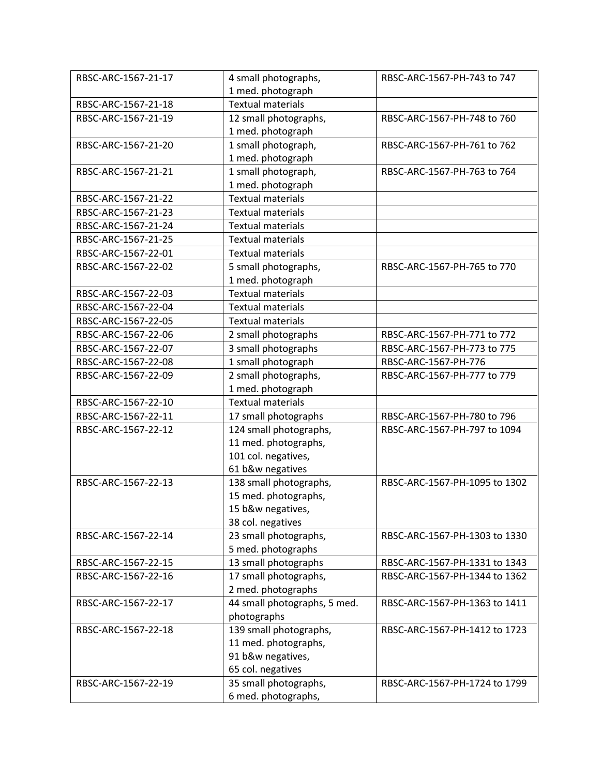| RBSC-ARC-1567-21-17 | 4 small photographs,         | RBSC-ARC-1567-PH-743 to 747   |
|---------------------|------------------------------|-------------------------------|
|                     | 1 med. photograph            |                               |
| RBSC-ARC-1567-21-18 | <b>Textual materials</b>     |                               |
| RBSC-ARC-1567-21-19 | 12 small photographs,        | RBSC-ARC-1567-PH-748 to 760   |
|                     | 1 med. photograph            |                               |
| RBSC-ARC-1567-21-20 | 1 small photograph,          | RBSC-ARC-1567-PH-761 to 762   |
|                     | 1 med. photograph            |                               |
| RBSC-ARC-1567-21-21 | 1 small photograph,          | RBSC-ARC-1567-PH-763 to 764   |
|                     | 1 med. photograph            |                               |
| RBSC-ARC-1567-21-22 | <b>Textual materials</b>     |                               |
| RBSC-ARC-1567-21-23 | <b>Textual materials</b>     |                               |
| RBSC-ARC-1567-21-24 | <b>Textual materials</b>     |                               |
| RBSC-ARC-1567-21-25 | <b>Textual materials</b>     |                               |
| RBSC-ARC-1567-22-01 | <b>Textual materials</b>     |                               |
| RBSC-ARC-1567-22-02 | 5 small photographs,         | RBSC-ARC-1567-PH-765 to 770   |
|                     | 1 med. photograph            |                               |
| RBSC-ARC-1567-22-03 | <b>Textual materials</b>     |                               |
| RBSC-ARC-1567-22-04 | <b>Textual materials</b>     |                               |
| RBSC-ARC-1567-22-05 | <b>Textual materials</b>     |                               |
| RBSC-ARC-1567-22-06 | 2 small photographs          | RBSC-ARC-1567-PH-771 to 772   |
| RBSC-ARC-1567-22-07 | 3 small photographs          | RBSC-ARC-1567-PH-773 to 775   |
| RBSC-ARC-1567-22-08 | 1 small photograph           | RBSC-ARC-1567-PH-776          |
| RBSC-ARC-1567-22-09 | 2 small photographs,         | RBSC-ARC-1567-PH-777 to 779   |
|                     | 1 med. photograph            |                               |
| RBSC-ARC-1567-22-10 | <b>Textual materials</b>     |                               |
| RBSC-ARC-1567-22-11 | 17 small photographs         | RBSC-ARC-1567-PH-780 to 796   |
| RBSC-ARC-1567-22-12 | 124 small photographs,       | RBSC-ARC-1567-PH-797 to 1094  |
|                     | 11 med. photographs,         |                               |
|                     | 101 col. negatives,          |                               |
|                     | 61 b&w negatives             |                               |
| RBSC-ARC-1567-22-13 | 138 small photographs,       | RBSC-ARC-1567-PH-1095 to 1302 |
|                     | 15 med. photographs,         |                               |
|                     | 15 b&w negatives,            |                               |
|                     | 38 col. negatives            |                               |
| RBSC-ARC-1567-22-14 | 23 small photographs,        | RBSC-ARC-1567-PH-1303 to 1330 |
|                     | 5 med. photographs           |                               |
| RBSC-ARC-1567-22-15 | 13 small photographs         | RBSC-ARC-1567-PH-1331 to 1343 |
| RBSC-ARC-1567-22-16 | 17 small photographs,        | RBSC-ARC-1567-PH-1344 to 1362 |
|                     | 2 med. photographs           |                               |
| RBSC-ARC-1567-22-17 | 44 small photographs, 5 med. | RBSC-ARC-1567-PH-1363 to 1411 |
|                     | photographs                  |                               |
| RBSC-ARC-1567-22-18 | 139 small photographs,       | RBSC-ARC-1567-PH-1412 to 1723 |
|                     | 11 med. photographs,         |                               |
|                     | 91 b&w negatives,            |                               |
|                     | 65 col. negatives            |                               |
| RBSC-ARC-1567-22-19 | 35 small photographs,        | RBSC-ARC-1567-PH-1724 to 1799 |
|                     | 6 med. photographs,          |                               |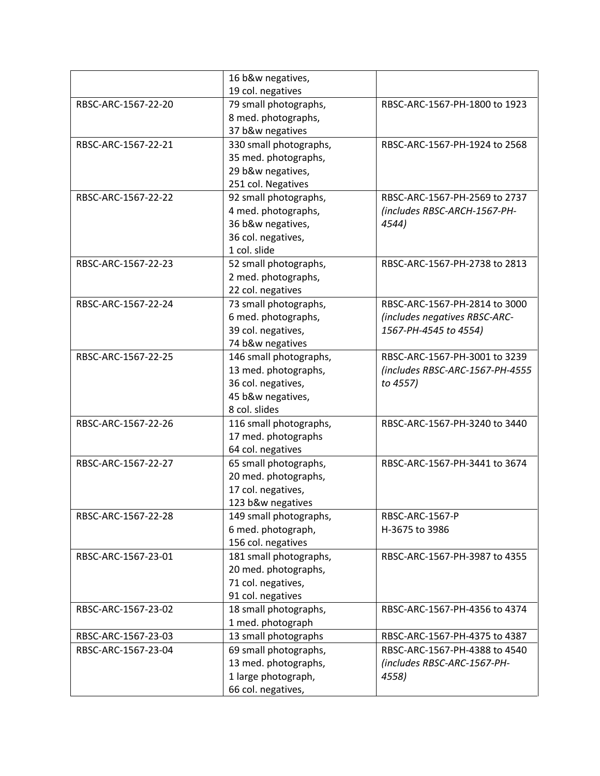|                     | 16 b&w negatives,                          |                                 |
|---------------------|--------------------------------------------|---------------------------------|
|                     | 19 col. negatives                          |                                 |
| RBSC-ARC-1567-22-20 | 79 small photographs,                      | RBSC-ARC-1567-PH-1800 to 1923   |
|                     | 8 med. photographs,                        |                                 |
|                     | 37 b&w negatives                           |                                 |
| RBSC-ARC-1567-22-21 | 330 small photographs,                     | RBSC-ARC-1567-PH-1924 to 2568   |
|                     | 35 med. photographs,                       |                                 |
|                     | 29 b&w negatives,                          |                                 |
|                     | 251 col. Negatives                         |                                 |
| RBSC-ARC-1567-22-22 | 92 small photographs,                      | RBSC-ARC-1567-PH-2569 to 2737   |
|                     | 4 med. photographs,                        | (includes RBSC-ARCH-1567-PH-    |
|                     | 36 b&w negatives,                          | 4544)                           |
|                     | 36 col. negatives,                         |                                 |
|                     | 1 col. slide                               |                                 |
| RBSC-ARC-1567-22-23 | 52 small photographs,                      | RBSC-ARC-1567-PH-2738 to 2813   |
|                     | 2 med. photographs,                        |                                 |
|                     | 22 col. negatives                          |                                 |
| RBSC-ARC-1567-22-24 | 73 small photographs,                      | RBSC-ARC-1567-PH-2814 to 3000   |
|                     | 6 med. photographs,                        | (includes negatives RBSC-ARC-   |
|                     | 39 col. negatives,                         | 1567-PH-4545 to 4554)           |
|                     | 74 b&w negatives                           |                                 |
| RBSC-ARC-1567-22-25 | 146 small photographs,                     | RBSC-ARC-1567-PH-3001 to 3239   |
|                     | 13 med. photographs,                       | (includes RBSC-ARC-1567-PH-4555 |
|                     | 36 col. negatives,                         | to 4557)                        |
|                     | 45 b&w negatives,                          |                                 |
|                     | 8 col. slides                              |                                 |
| RBSC-ARC-1567-22-26 | 116 small photographs,                     | RBSC-ARC-1567-PH-3240 to 3440   |
|                     | 17 med. photographs                        |                                 |
|                     | 64 col. negatives                          |                                 |
| RBSC-ARC-1567-22-27 | 65 small photographs,                      | RBSC-ARC-1567-PH-3441 to 3674   |
|                     | 20 med. photographs,                       |                                 |
|                     | 17 col. negatives,                         |                                 |
|                     | 123 b&w negatives                          |                                 |
| RBSC-ARC-1567-22-28 | 149 small photographs,                     | RBSC-ARC-1567-P                 |
|                     | 6 med. photograph,<br>156 col. negatives   | H-3675 to 3986                  |
| RBSC-ARC-1567-23-01 |                                            | RBSC-ARC-1567-PH-3987 to 4355   |
|                     | 181 small photographs,                     |                                 |
|                     | 20 med. photographs,<br>71 col. negatives, |                                 |
|                     | 91 col. negatives                          |                                 |
| RBSC-ARC-1567-23-02 | 18 small photographs,                      | RBSC-ARC-1567-PH-4356 to 4374   |
|                     | 1 med. photograph                          |                                 |
| RBSC-ARC-1567-23-03 | 13 small photographs                       | RBSC-ARC-1567-PH-4375 to 4387   |
| RBSC-ARC-1567-23-04 | 69 small photographs,                      | RBSC-ARC-1567-PH-4388 to 4540   |
|                     | 13 med. photographs,                       | (includes RBSC-ARC-1567-PH-     |
|                     | 1 large photograph,                        | 4558)                           |
|                     |                                            |                                 |
|                     | 66 col. negatives,                         |                                 |